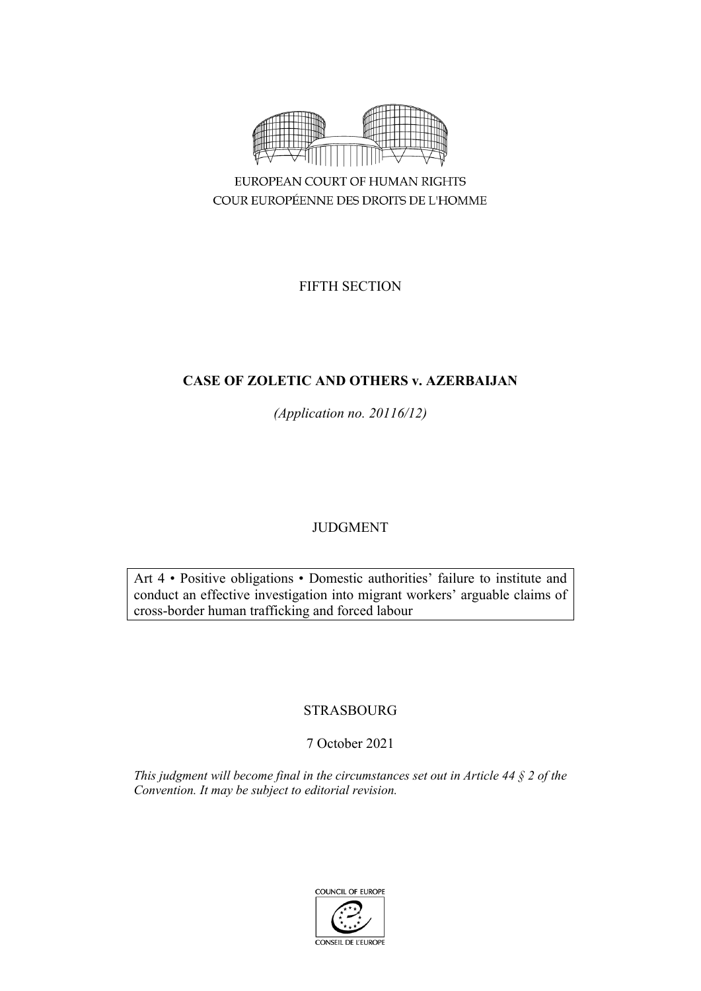

FIFTH SECTION

# **CASE OF ZOLETIC AND OTHERS v. AZERBAIJAN**

*(Application no. 20116/12)*

# JUDGMENT

Art 4 • Positive obligations • Domestic authorities' failure to institute and conduct an effective investigation into migrant workers' arguable claims of cross-border human trafficking and forced labour

# STRASBOURG

# 7 October 2021

*This judgment will become final in the circumstances set out in Article 44 § 2 of the Convention. It may be subject to editorial revision.*

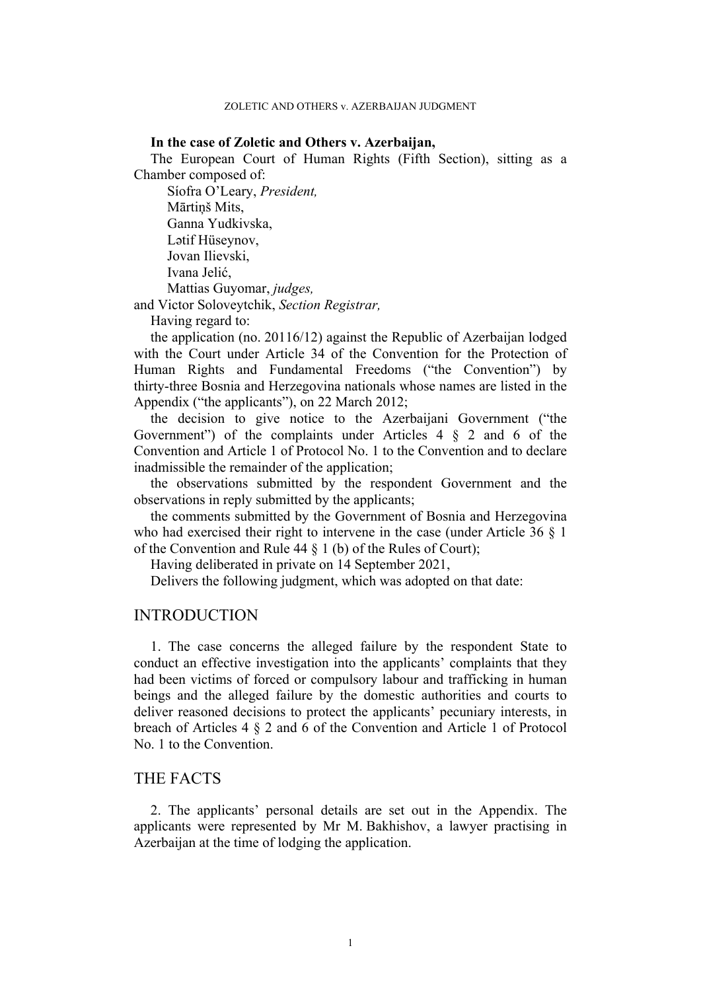### **In the case of Zoletic and Others v. Azerbaijan,**

The European Court of Human Rights (Fifth Section), sitting as a Chamber composed of:

Síofra O'Leary, *President,* Mārtiņš Mits, Ganna Yudkivska, Lətif Hüseynov, Jovan Ilievski, Ivana Jelić, Mattias Guyomar, *judges,*

and Victor Soloveytchik, *Section Registrar,*

Having regard to:

the application (no. 20116/12) against the Republic of Azerbaijan lodged with the Court under Article 34 of the Convention for the Protection of Human Rights and Fundamental Freedoms ("the Convention") by thirty-three Bosnia and Herzegovina nationals whose names are listed in the Appendix ("the applicants"), on 22 March 2012;

the decision to give notice to the Azerbaijani Government ("the Government") of the complaints under Articles 4 § 2 and 6 of the Convention and Article 1 of Protocol No. 1 to the Convention and to declare inadmissible the remainder of the application;

the observations submitted by the respondent Government and the observations in reply submitted by the applicants;

the comments submitted by the Government of Bosnia and Herzegovina who had exercised their right to intervene in the case (under Article 36  $\S$  1) of the Convention and Rule 44 § 1 (b) of the Rules of Court);

Having deliberated in private on 14 September 2021,

Delivers the following judgment, which was adopted on that date:

## **INTRODUCTION**

1. The case concerns the alleged failure by the respondent State to conduct an effective investigation into the applicants' complaints that they had been victims of forced or compulsory labour and trafficking in human beings and the alleged failure by the domestic authorities and courts to deliver reasoned decisions to protect the applicants' pecuniary interests, in breach of Articles 4 § 2 and 6 of the Convention and Article 1 of Protocol No. 1 to the Convention.

## THE FACTS

2. The applicants' personal details are set out in the Appendix. The applicants were represented by Mr M. Bakhishov, a lawyer practising in Azerbaijan at the time of lodging the application.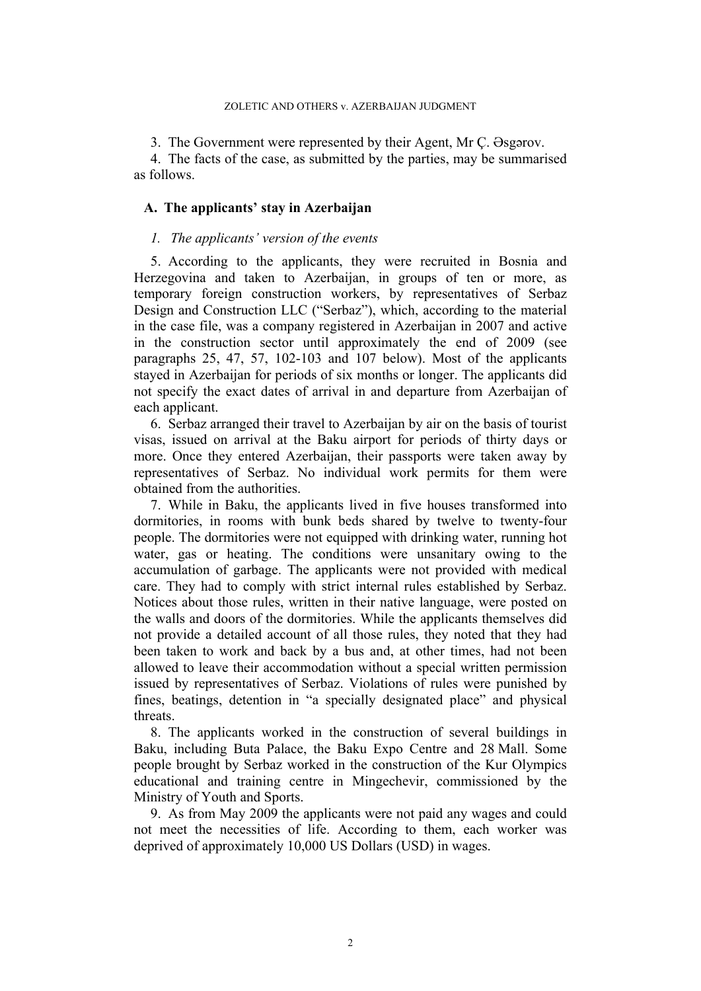#### ZOLETIC AND OTHERS v. AZERBAIJAN JUDGMENT

3. The Government were represented by their Agent, Mr Ç. Əsgərov.

4. The facts of the case, as submitted by the parties, may be summarised as follows.

## **A. The applicants' stay in Azerbaijan**

## *1. The applicants' version of the events*

<span id="page-3-0"></span>5. According to the applicants, they were recruited in Bosnia and Herzegovina and taken to Azerbaijan, in groups of ten or more, as temporary foreign construction workers, by representatives of Serbaz Design and Construction LLC ("Serbaz"), which, according to the material in the case file, was a company registered in Azerbaijan in 2007 and active in the construction sector until approximately the end of 2009 (see paragraphs [25,](#page-7-0) [47](#page-13-0), [57,](#page-14-0) [102](#page-27-0)[-103](#page-27-1) and [107](#page-28-0) below). Most of the applicants stayed in Azerbaijan for periods of six months or longer. The applicants did not specify the exact dates of arrival in and departure from Azerbaijan of each applicant.

6. Serbaz arranged their travel to Azerbaijan by air on the basis of tourist visas, issued on arrival at the Baku airport for periods of thirty days or more. Once they entered Azerbaijan, their passports were taken away by representatives of Serbaz. No individual work permits for them were obtained from the authorities.

7. While in Baku, the applicants lived in five houses transformed into dormitories, in rooms with bunk beds shared by twelve to twenty-four people. The dormitories were not equipped with drinking water, running hot water, gas or heating. The conditions were unsanitary owing to the accumulation of garbage. The applicants were not provided with medical care. They had to comply with strict internal rules established by Serbaz. Notices about those rules, written in their native language, were posted on the walls and doors of the dormitories. While the applicants themselves did not provide a detailed account of all those rules, they noted that they had been taken to work and back by a bus and, at other times, had not been allowed to leave their accommodation without a special written permission issued by representatives of Serbaz. Violations of rules were punished by fines, beatings, detention in "a specially designated place" and physical threats.

8. The applicants worked in the construction of several buildings in Baku, including Buta Palace, the Baku Expo Centre and 28 Mall. Some people brought by Serbaz worked in the construction of the Kur Olympics educational and training centre in Mingechevir, commissioned by the Ministry of Youth and Sports.

<span id="page-3-1"></span>9. As from May 2009 the applicants were not paid any wages and could not meet the necessities of life. According to them, each worker was deprived of approximately 10,000 US Dollars (USD) in wages.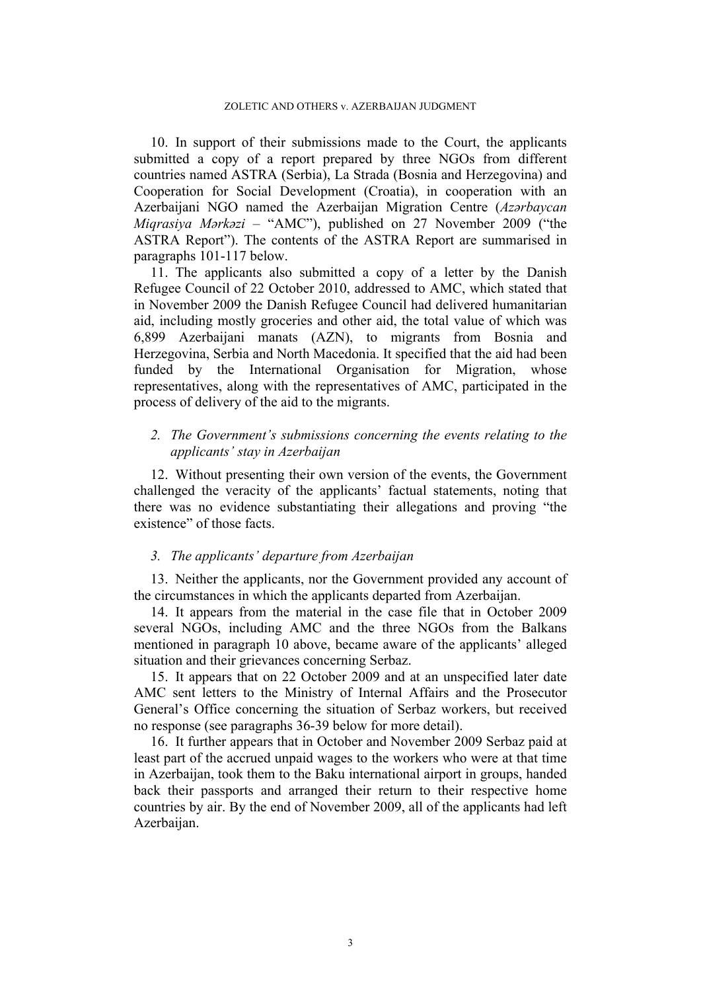<span id="page-4-0"></span>10. In support of their submissions made to the Court, the applicants submitted a copy of a report prepared by three NGOs from different countries named ASTRA (Serbia), La Strada (Bosnia and Herzegovina) and Cooperation for Social Development (Croatia), in cooperation with an Azerbaijani NGO named the Azerbaijan Migration Centre (*Azərbaycan Miqrasiya Mərkəzi* – "AMC"), published on 27 November 2009 ("the ASTRA Report"). The contents of the ASTRA Report are summarised in paragraphs [101](#page-26-0)[-117](#page-29-0) below.

<span id="page-4-1"></span>11. The applicants also submitted a copy of a letter by the Danish Refugee Council of 22 October 2010, addressed to AMC, which stated that in November 2009 the Danish Refugee Council had delivered humanitarian aid, including mostly groceries and other aid, the total value of which was 6,899 Azerbaijani manats (AZN), to migrants from Bosnia and Herzegovina, Serbia and North Macedonia. It specified that the aid had been funded by the International Organisation for Migration, whose representatives, along with the representatives of AMC, participated in the process of delivery of the aid to the migrants.

## *2. The Government's submissions concerning the events relating to the applicants' stay in Azerbaijan*

12. Without presenting their own version of the events, the Government challenged the veracity of the applicants' factual statements, noting that there was no evidence substantiating their allegations and proving "the existence" of those facts.

## *3. The applicants' departure from Azerbaijan*

13. Neither the applicants, nor the Government provided any account of the circumstances in which the applicants departed from Azerbaijan.

14. It appears from the material in the case file that in October 2009 several NGOs, including AMC and the three NGOs from the Balkans mentioned in paragraph [10](#page-4-0) above, became aware of the applicants' alleged situation and their grievances concerning Serbaz.

15. It appears that on 22 October 2009 and at an unspecified later date AMC sent letters to the Ministry of Internal Affairs and the Prosecutor General's Office concerning the situation of Serbaz workers, but received no response (see paragraphs [36-](#page-10-0)[39](#page-10-1) below for more detail).

<span id="page-4-2"></span>16. It further appears that in October and November 2009 Serbaz paid at least part of the accrued unpaid wages to the workers who were at that time in Azerbaijan, took them to the Baku international airport in groups, handed back their passports and arranged their return to their respective home countries by air. By the end of November 2009, all of the applicants had left Azerbaijan.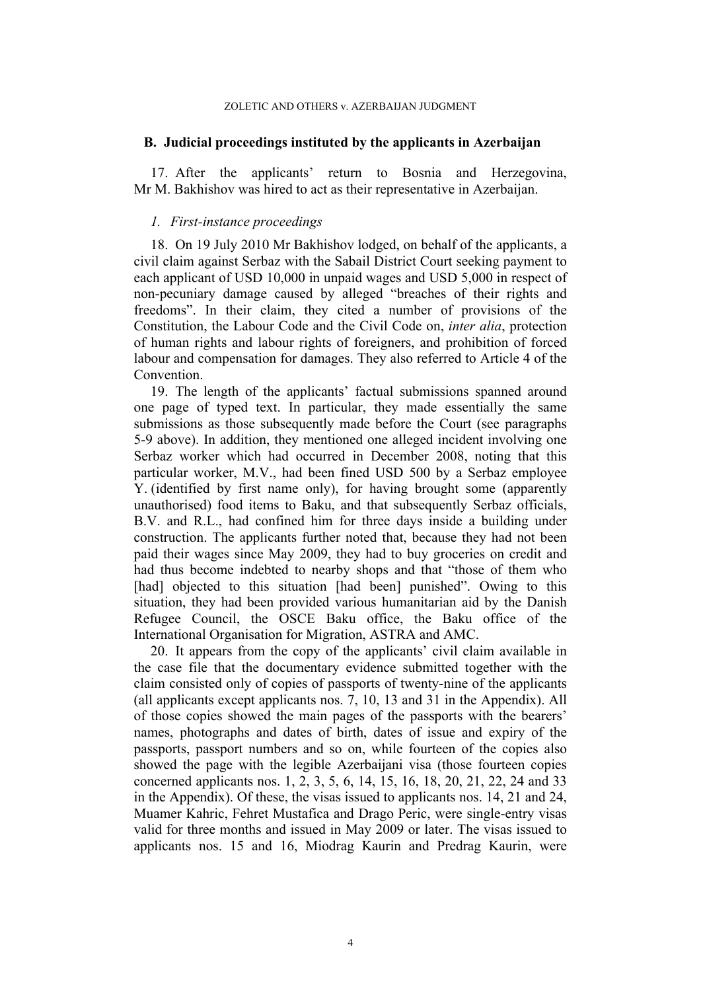#### ZOLETIC AND OTHERS v. AZERBAIJAN JUDGMENT

### **B. Judicial proceedings instituted by the applicants in Azerbaijan**

17. After the applicants' return to Bosnia and Herzegovina, Mr M. Bakhishov was hired to act as their representative in Azerbaijan.

## *1. First-instance proceedings*

<span id="page-5-0"></span>18. On 19 July 2010 Mr Bakhishov lodged, on behalf of the applicants, a civil claim against Serbaz with the Sabail District Court seeking payment to each applicant of USD 10,000 in unpaid wages and USD 5,000 in respect of non-pecuniary damage caused by alleged "breaches of their rights and freedoms". In their claim, they cited a number of provisions of the Constitution, the Labour Code and the Civil Code on, *inter alia*, protection of human rights and labour rights of foreigners, and prohibition of forced labour and compensation for damages. They also referred to Article 4 of the Convention.

<span id="page-5-1"></span>19. The length of the applicants' factual submissions spanned around one page of typed text. In particular, they made essentially the same submissions as those subsequently made before the Court (see paragraphs [5-](#page-3-0)[9](#page-3-1) above). In addition, they mentioned one alleged incident involving one Serbaz worker which had occurred in December 2008, noting that this particular worker, M.V., had been fined USD 500 by a Serbaz employee Y. (identified by first name only), for having brought some (apparently unauthorised) food items to Baku, and that subsequently Serbaz officials, B.V. and R.L., had confined him for three days inside a building under construction. The applicants further noted that, because they had not been paid their wages since May 2009, they had to buy groceries on credit and had thus become indebted to nearby shops and that "those of them who [had] objected to this situation [had been] punished". Owing to this situation, they had been provided various humanitarian aid by the Danish Refugee Council, the OSCE Baku office, the Baku office of the International Organisation for Migration, ASTRA and AMC.

<span id="page-5-2"></span>20. It appears from the copy of the applicants' civil claim available in the case file that the documentary evidence submitted together with the claim consisted only of copies of passports of twenty-nine of the applicants (all applicants except applicants nos. 7, 10, 13 and 31 in the Appendix). All of those copies showed the main pages of the passports with the bearers' names, photographs and dates of birth, dates of issue and expiry of the passports, passport numbers and so on, while fourteen of the copies also showed the page with the legible Azerbaijani visa (those fourteen copies concerned applicants nos. 1, 2, 3, 5, 6, 14, 15, 16, 18, 20, 21, 22, 24 and 33 in the Appendix). Of these, the visas issued to applicants nos. 14, 21 and 24, Muamer Kahric, Fehret Mustafica and Drago Peric, were single-entry visas valid for three months and issued in May 2009 or later. The visas issued to applicants nos. 15 and 16, Miodrag Kaurin and Predrag Kaurin, were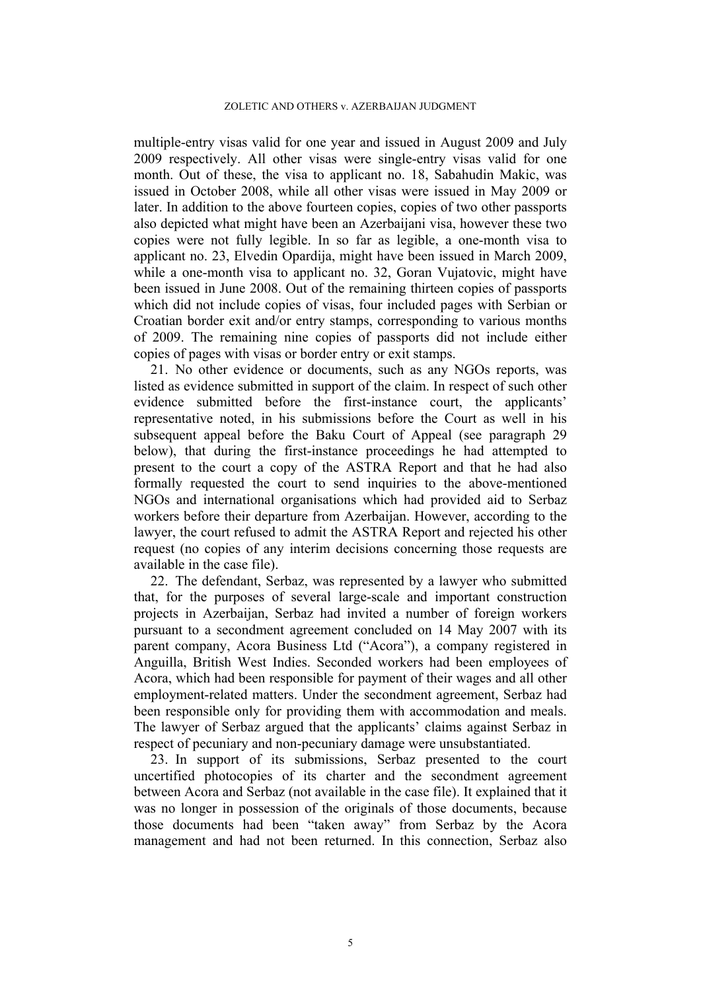#### ZOLETIC AND OTHERS v. AZERBAIJAN JUDGMENT

multiple-entry visas valid for one year and issued in August 2009 and July 2009 respectively. All other visas were single-entry visas valid for one month. Out of these, the visa to applicant no. 18, Sabahudin Makic, was issued in October 2008, while all other visas were issued in May 2009 or later. In addition to the above fourteen copies, copies of two other passports also depicted what might have been an Azerbaijani visa, however these two copies were not fully legible. In so far as legible, a one-month visa to applicant no. 23, Elvedin Opardija, might have been issued in March 2009, while a one-month visa to applicant no. 32, Goran Vujatovic, might have been issued in June 2008. Out of the remaining thirteen copies of passports which did not include copies of visas, four included pages with Serbian or Croatian border exit and/or entry stamps, corresponding to various months of 2009. The remaining nine copies of passports did not include either copies of pages with visas or border entry or exit stamps.

21. No other evidence or documents, such as any NGOs reports, was listed as evidence submitted in support of the claim. In respect of such other evidence submitted before the first-instance court, the applicants' representative noted, in his submissions before the Court as well in his subsequent appeal before the Baku Court of Appeal (see paragraph [29](#page-8-0)  below), that during the first-instance proceedings he had attempted to present to the court a copy of the ASTRA Report and that he had also formally requested the court to send inquiries to the above-mentioned NGOs and international organisations which had provided aid to Serbaz workers before their departure from Azerbaijan. However, according to the lawyer, the court refused to admit the ASTRA Report and rejected his other request (no copies of any interim decisions concerning those requests are available in the case file).

22. The defendant, Serbaz, was represented by a lawyer who submitted that, for the purposes of several large-scale and important construction projects in Azerbaijan, Serbaz had invited a number of foreign workers pursuant to a secondment agreement concluded on 14 May 2007 with its parent company, Acora Business Ltd ("Acora"), a company registered in Anguilla, British West Indies. Seconded workers had been employees of Acora, which had been responsible for payment of their wages and all other employment-related matters. Under the secondment agreement, Serbaz had been responsible only for providing them with accommodation and meals. The lawyer of Serbaz argued that the applicants' claims against Serbaz in respect of pecuniary and non-pecuniary damage were unsubstantiated.

23. In support of its submissions, Serbaz presented to the court uncertified photocopies of its charter and the secondment agreement between Acora and Serbaz (not available in the case file). It explained that it was no longer in possession of the originals of those documents, because those documents had been "taken away" from Serbaz by the Acora management and had not been returned. In this connection, Serbaz also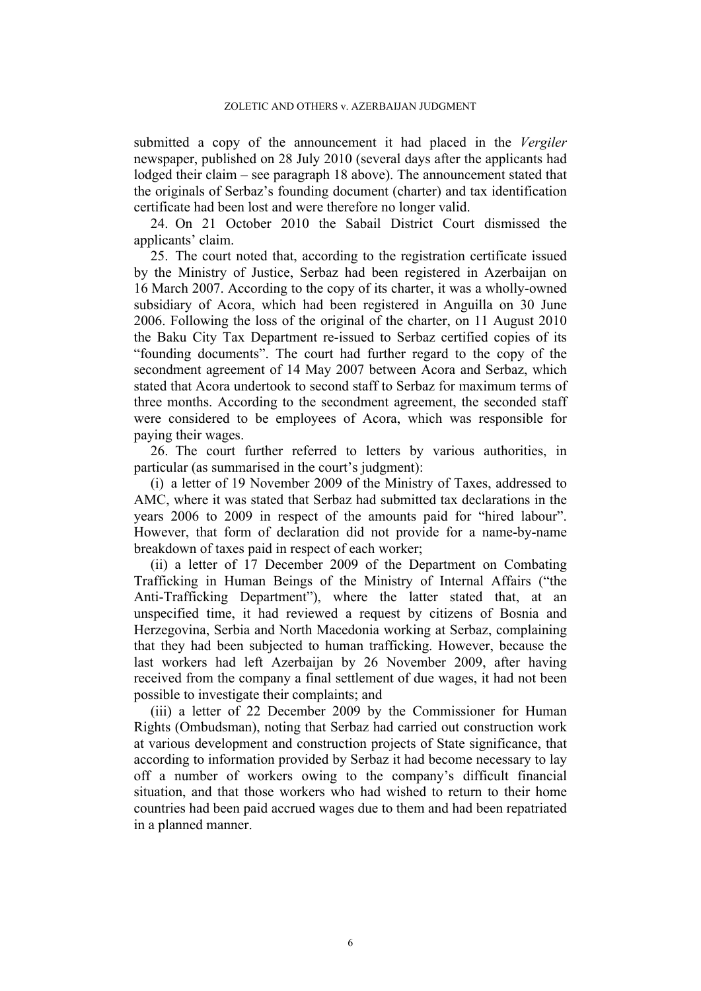submitted a copy of the announcement it had placed in the *Vergiler* newspaper, published on 28 July 2010 (several days after the applicants had lodged their claim – see paragraph [18](#page-5-0) above). The announcement stated that the originals of Serbaz's founding document (charter) and tax identification certificate had been lost and were therefore no longer valid.

24. On 21 October 2010 the Sabail District Court dismissed the applicants' claim.

<span id="page-7-0"></span>25. The court noted that, according to the registration certificate issued by the Ministry of Justice, Serbaz had been registered in Azerbaijan on 16 March 2007. According to the copy of its charter, it was a wholly-owned subsidiary of Acora, which had been registered in Anguilla on 30 June 2006. Following the loss of the original of the charter, on 11 August 2010 the Baku City Tax Department re-issued to Serbaz certified copies of its "founding documents". The court had further regard to the copy of the secondment agreement of 14 May 2007 between Acora and Serbaz, which stated that Acora undertook to second staff to Serbaz for maximum terms of three months. According to the secondment agreement, the seconded staff were considered to be employees of Acora, which was responsible for paying their wages.

<span id="page-7-1"></span>26. The court further referred to letters by various authorities, in particular (as summarised in the court's judgment):

(i) a letter of 19 November 2009 of the Ministry of Taxes, addressed to AMC, where it was stated that Serbaz had submitted tax declarations in the years 2006 to 2009 in respect of the amounts paid for "hired labour". However, that form of declaration did not provide for a name-by-name breakdown of taxes paid in respect of each worker;

(ii) a letter of 17 December 2009 of the Department on Combating Trafficking in Human Beings of the Ministry of Internal Affairs ("the Anti-Trafficking Department"), where the latter stated that, at an unspecified time, it had reviewed a request by citizens of Bosnia and Herzegovina, Serbia and North Macedonia working at Serbaz, complaining that they had been subjected to human trafficking. However, because the last workers had left Azerbaijan by 26 November 2009, after having received from the company a final settlement of due wages, it had not been possible to investigate their complaints; and

(iii) a letter of 22 December 2009 by the Commissioner for Human Rights (Ombudsman), noting that Serbaz had carried out construction work at various development and construction projects of State significance, that according to information provided by Serbaz it had become necessary to lay off a number of workers owing to the company's difficult financial situation, and that those workers who had wished to return to their home countries had been paid accrued wages due to them and had been repatriated in a planned manner.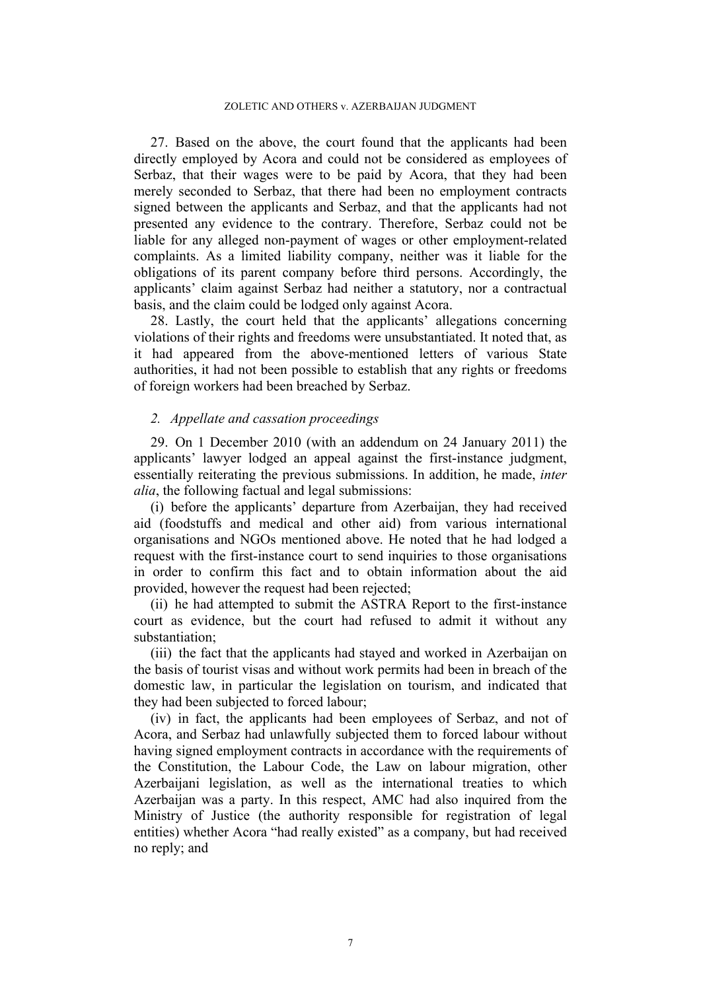27. Based on the above, the court found that the applicants had been directly employed by Acora and could not be considered as employees of Serbaz, that their wages were to be paid by Acora, that they had been merely seconded to Serbaz, that there had been no employment contracts signed between the applicants and Serbaz, and that the applicants had not presented any evidence to the contrary. Therefore, Serbaz could not be liable for any alleged non-payment of wages or other employment-related complaints. As a limited liability company, neither was it liable for the obligations of its parent company before third persons. Accordingly, the applicants' claim against Serbaz had neither a statutory, nor a contractual basis, and the claim could be lodged only against Acora.

28. Lastly, the court held that the applicants' allegations concerning violations of their rights and freedoms were unsubstantiated. It noted that, as it had appeared from the above-mentioned letters of various State authorities, it had not been possible to establish that any rights or freedoms of foreign workers had been breached by Serbaz.

## *2. Appellate and cassation proceedings*

<span id="page-8-0"></span>29. On 1 December 2010 (with an addendum on 24 January 2011) the applicants' lawyer lodged an appeal against the first-instance judgment, essentially reiterating the previous submissions. In addition, he made, *inter alia*, the following factual and legal submissions:

(i) before the applicants' departure from Azerbaijan, they had received aid (foodstuffs and medical and other aid) from various international organisations and NGOs mentioned above. He noted that he had lodged a request with the first-instance court to send inquiries to those organisations in order to confirm this fact and to obtain information about the aid provided, however the request had been rejected;

(ii) he had attempted to submit the ASTRA Report to the first-instance court as evidence, but the court had refused to admit it without any substantiation;

(iii) the fact that the applicants had stayed and worked in Azerbaijan on the basis of tourist visas and without work permits had been in breach of the domestic law, in particular the legislation on tourism, and indicated that they had been subjected to forced labour;

(iv) in fact, the applicants had been employees of Serbaz, and not of Acora, and Serbaz had unlawfully subjected them to forced labour without having signed employment contracts in accordance with the requirements of the Constitution, the Labour Code, the Law on labour migration, other Azerbaijani legislation, as well as the international treaties to which Azerbaijan was a party. In this respect, AMC had also inquired from the Ministry of Justice (the authority responsible for registration of legal entities) whether Acora "had really existed" as a company, but had received no reply; and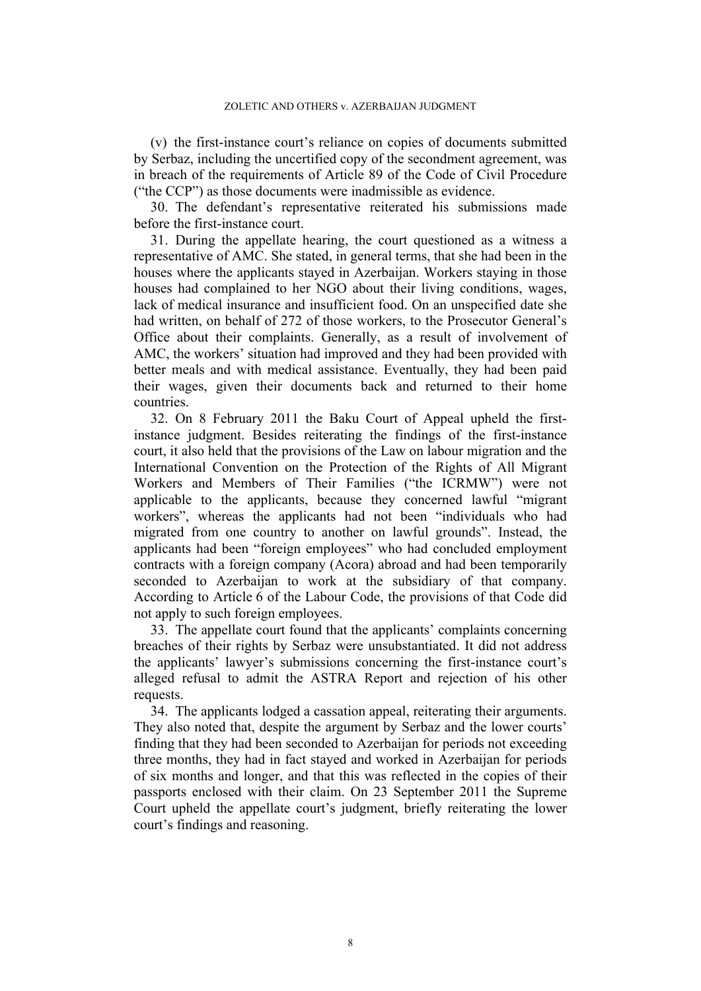(v) the first-instance court's reliance on copies of documents submitted by Serbaz, including the uncertified copy of the secondment agreement, was in breach of the requirements of Article 89 of the Code of Civil Procedure ("the CCP") as those documents were inadmissible as evidence.

30. The defendant's representative reiterated his submissions made before the first-instance court.

<span id="page-9-1"></span>31. During the appellate hearing, the court questioned as a witness a representative of AMC. She stated, in general terms, that she had been in the houses where the applicants stayed in Azerbaijan. Workers staying in those houses had complained to her NGO about their living conditions, wages, lack of medical insurance and insufficient food. On an unspecified date she had written, on behalf of 272 of those workers, to the Prosecutor General's Office about their complaints. Generally, as a result of involvement of AMC, the workers' situation had improved and they had been provided with better meals and with medical assistance. Eventually, they had been paid their wages, given their documents back and returned to their home countries.

32. On 8 February 2011 the Baku Court of Appeal upheld the firstinstance judgment. Besides reiterating the findings of the first-instance court, it also held that the provisions of the Law on labour migration and the International Convention on the Protection of the Rights of All Migrant Workers and Members of Their Families ("the ICRMW") were not applicable to the applicants, because they concerned lawful "migrant workers", whereas the applicants had not been "individuals who had migrated from one country to another on lawful grounds". Instead, the applicants had been "foreign employees" who had concluded employment contracts with a foreign company (Acora) abroad and had been temporarily seconded to Azerbaijan to work at the subsidiary of that company. According to Article 6 of the Labour Code, the provisions of that Code did not apply to such foreign employees.

33. The appellate court found that the applicants' complaints concerning breaches of their rights by Serbaz were unsubstantiated. It did not address the applicants' lawyer's submissions concerning the first-instance court's alleged refusal to admit the ASTRA Report and rejection of his other requests.

<span id="page-9-0"></span>34. The applicants lodged a cassation appeal, reiterating their arguments. They also noted that, despite the argument by Serbaz and the lower courts' finding that they had been seconded to Azerbaijan for periods not exceeding three months, they had in fact stayed and worked in Azerbaijan for periods of six months and longer, and that this was reflected in the copies of their passports enclosed with their claim. On 23 September 2011 the Supreme Court upheld the appellate court's judgment, briefly reiterating the lower court's findings and reasoning.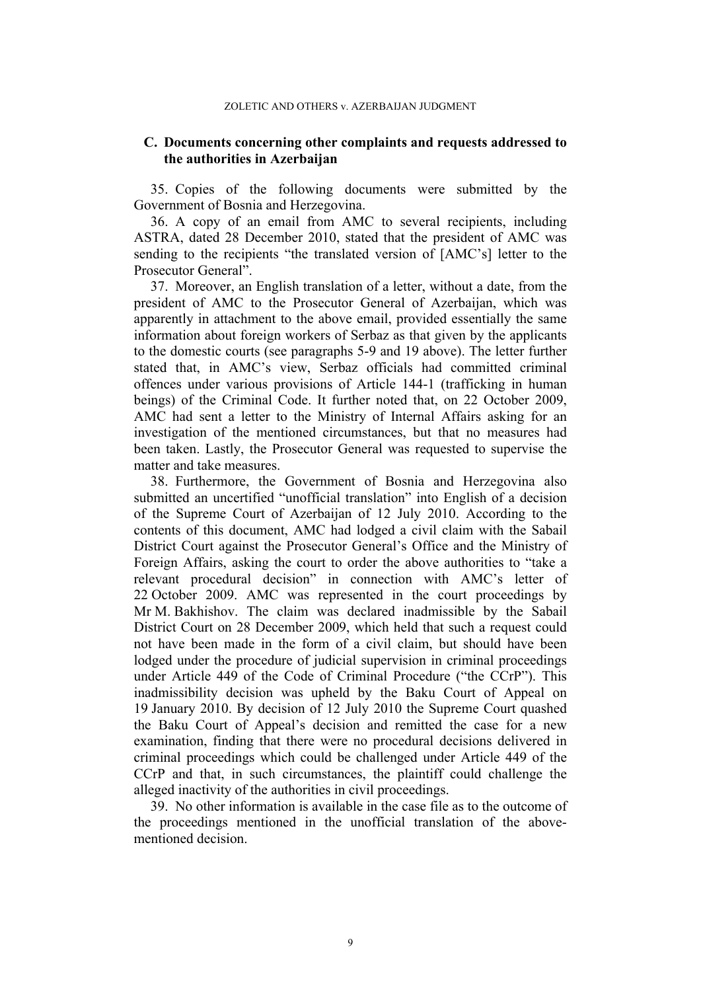## **C. Documents concerning other complaints and requests addressed to the authorities in Azerbaijan**

<span id="page-10-2"></span>35. Copies of the following documents were submitted by the Government of Bosnia and Herzegovina.

<span id="page-10-0"></span>36. A copy of an email from AMC to several recipients, including ASTRA, dated 28 December 2010, stated that the president of AMC was sending to the recipients "the translated version of [AMC's] letter to the Prosecutor General".

<span id="page-10-3"></span>37. Moreover, an English translation of a letter, without a date, from the president of AMC to the Prosecutor General of Azerbaijan, which was apparently in attachment to the above email, provided essentially the same information about foreign workers of Serbaz as that given by the applicants to the domestic courts (see paragraphs [5](#page-3-0)[-9](#page-3-1) and [19](#page-5-1) above). The letter further stated that, in AMC's view, Serbaz officials had committed criminal offences under various provisions of Article 144-1 (trafficking in human beings) of the Criminal Code. It further noted that, on 22 October 2009, AMC had sent a letter to the Ministry of Internal Affairs asking for an investigation of the mentioned circumstances, but that no measures had been taken. Lastly, the Prosecutor General was requested to supervise the matter and take measures.

38. Furthermore, the Government of Bosnia and Herzegovina also submitted an uncertified "unofficial translation" into English of a decision of the Supreme Court of Azerbaijan of 12 July 2010. According to the contents of this document, AMC had lodged a civil claim with the Sabail District Court against the Prosecutor General's Office and the Ministry of Foreign Affairs, asking the court to order the above authorities to "take a relevant procedural decision" in connection with AMC's letter of 22 October 2009. AMC was represented in the court proceedings by Mr M. Bakhishov. The claim was declared inadmissible by the Sabail District Court on 28 December 2009, which held that such a request could not have been made in the form of a civil claim, but should have been lodged under the procedure of judicial supervision in criminal proceedings under Article 449 of the Code of Criminal Procedure ("the CCrP"). This inadmissibility decision was upheld by the Baku Court of Appeal on 19 January 2010. By decision of 12 July 2010 the Supreme Court quashed the Baku Court of Appeal's decision and remitted the case for a new examination, finding that there were no procedural decisions delivered in criminal proceedings which could be challenged under Article 449 of the CCrP and that, in such circumstances, the plaintiff could challenge the alleged inactivity of the authorities in civil proceedings.

<span id="page-10-1"></span>39. No other information is available in the case file as to the outcome of the proceedings mentioned in the unofficial translation of the abovementioned decision.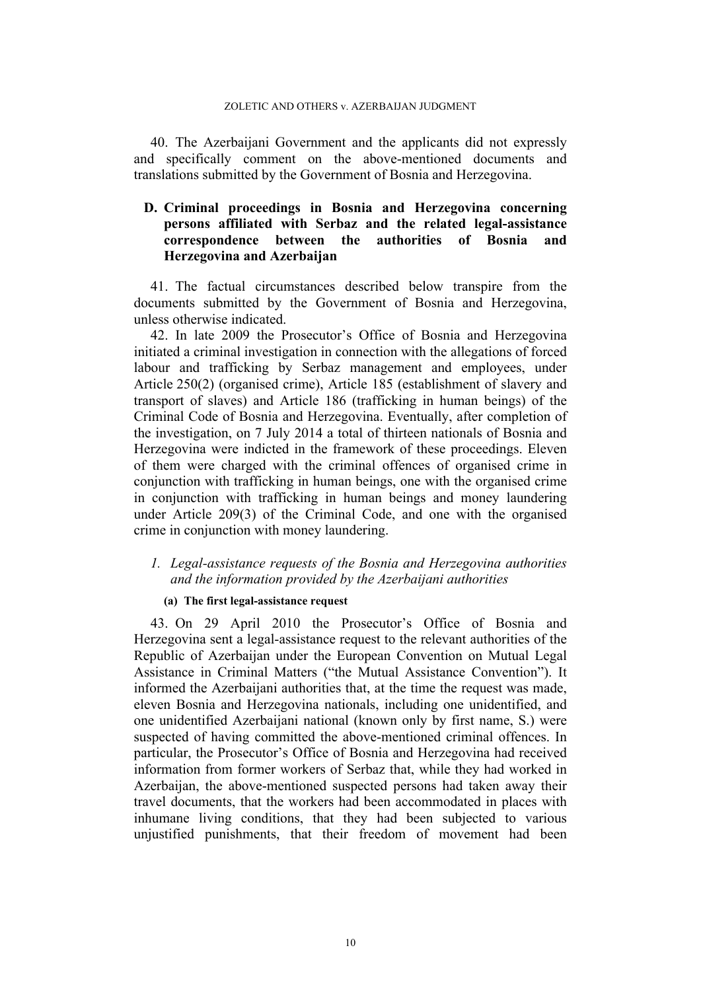40. The Azerbaijani Government and the applicants did not expressly and specifically comment on the above-mentioned documents and translations submitted by the Government of Bosnia and Herzegovina.

## **D. Criminal proceedings in Bosnia and Herzegovina concerning persons affiliated with Serbaz and the related legal-assistance correspondence between the authorities of Bosnia and Herzegovina and Azerbaijan**

41. The factual circumstances described below transpire from the documents submitted by the Government of Bosnia and Herzegovina, unless otherwise indicated.

<span id="page-11-0"></span>42. In late 2009 the Prosecutor's Office of Bosnia and Herzegovina initiated a criminal investigation in connection with the allegations of forced labour and trafficking by Serbaz management and employees, under Article 250(2) (organised crime), Article 185 (establishment of slavery and transport of slaves) and Article 186 (trafficking in human beings) of the Criminal Code of Bosnia and Herzegovina. Eventually, after completion of the investigation, on 7 July 2014 a total of thirteen nationals of Bosnia and Herzegovina were indicted in the framework of these proceedings. Eleven of them were charged with the criminal offences of organised crime in conjunction with trafficking in human beings, one with the organised crime in conjunction with trafficking in human beings and money laundering under Article 209(3) of the Criminal Code, and one with the organised crime in conjunction with money laundering.

## *1. Legal-assistance requests of the Bosnia and Herzegovina authorities and the information provided by the Azerbaijani authorities*

### **(a) The first legal-assistance request**

<span id="page-11-1"></span>43. On 29 April 2010 the Prosecutor's Office of Bosnia and Herzegovina sent a legal-assistance request to the relevant authorities of the Republic of Azerbaijan under the European Convention on Mutual Legal Assistance in Criminal Matters ("the Mutual Assistance Convention"). It informed the Azerbaijani authorities that, at the time the request was made, eleven Bosnia and Herzegovina nationals, including one unidentified, and one unidentified Azerbaijani national (known only by first name, S.) were suspected of having committed the above-mentioned criminal offences. In particular, the Prosecutor's Office of Bosnia and Herzegovina had received information from former workers of Serbaz that, while they had worked in Azerbaijan, the above-mentioned suspected persons had taken away their travel documents, that the workers had been accommodated in places with inhumane living conditions, that they had been subjected to various unjustified punishments, that their freedom of movement had been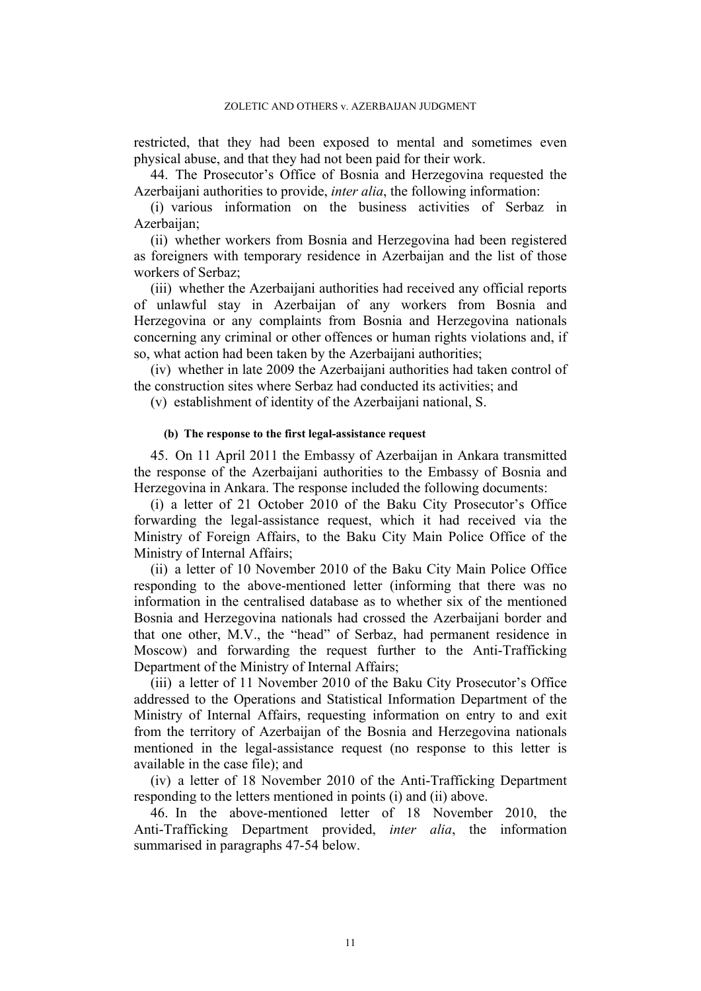restricted, that they had been exposed to mental and sometimes even physical abuse, and that they had not been paid for their work.

<span id="page-12-0"></span>44. The Prosecutor's Office of Bosnia and Herzegovina requested the Azerbaijani authorities to provide, *inter alia*, the following information:

(i) various information on the business activities of Serbaz in Azerbaijan;

(ii) whether workers from Bosnia and Herzegovina had been registered as foreigners with temporary residence in Azerbaijan and the list of those workers of Serbaz;

(iii) whether the Azerbaijani authorities had received any official reports of unlawful stay in Azerbaijan of any workers from Bosnia and Herzegovina or any complaints from Bosnia and Herzegovina nationals concerning any criminal or other offences or human rights violations and, if so, what action had been taken by the Azerbaijani authorities;

(iv) whether in late 2009 the Azerbaijani authorities had taken control of the construction sites where Serbaz had conducted its activities; and

(v) establishment of identity of the Azerbaijani national, S.

#### **(b) The response to the first legal-assistance request**

45. On 11 April 2011 the Embassy of Azerbaijan in Ankara transmitted the response of the Azerbaijani authorities to the Embassy of Bosnia and Herzegovina in Ankara. The response included the following documents:

(i) a letter of 21 October 2010 of the Baku City Prosecutor's Office forwarding the legal-assistance request, which it had received via the Ministry of Foreign Affairs, to the Baku City Main Police Office of the Ministry of Internal Affairs;

(ii) a letter of 10 November 2010 of the Baku City Main Police Office responding to the above-mentioned letter (informing that there was no information in the centralised database as to whether six of the mentioned Bosnia and Herzegovina nationals had crossed the Azerbaijani border and that one other, M.V., the "head" of Serbaz, had permanent residence in Moscow) and forwarding the request further to the Anti-Trafficking Department of the Ministry of Internal Affairs;

(iii) a letter of 11 November 2010 of the Baku City Prosecutor's Office addressed to the Operations and Statistical Information Department of the Ministry of Internal Affairs, requesting information on entry to and exit from the territory of Azerbaijan of the Bosnia and Herzegovina nationals mentioned in the legal-assistance request (no response to this letter is available in the case file); and

(iv) a letter of 18 November 2010 of the Anti-Trafficking Department responding to the letters mentioned in points (i) and (ii) above.

<span id="page-12-1"></span>46. In the above-mentioned letter of 18 November 2010, the Anti-Trafficking Department provided, *inter alia*, the information summarised in paragraphs [47-](#page-13-0)[54](#page-14-1) below.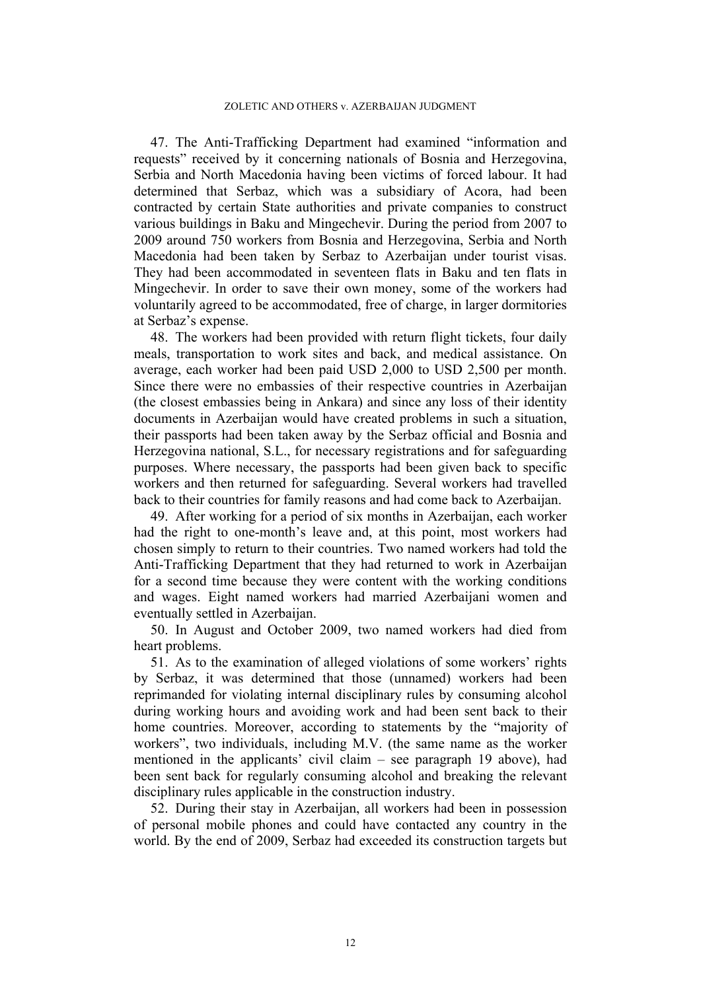<span id="page-13-0"></span>47. The Anti-Trafficking Department had examined "information and requests" received by it concerning nationals of Bosnia and Herzegovina, Serbia and North Macedonia having been victims of forced labour. It had determined that Serbaz, which was a subsidiary of Acora, had been contracted by certain State authorities and private companies to construct various buildings in Baku and Mingechevir. During the period from 2007 to 2009 around 750 workers from Bosnia and Herzegovina, Serbia and North Macedonia had been taken by Serbaz to Azerbaijan under tourist visas. They had been accommodated in seventeen flats in Baku and ten flats in Mingechevir. In order to save their own money, some of the workers had voluntarily agreed to be accommodated, free of charge, in larger dormitories at Serbaz's expense.

48. The workers had been provided with return flight tickets, four daily meals, transportation to work sites and back, and medical assistance. On average, each worker had been paid USD 2,000 to USD 2,500 per month. Since there were no embassies of their respective countries in Azerbaijan (the closest embassies being in Ankara) and since any loss of their identity documents in Azerbaijan would have created problems in such a situation, their passports had been taken away by the Serbaz official and Bosnia and Herzegovina national, S.L., for necessary registrations and for safeguarding purposes. Where necessary, the passports had been given back to specific workers and then returned for safeguarding. Several workers had travelled back to their countries for family reasons and had come back to Azerbaijan.

<span id="page-13-1"></span>49. After working for a period of six months in Azerbaijan, each worker had the right to one-month's leave and, at this point, most workers had chosen simply to return to their countries. Two named workers had told the Anti-Trafficking Department that they had returned to work in Azerbaijan for a second time because they were content with the working conditions and wages. Eight named workers had married Azerbaijani women and eventually settled in Azerbaijan.

50. In August and October 2009, two named workers had died from heart problems.

51. As to the examination of alleged violations of some workers' rights by Serbaz, it was determined that those (unnamed) workers had been reprimanded for violating internal disciplinary rules by consuming alcohol during working hours and avoiding work and had been sent back to their home countries. Moreover, according to statements by the "majority of workers", two individuals, including M.V. (the same name as the worker mentioned in the applicants' civil claim – see paragraph [19](#page-5-1) above), had been sent back for regularly consuming alcohol and breaking the relevant disciplinary rules applicable in the construction industry.

52. During their stay in Azerbaijan, all workers had been in possession of personal mobile phones and could have contacted any country in the world. By the end of 2009, Serbaz had exceeded its construction targets but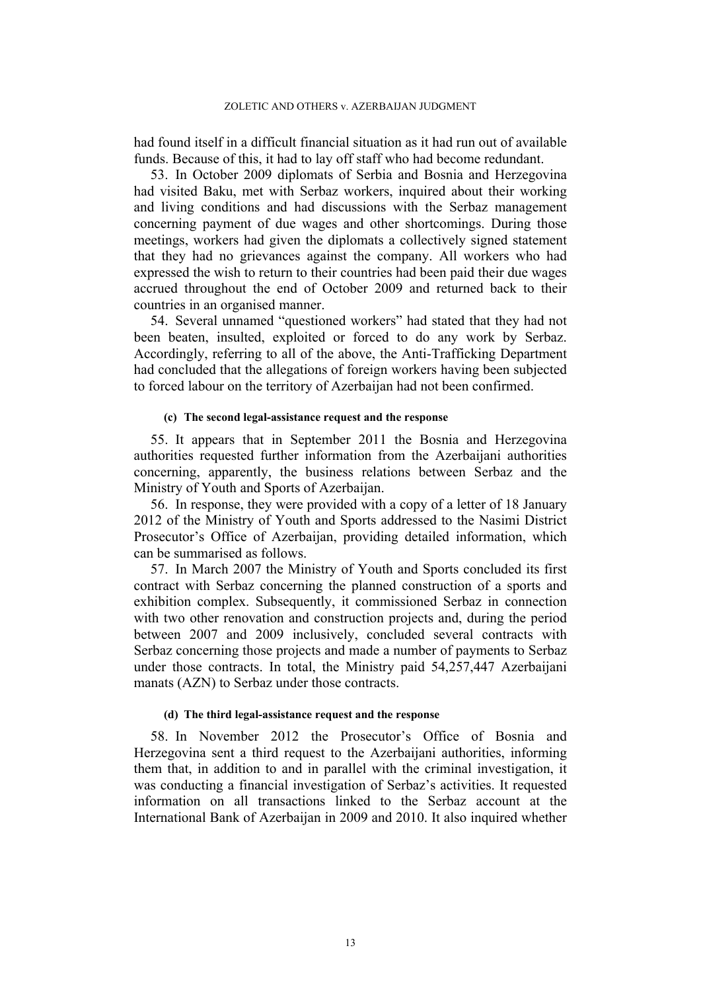had found itself in a difficult financial situation as it had run out of available funds. Because of this, it had to lay off staff who had become redundant.

53. In October 2009 diplomats of Serbia and Bosnia and Herzegovina had visited Baku, met with Serbaz workers, inquired about their working and living conditions and had discussions with the Serbaz management concerning payment of due wages and other shortcomings. During those meetings, workers had given the diplomats a collectively signed statement that they had no grievances against the company. All workers who had expressed the wish to return to their countries had been paid their due wages accrued throughout the end of October 2009 and returned back to their countries in an organised manner.

<span id="page-14-1"></span>54. Several unnamed "questioned workers" had stated that they had not been beaten, insulted, exploited or forced to do any work by Serbaz. Accordingly, referring to all of the above, the Anti-Trafficking Department had concluded that the allegations of foreign workers having been subjected to forced labour on the territory of Azerbaijan had not been confirmed.

## **(c) The second legal-assistance request and the response**

55. It appears that in September 2011 the Bosnia and Herzegovina authorities requested further information from the Azerbaijani authorities concerning, apparently, the business relations between Serbaz and the Ministry of Youth and Sports of Azerbaijan.

56. In response, they were provided with a copy of a letter of 18 January 2012 of the Ministry of Youth and Sports addressed to the Nasimi District Prosecutor's Office of Azerbaijan, providing detailed information, which can be summarised as follows.

<span id="page-14-0"></span>57. In March 2007 the Ministry of Youth and Sports concluded its first contract with Serbaz concerning the planned construction of a sports and exhibition complex. Subsequently, it commissioned Serbaz in connection with two other renovation and construction projects and, during the period between 2007 and 2009 inclusively, concluded several contracts with Serbaz concerning those projects and made a number of payments to Serbaz under those contracts. In total, the Ministry paid 54,257,447 Azerbaijani manats (AZN) to Serbaz under those contracts.

### **(d) The third legal-assistance request and the response**

58. In November 2012 the Prosecutor's Office of Bosnia and Herzegovina sent a third request to the Azerbaijani authorities, informing them that, in addition to and in parallel with the criminal investigation, it was conducting a financial investigation of Serbaz's activities. It requested information on all transactions linked to the Serbaz account at the International Bank of Azerbaijan in 2009 and 2010. It also inquired whether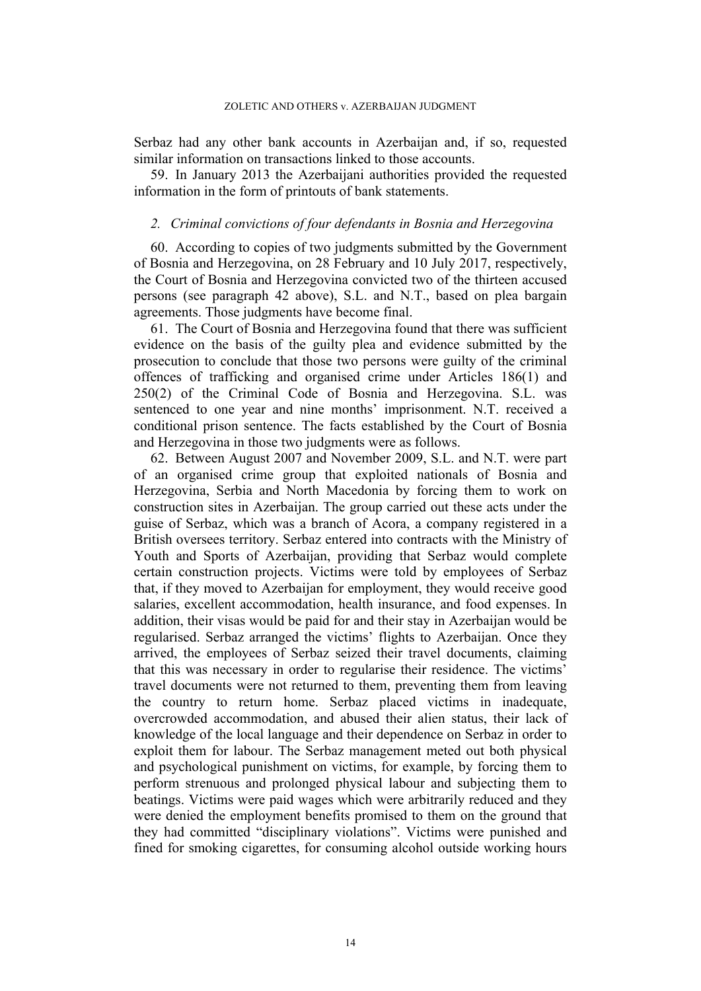Serbaz had any other bank accounts in Azerbaijan and, if so, requested similar information on transactions linked to those accounts.

<span id="page-15-1"></span>59. In January 2013 the Azerbaijani authorities provided the requested information in the form of printouts of bank statements.

## *2. Criminal convictions of four defendants in Bosnia and Herzegovina*

<span id="page-15-0"></span>60. According to copies of two judgments submitted by the Government of Bosnia and Herzegovina, on 28 February and 10 July 2017, respectively, the Court of Bosnia and Herzegovina convicted two of the thirteen accused persons (see paragraph [42](#page-11-0) above), S.L. and N.T., based on plea bargain agreements. Those judgments have become final.

61. The Court of Bosnia and Herzegovina found that there was sufficient evidence on the basis of the guilty plea and evidence submitted by the prosecution to conclude that those two persons were guilty of the criminal offences of trafficking and organised crime under Articles 186(1) and 250(2) of the Criminal Code of Bosnia and Herzegovina. S.L. was sentenced to one year and nine months' imprisonment. N.T. received a conditional prison sentence. The facts established by the Court of Bosnia and Herzegovina in those two judgments were as follows.

62. Between August 2007 and November 2009, S.L. and N.T. were part of an organised crime group that exploited nationals of Bosnia and Herzegovina, Serbia and North Macedonia by forcing them to work on construction sites in Azerbaijan. The group carried out these acts under the guise of Serbaz, which was a branch of Acora, a company registered in a British oversees territory. Serbaz entered into contracts with the Ministry of Youth and Sports of Azerbaijan, providing that Serbaz would complete certain construction projects. Victims were told by employees of Serbaz that, if they moved to Azerbaijan for employment, they would receive good salaries, excellent accommodation, health insurance, and food expenses. In addition, their visas would be paid for and their stay in Azerbaijan would be regularised. Serbaz arranged the victims' flights to Azerbaijan. Once they arrived, the employees of Serbaz seized their travel documents, claiming that this was necessary in order to regularise their residence. The victims' travel documents were not returned to them, preventing them from leaving the country to return home. Serbaz placed victims in inadequate, overcrowded accommodation, and abused their alien status, their lack of knowledge of the local language and their dependence on Serbaz in order to exploit them for labour. The Serbaz management meted out both physical and psychological punishment on victims, for example, by forcing them to perform strenuous and prolonged physical labour and subjecting them to beatings. Victims were paid wages which were arbitrarily reduced and they were denied the employment benefits promised to them on the ground that they had committed "disciplinary violations". Victims were punished and fined for smoking cigarettes, for consuming alcohol outside working hours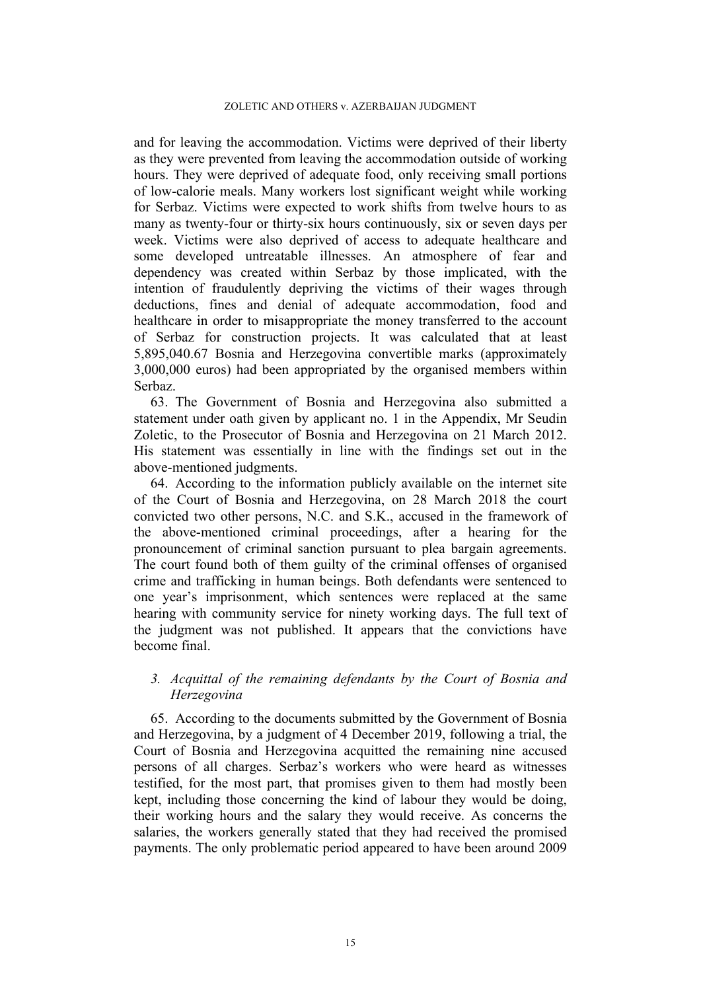and for leaving the accommodation. Victims were deprived of their liberty as they were prevented from leaving the accommodation outside of working hours. They were deprived of adequate food, only receiving small portions of low-calorie meals. Many workers lost significant weight while working for Serbaz. Victims were expected to work shifts from twelve hours to as many as twenty-four or thirty-six hours continuously, six or seven days per week. Victims were also deprived of access to adequate healthcare and some developed untreatable illnesses. An atmosphere of fear and dependency was created within Serbaz by those implicated, with the intention of fraudulently depriving the victims of their wages through deductions, fines and denial of adequate accommodation, food and healthcare in order to misappropriate the money transferred to the account of Serbaz for construction projects. It was calculated that at least 5,895,040.67 Bosnia and Herzegovina convertible marks (approximately 3,000,000 euros) had been appropriated by the organised members within Serbaz.

63. The Government of Bosnia and Herzegovina also submitted a statement under oath given by applicant no. 1 in the Appendix, Mr Seudin Zoletic, to the Prosecutor of Bosnia and Herzegovina on 21 March 2012. His statement was essentially in line with the findings set out in the above-mentioned judgments.

64. According to the information publicly available on the internet site of the Court of Bosnia and Herzegovina, on 28 March 2018 the court convicted two other persons, N.C. and S.K., accused in the framework of the above-mentioned criminal proceedings, after a hearing for the pronouncement of criminal sanction pursuant to plea bargain agreements. The court found both of them guilty of the criminal offenses of organised crime and trafficking in human beings. Both defendants were sentenced to one year's imprisonment, which sentences were replaced at the same hearing with community service for ninety working days. The full text of the judgment was not published. It appears that the convictions have become final.

## *3. Acquittal of the remaining defendants by the Court of Bosnia and Herzegovina*

65. According to the documents submitted by the Government of Bosnia and Herzegovina, by a judgment of 4 December 2019, following a trial, the Court of Bosnia and Herzegovina acquitted the remaining nine accused persons of all charges. Serbaz's workers who were heard as witnesses testified, for the most part, that promises given to them had mostly been kept, including those concerning the kind of labour they would be doing, their working hours and the salary they would receive. As concerns the salaries, the workers generally stated that they had received the promised payments. The only problematic period appeared to have been around 2009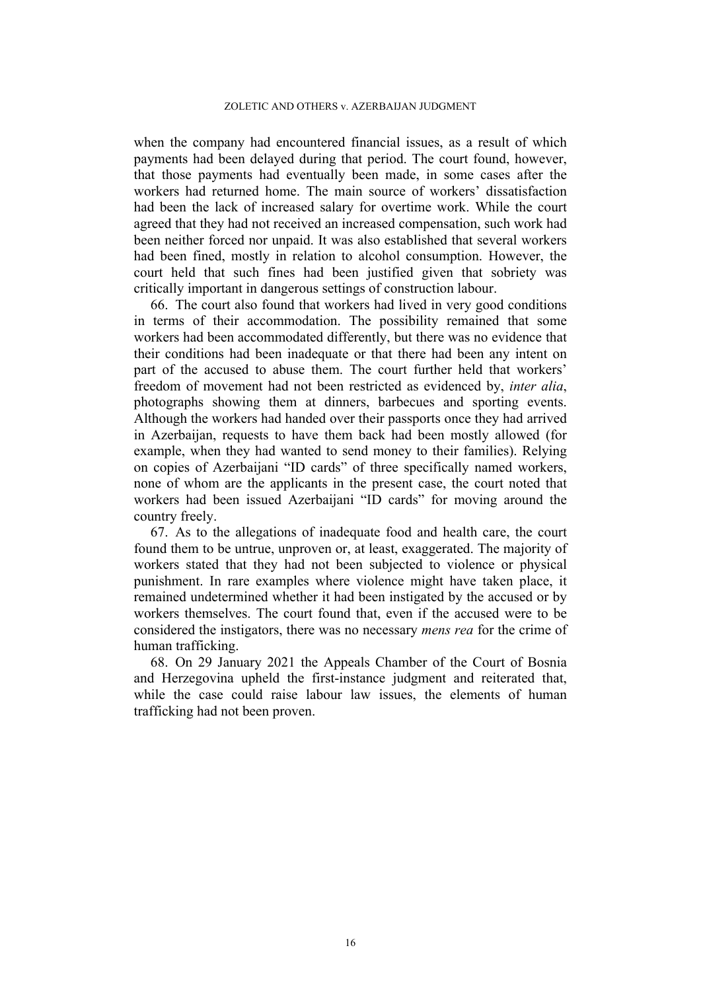when the company had encountered financial issues, as a result of which payments had been delayed during that period. The court found, however, that those payments had eventually been made, in some cases after the workers had returned home. The main source of workers' dissatisfaction had been the lack of increased salary for overtime work. While the court agreed that they had not received an increased compensation, such work had been neither forced nor unpaid. It was also established that several workers had been fined, mostly in relation to alcohol consumption. However, the court held that such fines had been justified given that sobriety was critically important in dangerous settings of construction labour.

66. The court also found that workers had lived in very good conditions in terms of their accommodation. The possibility remained that some workers had been accommodated differently, but there was no evidence that their conditions had been inadequate or that there had been any intent on part of the accused to abuse them. The court further held that workers' freedom of movement had not been restricted as evidenced by, *inter alia*, photographs showing them at dinners, barbecues and sporting events. Although the workers had handed over their passports once they had arrived in Azerbaijan, requests to have them back had been mostly allowed (for example, when they had wanted to send money to their families). Relying on copies of Azerbaijani "ID cards" of three specifically named workers, none of whom are the applicants in the present case, the court noted that workers had been issued Azerbaijani "ID cards" for moving around the country freely.

67. As to the allegations of inadequate food and health care, the court found them to be untrue, unproven or, at least, exaggerated. The majority of workers stated that they had not been subjected to violence or physical punishment. In rare examples where violence might have taken place, it remained undetermined whether it had been instigated by the accused or by workers themselves. The court found that, even if the accused were to be considered the instigators, there was no necessary *mens rea* for the crime of human trafficking.

68. On 29 January 2021 the Appeals Chamber of the Court of Bosnia and Herzegovina upheld the first-instance judgment and reiterated that, while the case could raise labour law issues, the elements of human trafficking had not been proven.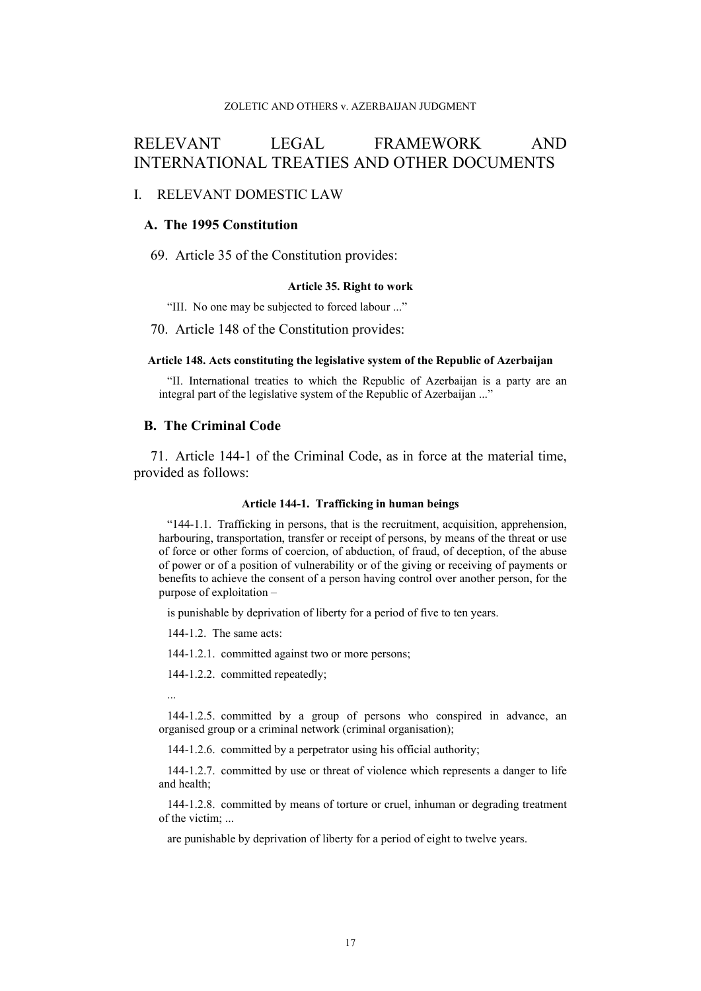# RELEVANT LEGAL FRAMEWORK AND INTERNATIONAL TREATIES AND OTHER DOCUMENTS

## I. RELEVANT DOMESTIC LAW

## **A. The 1995 Constitution**

69. Article 35 of the Constitution provides:

#### **Article 35. Right to work**

"III. No one may be subjected to forced labour ..."

70. Article 148 of the Constitution provides:

#### **Article 148. Acts constituting the legislative system of the Republic of Azerbaijan**

"II. International treaties to which the Republic of Azerbaijan is a party are an integral part of the legislative system of the Republic of Azerbaijan ..."

## **B. The Criminal Code**

<span id="page-18-0"></span>71. Article 144-1 of the Criminal Code, as in force at the material time, provided as follows:

#### **Article 144-1. Trafficking in human beings**

"144-1.1. Trafficking in persons, that is the recruitment, acquisition, apprehension, harbouring, transportation, transfer or receipt of persons, by means of the threat or use of force or other forms of coercion, of abduction, of fraud, of deception, of the abuse of power or of a position of vulnerability or of the giving or receiving of payments or benefits to achieve the consent of a person having control over another person, for the purpose of exploitation –

is punishable by deprivation of liberty for a period of five to ten years.

144-1.2. The same acts:

144-1.2.1. committed against two or more persons;

144-1.2.2. committed repeatedly;

...

144-1.2.5. committed by a group of persons who conspired in advance, an organised group or a criminal network (criminal organisation);

144-1.2.6. committed by a perpetrator using his official authority;

144-1.2.7. committed by use or threat of violence which represents a danger to life and health;

144-1.2.8. committed by means of torture or cruel, inhuman or degrading treatment of the victim; ...

are punishable by deprivation of liberty for a period of eight to twelve years.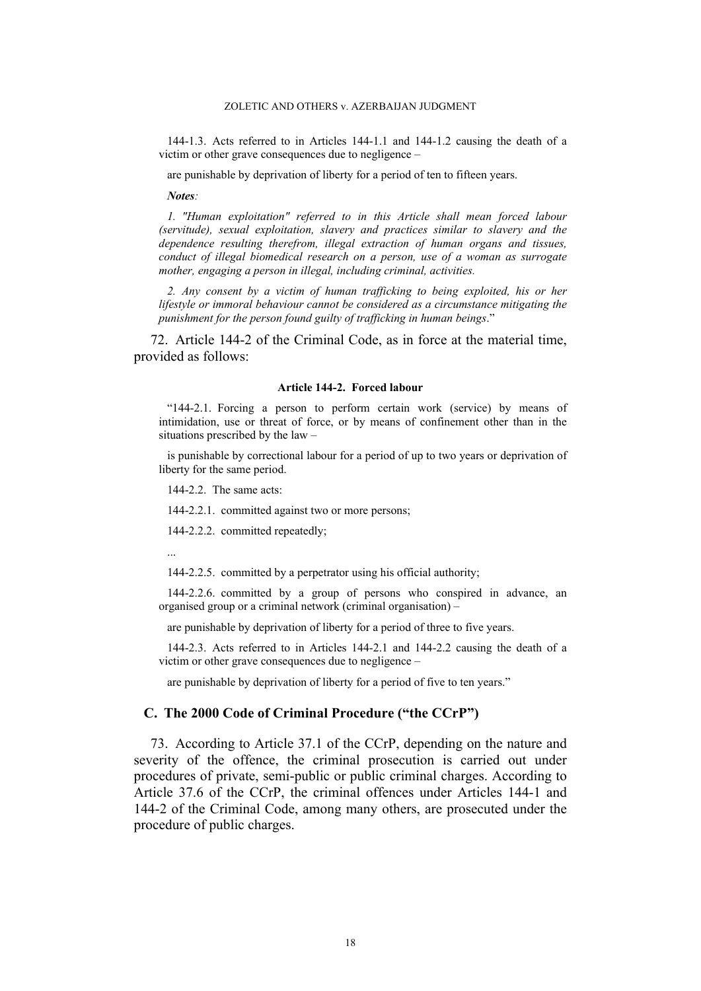144-1.3. Acts referred to in Articles 144-1.1 and 144-1.2 causing the death of a victim or other grave consequences due to negligence –

are punishable by deprivation of liberty for a period of ten to fifteen years.

*Notes:*

*1. "Human exploitation" referred to in this Article shall mean forced labour (servitude), sexual exploitation, slavery and practices similar to slavery and the dependence resulting therefrom, illegal extraction of human organs and tissues, conduct of illegal biomedical research on a person, use of a woman as surrogate mother, engaging a person in illegal, including criminal, activities.*

*2. Any consent by a victim of human trafficking to being exploited, his or her lifestyle or immoral behaviour cannot be considered as a circumstance mitigating the punishment for the person found guilty of trafficking in human beings*."

<span id="page-19-0"></span>72. Article 144-2 of the Criminal Code, as in force at the material time, provided as follows:

#### **Article 144-2. Forced labour**

"144-2.1. Forcing a person to perform certain work (service) by means of intimidation, use or threat of force, or by means of confinement other than in the situations prescribed by the law –

is punishable by correctional labour for a period of up to two years or deprivation of liberty for the same period.

144-2.2. The same acts:

144-2.2.1. committed against two or more persons;

144-2.2.2. committed repeatedly;

...

144-2.2.5. committed by a perpetrator using his official authority;

144-2.2.6. committed by a group of persons who conspired in advance, an organised group or a criminal network (criminal organisation) –

are punishable by deprivation of liberty for a period of three to five years.

144-2.3. Acts referred to in Articles 144-2.1 and 144-2.2 causing the death of a victim or other grave consequences due to negligence –

are punishable by deprivation of liberty for a period of five to ten years."

## **C. The 2000 Code of Criminal Procedure ("the CCrP")**

73. According to Article 37.1 of the CCrP, depending on the nature and severity of the offence, the criminal prosecution is carried out under procedures of private, semi-public or public criminal charges. According to Article 37.6 of the CCrP, the criminal offences under Articles 144-1 and 144-2 of the Criminal Code, among many others, are prosecuted under the procedure of public charges.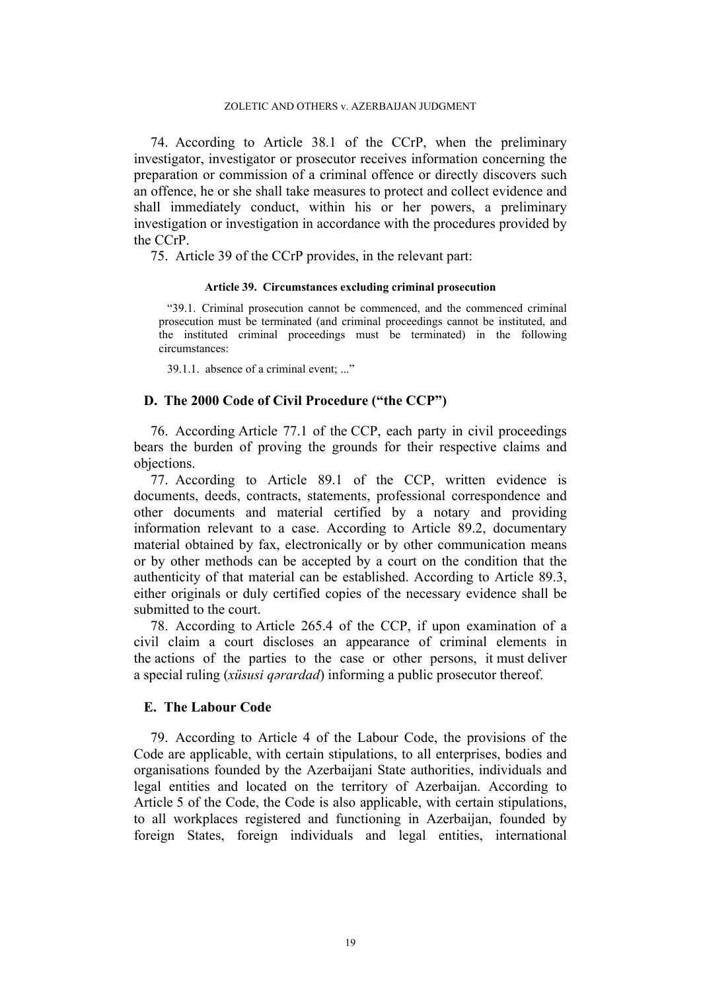74. According to Article 38.1 of the CCrP, when the preliminary investigator, investigator or prosecutor receives information concerning the preparation or commission of a criminal offence or directly discovers such an offence, he or she shall take measures to protect and collect evidence and shall immediately conduct, within his or her powers, a preliminary investigation or investigation in accordance with the procedures provided by the CCrP.

75. Article 39 of the CCrP provides, in the relevant part:

#### **Article 39. Circumstances excluding criminal prosecution**

"39.1. Criminal prosecution cannot be commenced, and the commenced criminal prosecution must be terminated (and criminal proceedings cannot be instituted, and the instituted criminal proceedings must be terminated) in the following circumstances:

39.1.1. absence of a criminal event; ..."

## **D. The 2000 Code of Civil Procedure ("the CCP")**

76. According Article 77.1 of the CCP, each party in civil proceedings bears the burden of proving the grounds for their respective claims and objections.

77. According to Article 89.1 of the CCP, written evidence is documents, deeds, contracts, statements, professional correspondence and other documents and material certified by a notary and providing information relevant to a case. According to Article 89.2, documentary material obtained by fax, electronically or by other communication means or by other methods can be accepted by a court on the condition that the authenticity of that material can be established. According to Article 89.3, either originals or duly certified copies of the necessary evidence shall be submitted to the court.

78. According to Article 265.4 of the CCP, if upon examination of a civil claim a court discloses an appearance of criminal elements in the actions of the parties to the case or other persons, it must deliver a special ruling (*xüsusi qərardad*) informing a public prosecutor thereof.

## **E. The Labour Code**

<span id="page-20-0"></span>79. According to Article 4 of the Labour Code, the provisions of the Code are applicable, with certain stipulations, to all enterprises, bodies and organisations founded by the Azerbaijani State authorities, individuals and legal entities and located on the territory of Azerbaijan. According to Article 5 of the Code, the Code is also applicable, with certain stipulations, to all workplaces registered and functioning in Azerbaijan, founded by foreign States, foreign individuals and legal entities, international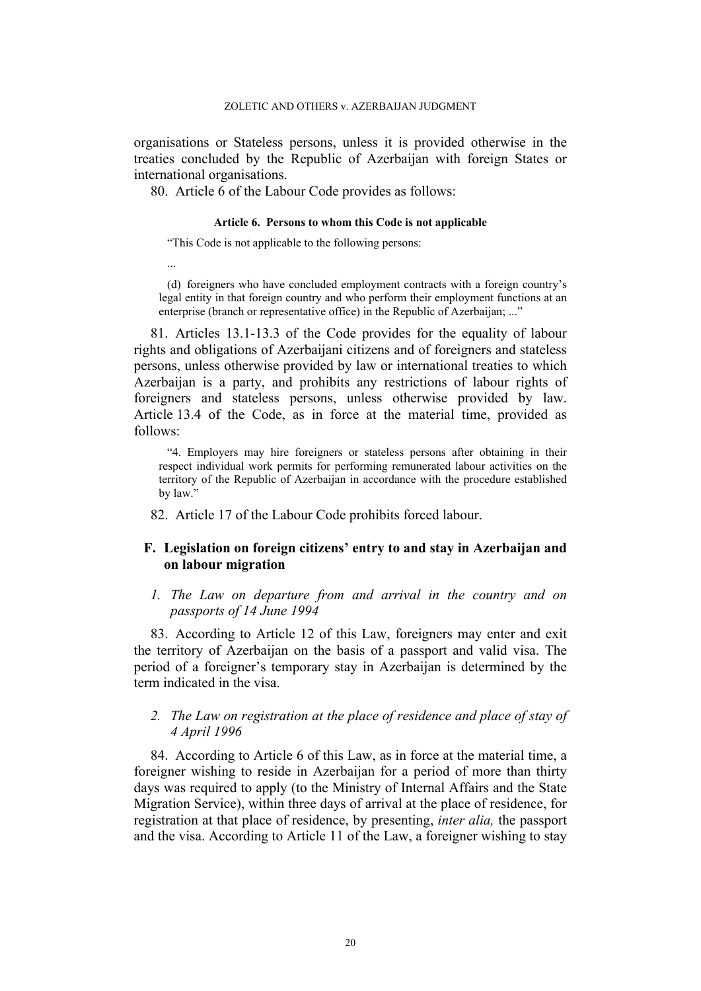organisations or Stateless persons, unless it is provided otherwise in the treaties concluded by the Republic of Azerbaijan with foreign States or international organisations.

80. Article 6 of the Labour Code provides as follows:

## **Article 6. Persons to whom this Code is not applicable**

"This Code is not applicable to the following persons:

...

(d) foreigners who have concluded employment contracts with a foreign country's legal entity in that foreign country and who perform their employment functions at an enterprise (branch or representative office) in the Republic of Azerbaijan; ..."

81. Articles 13.1-13.3 of the Code provides for the equality of labour rights and obligations of Azerbaijani citizens and of foreigners and stateless persons, unless otherwise provided by law or international treaties to which Azerbaijan is a party, and prohibits any restrictions of labour rights of foreigners and stateless persons, unless otherwise provided by law. Article 13.4 of the Code, as in force at the material time, provided as follows:

"4. Employers may hire foreigners or stateless persons after obtaining in their respect individual work permits for performing remunerated labour activities on the territory of the Republic of Azerbaijan in accordance with the procedure established by law."

82. Article 17 of the Labour Code prohibits forced labour.

## **F. Legislation on foreign citizens' entry to and stay in Azerbaijan and on labour migration**

## *1. The Law on departure from and arrival in the country and on passports of 14 June 1994*

83. According to Article 12 of this Law, foreigners may enter and exit the territory of Azerbaijan on the basis of a passport and valid visa. The period of a foreigner's temporary stay in Azerbaijan is determined by the term indicated in the visa.

## *2. The Law on registration at the place of residence and place of stay of 4 April 1996*

84. According to Article 6 of this Law, as in force at the material time, a foreigner wishing to reside in Azerbaijan for a period of more than thirty days was required to apply (to the Ministry of Internal Affairs and the State Migration Service), within three days of arrival at the place of residence, for registration at that place of residence, by presenting, *inter alia,* the passport and the visa. According to Article 11 of the Law, a foreigner wishing to stay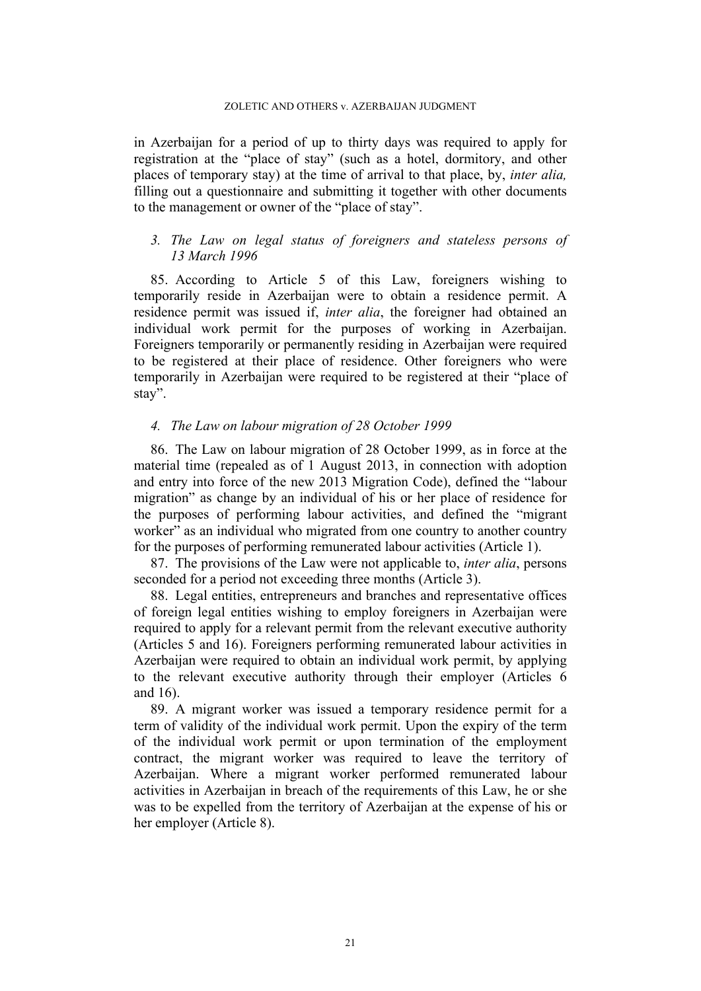in Azerbaijan for a period of up to thirty days was required to apply for registration at the "place of stay" (such as a hotel, dormitory, and other places of temporary stay) at the time of arrival to that place, by, *inter alia,*  filling out a questionnaire and submitting it together with other documents to the management or owner of the "place of stay".

## *3. The Law on legal status of foreigners and stateless persons of 13 March 1996*

85. According to Article 5 of this Law, foreigners wishing to temporarily reside in Azerbaijan were to obtain a residence permit. A residence permit was issued if, *inter alia*, the foreigner had obtained an individual work permit for the purposes of working in Azerbaijan. Foreigners temporarily or permanently residing in Azerbaijan were required to be registered at their place of residence. Other foreigners who were temporarily in Azerbaijan were required to be registered at their "place of stay".

## *4. The Law on labour migration of 28 October 1999*

86. The Law on labour migration of 28 October 1999, as in force at the material time (repealed as of 1 August 2013, in connection with adoption and entry into force of the new 2013 Migration Code), defined the "labour migration" as change by an individual of his or her place of residence for the purposes of performing labour activities, and defined the "migrant worker" as an individual who migrated from one country to another country for the purposes of performing remunerated labour activities (Article 1).

87. The provisions of the Law were not applicable to, *inter alia*, persons seconded for a period not exceeding three months (Article 3).

88. Legal entities, entrepreneurs and branches and representative offices of foreign legal entities wishing to employ foreigners in Azerbaijan were required to apply for a relevant permit from the relevant executive authority (Articles 5 and 16). Foreigners performing remunerated labour activities in Azerbaijan were required to obtain an individual work permit, by applying to the relevant executive authority through their employer (Articles 6 and 16).

89. A migrant worker was issued a temporary residence permit for a term of validity of the individual work permit. Upon the expiry of the term of the individual work permit or upon termination of the employment contract, the migrant worker was required to leave the territory of Azerbaijan. Where a migrant worker performed remunerated labour activities in Azerbaijan in breach of the requirements of this Law, he or she was to be expelled from the territory of Azerbaijan at the expense of his or her employer (Article 8).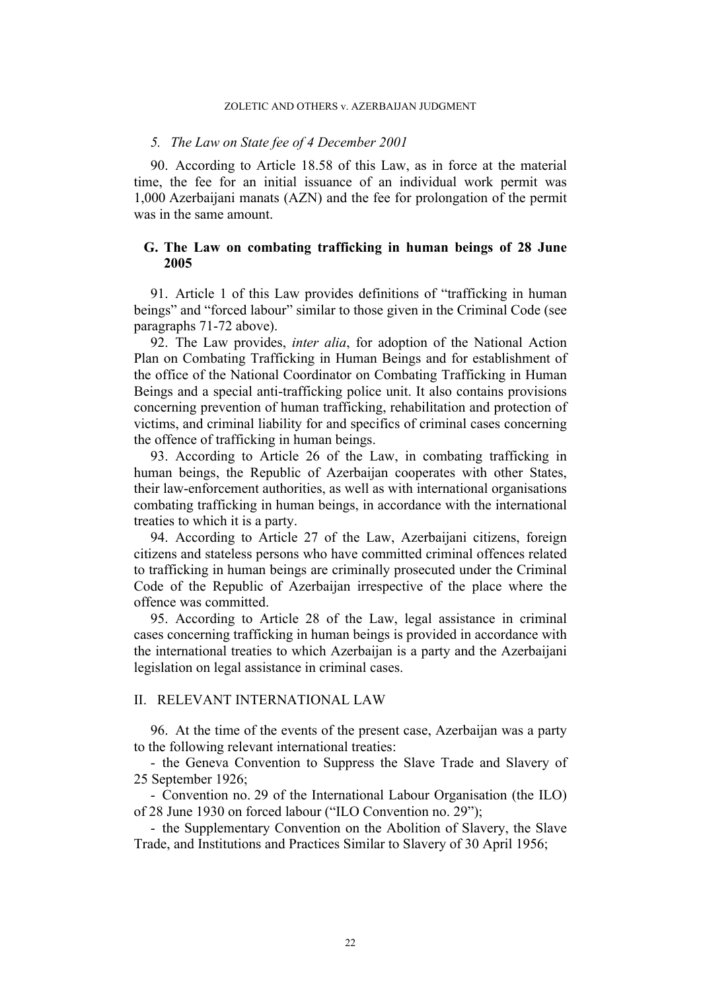#### *5. The Law on State fee of 4 December 2001*

90. According to Article 18.58 of this Law, as in force at the material time, the fee for an initial issuance of an individual work permit was 1,000 Azerbaijani manats (AZN) and the fee for prolongation of the permit was in the same amount.

## **G. The Law on combating trafficking in human beings of 28 June 2005**

91. Article 1 of this Law provides definitions of "trafficking in human beings" and "forced labour" similar to those given in the Criminal Code (see paragraphs [71](#page-18-0)[-72](#page-19-0) above).

92. The Law provides, *inter alia*, for adoption of the National Action Plan on Combating Trafficking in Human Beings and for establishment of the office of the National Coordinator on Combating Trafficking in Human Beings and a special anti-trafficking police unit. It also contains provisions concerning prevention of human trafficking, rehabilitation and protection of victims, and criminal liability for and specifics of criminal cases concerning the offence of trafficking in human beings.

93. According to Article 26 of the Law, in combating trafficking in human beings, the Republic of Azerbaijan cooperates with other States, their law-enforcement authorities, as well as with international organisations combating trafficking in human beings, in accordance with the international treaties to which it is a party.

94. According to Article 27 of the Law, Azerbaijani citizens, foreign citizens and stateless persons who have committed criminal offences related to trafficking in human beings are criminally prosecuted under the Criminal Code of the Republic of Azerbaijan irrespective of the place where the offence was committed.

<span id="page-23-1"></span>95. According to Article 28 of the Law, legal assistance in criminal cases concerning trafficking in human beings is provided in accordance with the international treaties to which Azerbaijan is a party and the Azerbaijani legislation on legal assistance in criminal cases.

## II. RELEVANT INTERNATIONAL LAW

<span id="page-23-0"></span>96. At the time of the events of the present case, Azerbaijan was a party to the following relevant international treaties:

- the Geneva Convention to Suppress the Slave Trade and Slavery of 25 September 1926;

- Convention no. 29 of the International Labour Organisation (the ILO) of 28 June 1930 on forced labour ("ILO Convention no. 29");

- the Supplementary Convention on the Abolition of Slavery, the Slave Trade, and Institutions and Practices Similar to Slavery of 30 April 1956;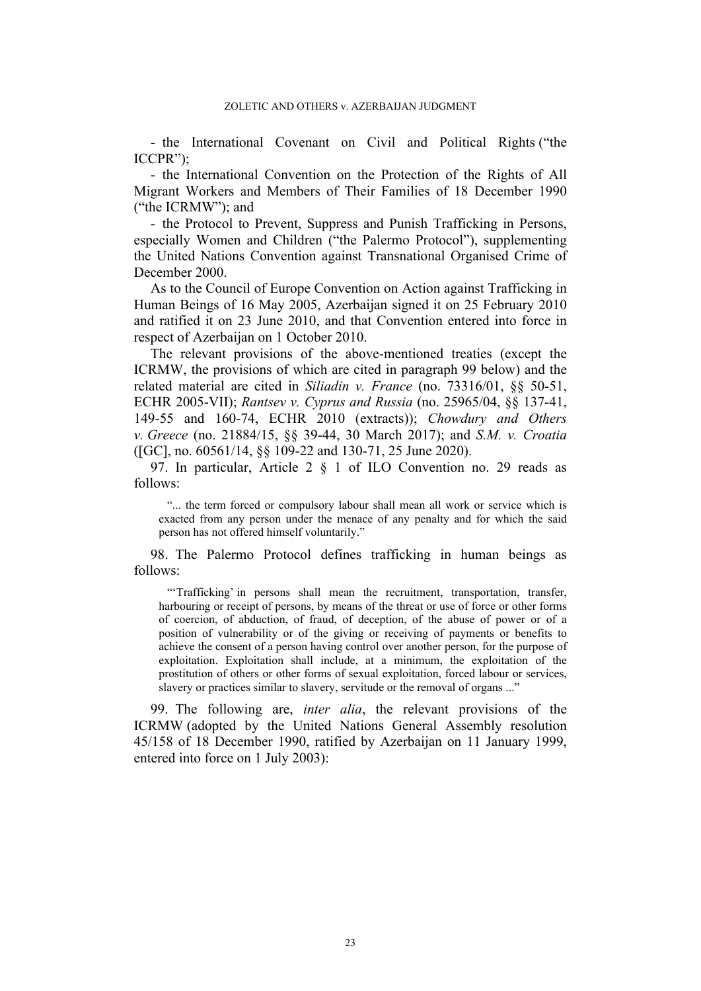- the International Covenant on Civil and Political Rights ("the ICCPR");

- the International Convention on the Protection of the Rights of All Migrant Workers and Members of Their Families of 18 December 1990 ("the ICRMW"); and

- the Protocol to Prevent, Suppress and Punish Trafficking in Persons, especially Women and Children ("the Palermo Protocol"), supplementing the United Nations Convention against Transnational Organised Crime of December 2000.

As to the Council of Europe Convention on Action against Trafficking in Human Beings of 16 May 2005, Azerbaijan signed it on 25 February 2010 and ratified it on 23 June 2010, and that Convention entered into force in respect of Azerbaijan on 1 October 2010.

The relevant provisions of the above-mentioned treaties (except the ICRMW, the provisions of which are cited in paragraph [99](#page-24-0) below) and the related material are cited in *Siliadin v. France* (no. 73316/01, §§ 50-51, ECHR 2005-VII); *Rantsev v. Cyprus and Russia* (no. 25965/04, §§ 137-41, 149-55 and 160-74, ECHR 2010 (extracts)); *Chowdury and Others v. Greece* (no. 21884/15, §§ 39-44, 30 March 2017); and *S.M. v. Croatia*  ([GC], no. 60561/14, §§ 109-22 and 130-71, 25 June 2020).

97. In particular, Article 2 § 1 of ILO Convention no. 29 reads as follows:

"... the term forced or compulsory labour shall mean all work or service which is exacted from any person under the menace of any penalty and for which the said person has not offered himself voluntarily."

98. The Palermo Protocol defines trafficking in human beings as follows:

"'Trafficking' in persons shall mean the recruitment, transportation, transfer, harbouring or receipt of persons, by means of the threat or use of force or other forms of coercion, of abduction, of fraud, of deception, of the abuse of power or of a position of vulnerability or of the giving or receiving of payments or benefits to achieve the consent of a person having control over another person, for the purpose of exploitation. Exploitation shall include, at a minimum, the exploitation of the prostitution of others or other forms of sexual exploitation, forced labour or services, slavery or practices similar to slavery, servitude or the removal of organs ..."

<span id="page-24-0"></span>99. The following are, *inter alia*, the relevant provisions of the ICRMW (adopted by the United Nations General Assembly resolution 45/158 of 18 December 1990, ratified by Azerbaijan on 11 January 1999, entered into force on 1 July 2003):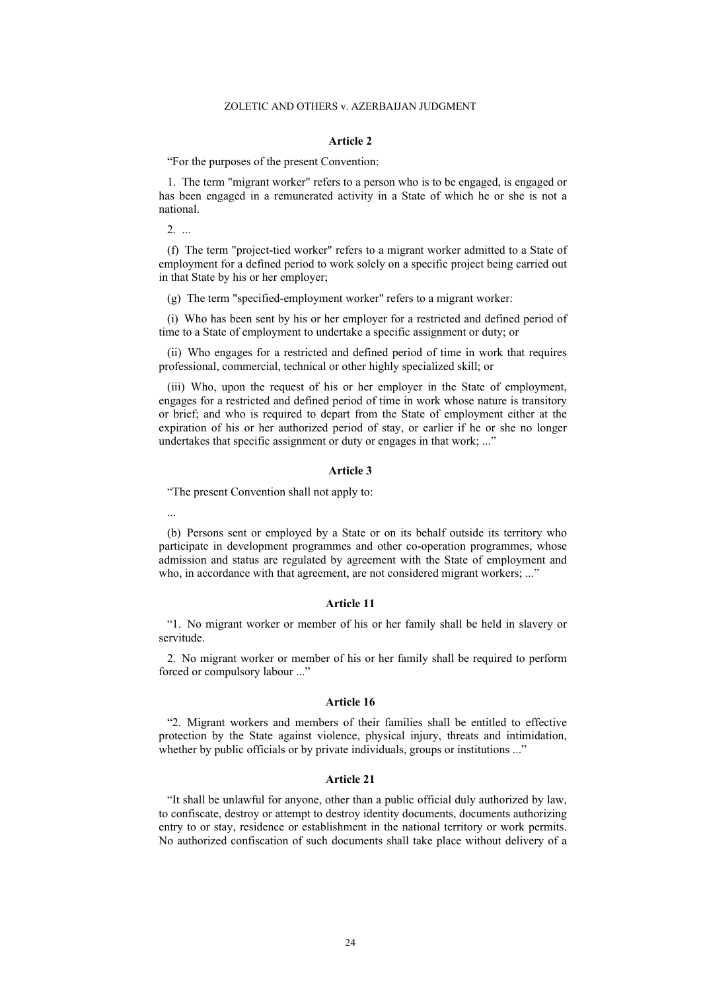#### **Article 2**

"For the purposes of the present Convention:

1. The term "migrant worker" refers to a person who is to be engaged, is engaged or has been engaged in a remunerated activity in a State of which he or she is not a national.

2. ...

(f) The term "project-tied worker" refers to a migrant worker admitted to a State of employment for a defined period to work solely on a specific project being carried out in that State by his or her employer;

(g) The term "specified-employment worker" refers to a migrant worker:

(i) Who has been sent by his or her employer for a restricted and defined period of time to a State of employment to undertake a specific assignment or duty; or

(ii) Who engages for a restricted and defined period of time in work that requires professional, commercial, technical or other highly specialized skill; or

(iii) Who, upon the request of his or her employer in the State of employment, engages for a restricted and defined period of time in work whose nature is transitory or brief; and who is required to depart from the State of employment either at the expiration of his or her authorized period of stay, or earlier if he or she no longer undertakes that specific assignment or duty or engages in that work; ..."

#### **Article 3**

"The present Convention shall not apply to:

...

(b) Persons sent or employed by a State or on its behalf outside its territory who participate in development programmes and other co-operation programmes, whose admission and status are regulated by agreement with the State of employment and who, in accordance with that agreement, are not considered migrant workers; ..."

#### **Article 11**

"1. No migrant worker or member of his or her family shall be held in slavery or servitude.

2. No migrant worker or member of his or her family shall be required to perform forced or compulsory labour ..."

#### **Article 16**

"2. Migrant workers and members of their families shall be entitled to effective protection by the State against violence, physical injury, threats and intimidation, whether by public officials or by private individuals, groups or institutions ..."

#### **Article 21**

"It shall be unlawful for anyone, other than a public official duly authorized by law, to confiscate, destroy or attempt to destroy identity documents, documents authorizing entry to or stay, residence or establishment in the national territory or work permits. No authorized confiscation of such documents shall take place without delivery of a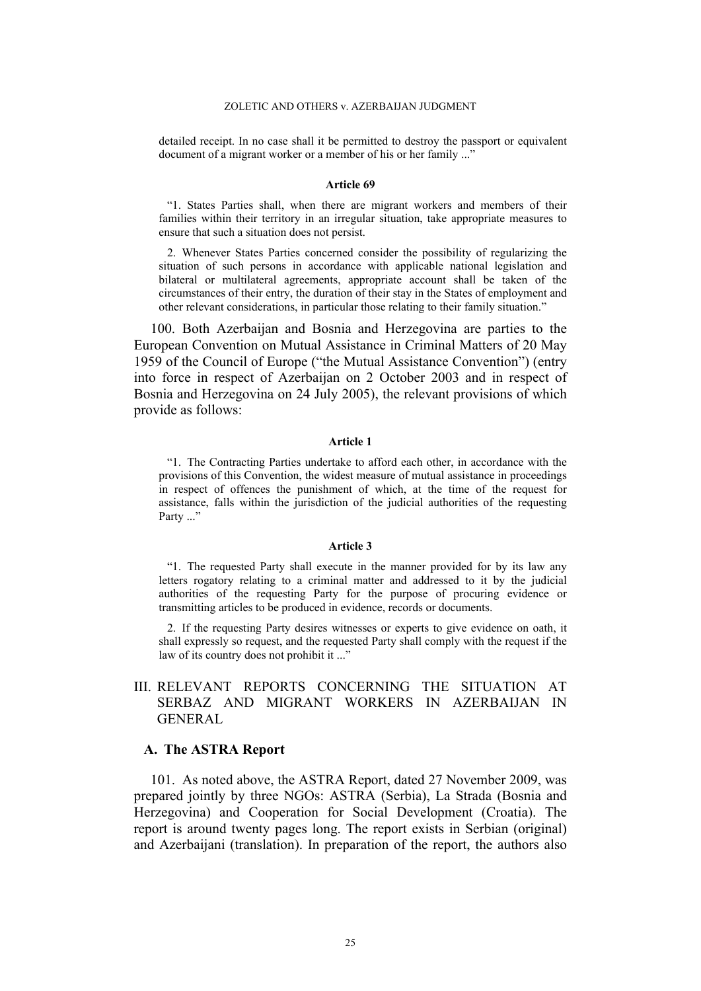detailed receipt. In no case shall it be permitted to destroy the passport or equivalent document of a migrant worker or a member of his or her family ..."

#### **Article 69**

"1. States Parties shall, when there are migrant workers and members of their families within their territory in an irregular situation, take appropriate measures to ensure that such a situation does not persist.

2. Whenever States Parties concerned consider the possibility of regularizing the situation of such persons in accordance with applicable national legislation and bilateral or multilateral agreements, appropriate account shall be taken of the circumstances of their entry, the duration of their stay in the States of employment and other relevant considerations, in particular those relating to their family situation."

100. Both Azerbaijan and Bosnia and Herzegovina are parties to the European Convention on Mutual Assistance in Criminal Matters of 20 May 1959 of the Council of Europe ("the Mutual Assistance Convention") (entry into force in respect of Azerbaijan on 2 October 2003 and in respect of Bosnia and Herzegovina on 24 July 2005), the relevant provisions of which provide as follows:

### **Article 1**

"1. The Contracting Parties undertake to afford each other, in accordance with the provisions of this Convention, the widest measure of mutual assistance in proceedings in respect of offences the punishment of which, at the time of the request for assistance, falls within the jurisdiction of the judicial authorities of the requesting Party ..."

#### **Article 3**

"1. The requested Party shall execute in the manner provided for by its law any letters rogatory relating to a criminal matter and addressed to it by the judicial authorities of the requesting Party for the purpose of procuring evidence or transmitting articles to be produced in evidence, records or documents.

2. If the requesting Party desires witnesses or experts to give evidence on oath, it shall expressly so request, and the requested Party shall comply with the request if the law of its country does not prohibit it ..."

## III. RELEVANT REPORTS CONCERNING THE SITUATION AT SERBAZ AND MIGRANT WORKERS IN AZERBAIJAN IN **GENERAL**

#### **A. The ASTRA Report**

<span id="page-26-0"></span>101. As noted above, the ASTRA Report, dated 27 November 2009, was prepared jointly by three NGOs: ASTRA (Serbia), La Strada (Bosnia and Herzegovina) and Cooperation for Social Development (Croatia). The report is around twenty pages long. The report exists in Serbian (original) and Azerbaijani (translation). In preparation of the report, the authors also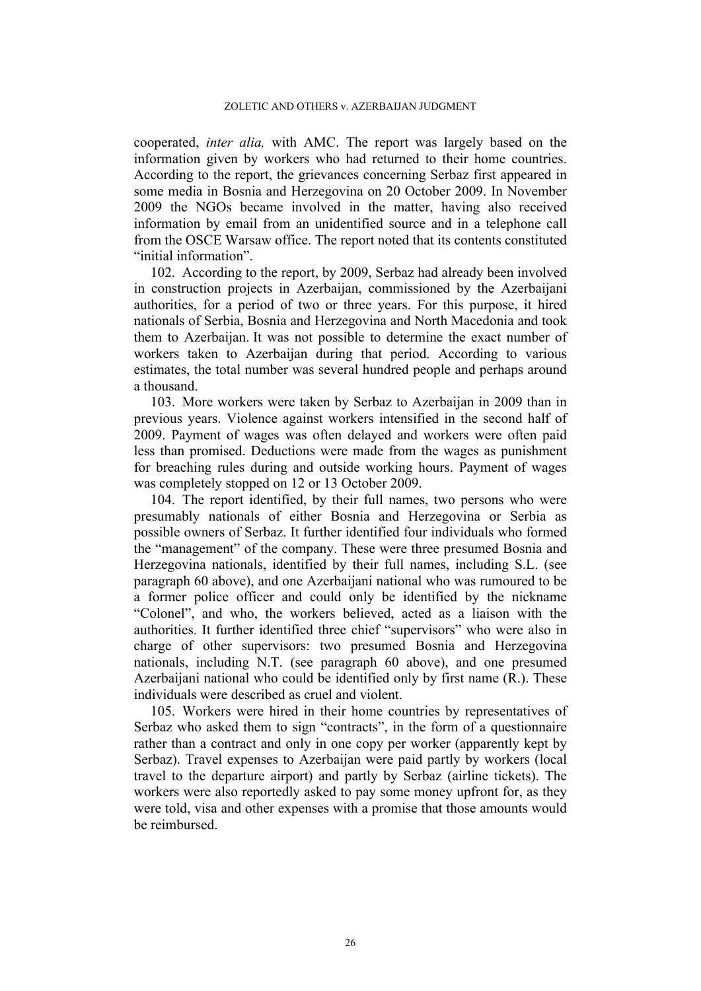cooperated, *inter alia,* with AMC. The report was largely based on the information given by workers who had returned to their home countries. According to the report, the grievances concerning Serbaz first appeared in some media in Bosnia and Herzegovina on 20 October 2009. In November 2009 the NGOs became involved in the matter, having also received information by email from an unidentified source and in a telephone call from the OSCE Warsaw office. The report noted that its contents constituted "initial information".

<span id="page-27-0"></span>102. According to the report, by 2009, Serbaz had already been involved in construction projects in Azerbaijan, commissioned by the Azerbaijani authorities, for a period of two or three years. For this purpose, it hired nationals of Serbia, Bosnia and Herzegovina and North Macedonia and took them to Azerbaijan. It was not possible to determine the exact number of workers taken to Azerbaijan during that period. According to various estimates, the total number was several hundred people and perhaps around a thousand.

<span id="page-27-1"></span>103. More workers were taken by Serbaz to Azerbaijan in 2009 than in previous years. Violence against workers intensified in the second half of 2009. Payment of wages was often delayed and workers were often paid less than promised. Deductions were made from the wages as punishment for breaching rules during and outside working hours. Payment of wages was completely stopped on 12 or 13 October 2009.

<span id="page-27-2"></span>104. The report identified, by their full names, two persons who were presumably nationals of either Bosnia and Herzegovina or Serbia as possible owners of Serbaz. It further identified four individuals who formed the "management" of the company. These were three presumed Bosnia and Herzegovina nationals, identified by their full names, including S.L. (see paragraph [60](#page-15-0) above), and one Azerbaijani national who was rumoured to be a former police officer and could only be identified by the nickname "Colonel", and who, the workers believed, acted as a liaison with the authorities. It further identified three chief "supervisors" who were also in charge of other supervisors: two presumed Bosnia and Herzegovina nationals, including N.T. (see paragraph [60](#page-15-0) above), and one presumed Azerbaijani national who could be identified only by first name (R.). These individuals were described as cruel and violent.

105. Workers were hired in their home countries by representatives of Serbaz who asked them to sign "contracts", in the form of a questionnaire rather than a contract and only in one copy per worker (apparently kept by Serbaz). Travel expenses to Azerbaijan were paid partly by workers (local travel to the departure airport) and partly by Serbaz (airline tickets). The workers were also reportedly asked to pay some money upfront for, as they were told, visa and other expenses with a promise that those amounts would be reimbursed.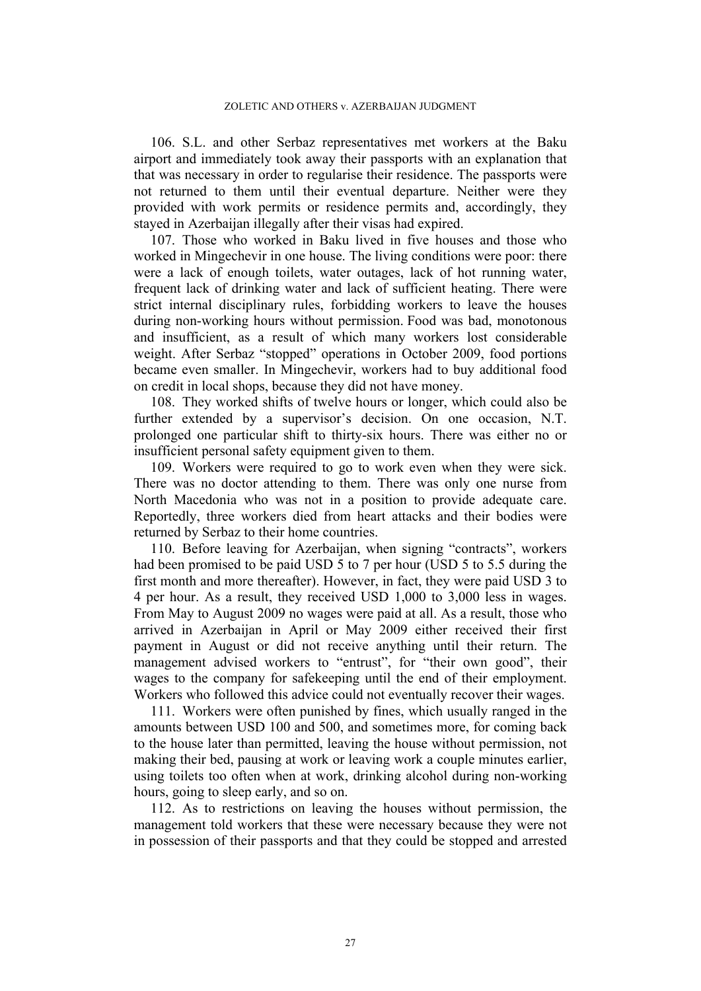106. S.L. and other Serbaz representatives met workers at the Baku airport and immediately took away their passports with an explanation that that was necessary in order to regularise their residence. The passports were not returned to them until their eventual departure. Neither were they provided with work permits or residence permits and, accordingly, they stayed in Azerbaijan illegally after their visas had expired.

<span id="page-28-0"></span>107. Those who worked in Baku lived in five houses and those who worked in Mingechevir in one house. The living conditions were poor: there were a lack of enough toilets, water outages, lack of hot running water, frequent lack of drinking water and lack of sufficient heating. There were strict internal disciplinary rules, forbidding workers to leave the houses during non-working hours without permission. Food was bad, monotonous and insufficient, as a result of which many workers lost considerable weight. After Serbaz "stopped" operations in October 2009, food portions became even smaller. In Mingechevir, workers had to buy additional food on credit in local shops, because they did not have money.

108. They worked shifts of twelve hours or longer, which could also be further extended by a supervisor's decision. On one occasion, N.T. prolonged one particular shift to thirty-six hours. There was either no or insufficient personal safety equipment given to them.

109. Workers were required to go to work even when they were sick. There was no doctor attending to them. There was only one nurse from North Macedonia who was not in a position to provide adequate care. Reportedly, three workers died from heart attacks and their bodies were returned by Serbaz to their home countries.

<span id="page-28-1"></span>110. Before leaving for Azerbaijan, when signing "contracts", workers had been promised to be paid USD 5 to 7 per hour (USD 5 to 5.5 during the first month and more thereafter). However, in fact, they were paid USD 3 to 4 per hour. As a result, they received USD 1,000 to 3,000 less in wages. From May to August 2009 no wages were paid at all. As a result, those who arrived in Azerbaijan in April or May 2009 either received their first payment in August or did not receive anything until their return. The management advised workers to "entrust", for "their own good", their wages to the company for safekeeping until the end of their employment. Workers who followed this advice could not eventually recover their wages.

111. Workers were often punished by fines, which usually ranged in the amounts between USD 100 and 500, and sometimes more, for coming back to the house later than permitted, leaving the house without permission, not making their bed, pausing at work or leaving work a couple minutes earlier, using toilets too often when at work, drinking alcohol during non-working hours, going to sleep early, and so on.

112. As to restrictions on leaving the houses without permission, the management told workers that these were necessary because they were not in possession of their passports and that they could be stopped and arrested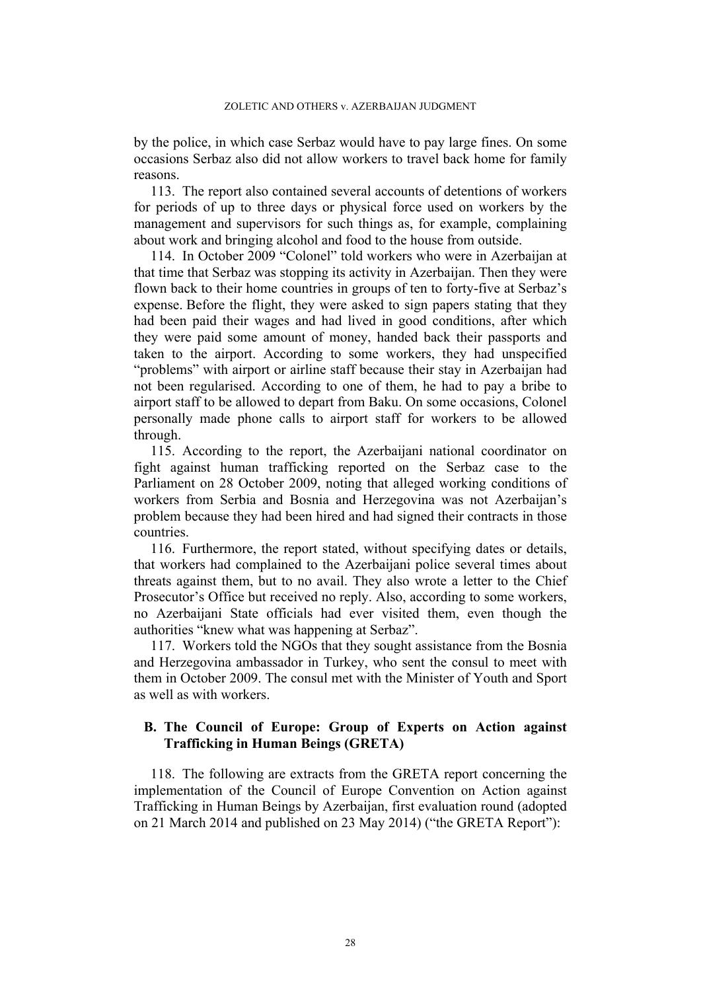by the police, in which case Serbaz would have to pay large fines. On some occasions Serbaz also did not allow workers to travel back home for family reasons.

113. The report also contained several accounts of detentions of workers for periods of up to three days or physical force used on workers by the management and supervisors for such things as, for example, complaining about work and bringing alcohol and food to the house from outside.

<span id="page-29-1"></span>114. In October 2009 "Colonel" told workers who were in Azerbaijan at that time that Serbaz was stopping its activity in Azerbaijan. Then they were flown back to their home countries in groups of ten to forty-five at Serbaz's expense. Before the flight, they were asked to sign papers stating that they had been paid their wages and had lived in good conditions, after which they were paid some amount of money, handed back their passports and taken to the airport. According to some workers, they had unspecified "problems" with airport or airline staff because their stay in Azerbaijan had not been regularised. According to one of them, he had to pay a bribe to airport staff to be allowed to depart from Baku. On some occasions, Colonel personally made phone calls to airport staff for workers to be allowed through.

115. According to the report, the Azerbaijani national coordinator on fight against human trafficking reported on the Serbaz case to the Parliament on 28 October 2009, noting that alleged working conditions of workers from Serbia and Bosnia and Herzegovina was not Azerbaijan's problem because they had been hired and had signed their contracts in those countries.

116. Furthermore, the report stated, without specifying dates or details, that workers had complained to the Azerbaijani police several times about threats against them, but to no avail. They also wrote a letter to the Chief Prosecutor's Office but received no reply. Also, according to some workers, no Azerbaijani State officials had ever visited them, even though the authorities "knew what was happening at Serbaz".

<span id="page-29-0"></span>117. Workers told the NGOs that they sought assistance from the Bosnia and Herzegovina ambassador in Turkey, who sent the consul to meet with them in October 2009. The consul met with the Minister of Youth and Sport as well as with workers.

## **B. The Council of Europe: Group of Experts on Action against Trafficking in Human Beings (GRETA)**

<span id="page-29-2"></span>118. The following are extracts from the GRETA report concerning the implementation of the Council of Europe Convention on Action against Trafficking in Human Beings by Azerbaijan, first evaluation round (adopted on 21 March 2014 and published on 23 May 2014) ("the GRETA Report"):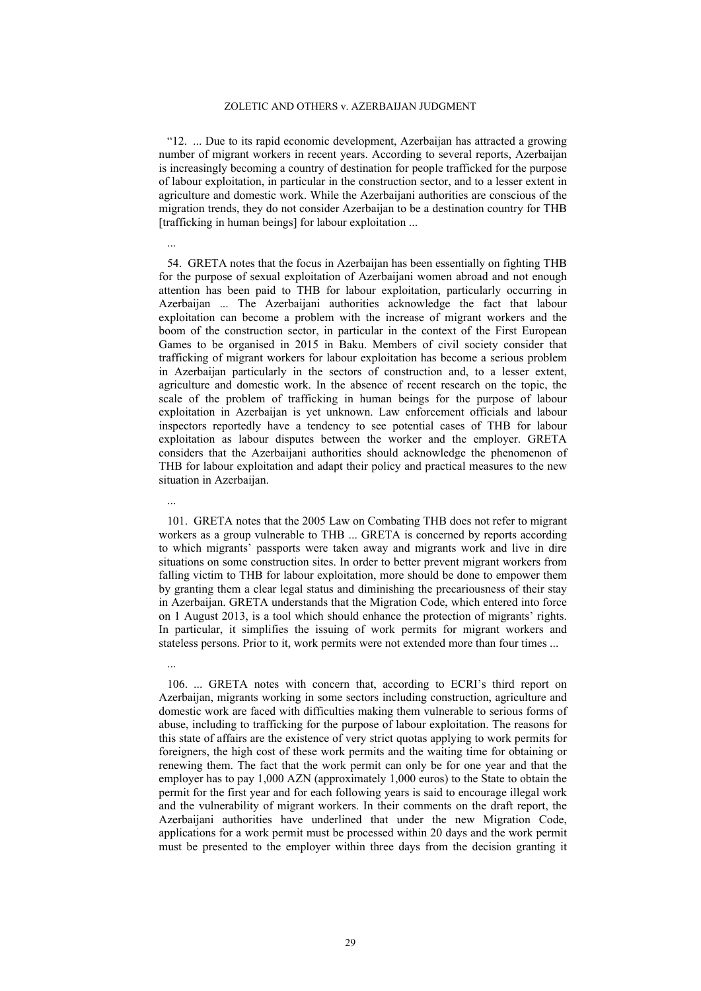"12. ... Due to its rapid economic development, Azerbaijan has attracted a growing number of migrant workers in recent years. According to several reports, Azerbaijan is increasingly becoming a country of destination for people trafficked for the purpose of labour exploitation, in particular in the construction sector, and to a lesser extent in agriculture and domestic work. While the Azerbaijani authorities are conscious of the migration trends, they do not consider Azerbaijan to be a destination country for THB [trafficking in human beings] for labour exploitation ...

...

...

...

54. GRETA notes that the focus in Azerbaijan has been essentially on fighting THB for the purpose of sexual exploitation of Azerbaijani women abroad and not enough attention has been paid to THB for labour exploitation, particularly occurring in Azerbaijan ... The Azerbaijani authorities acknowledge the fact that labour exploitation can become a problem with the increase of migrant workers and the boom of the construction sector, in particular in the context of the First European Games to be organised in 2015 in Baku. Members of civil society consider that trafficking of migrant workers for labour exploitation has become a serious problem in Azerbaijan particularly in the sectors of construction and, to a lesser extent, agriculture and domestic work. In the absence of recent research on the topic, the scale of the problem of trafficking in human beings for the purpose of labour exploitation in Azerbaijan is yet unknown. Law enforcement officials and labour inspectors reportedly have a tendency to see potential cases of THB for labour exploitation as labour disputes between the worker and the employer. GRETA considers that the Azerbaijani authorities should acknowledge the phenomenon of THB for labour exploitation and adapt their policy and practical measures to the new situation in Azerbaijan.

101. GRETA notes that the 2005 Law on Combating THB does not refer to migrant workers as a group vulnerable to THB ... GRETA is concerned by reports according to which migrants' passports were taken away and migrants work and live in dire situations on some construction sites. In order to better prevent migrant workers from falling victim to THB for labour exploitation, more should be done to empower them by granting them a clear legal status and diminishing the precariousness of their stay in Azerbaijan. GRETA understands that the Migration Code, which entered into force on 1 August 2013, is a tool which should enhance the protection of migrants' rights. In particular, it simplifies the issuing of work permits for migrant workers and stateless persons. Prior to it, work permits were not extended more than four times ...

106. ... GRETA notes with concern that, according to ECRI's third report on Azerbaijan, migrants working in some sectors including construction, agriculture and domestic work are faced with difficulties making them vulnerable to serious forms of abuse, including to trafficking for the purpose of labour exploitation. The reasons for this state of affairs are the existence of very strict quotas applying to work permits for foreigners, the high cost of these work permits and the waiting time for obtaining or renewing them. The fact that the work permit can only be for one year and that the employer has to pay 1,000 AZN (approximately 1,000 euros) to the State to obtain the permit for the first year and for each following years is said to encourage illegal work and the vulnerability of migrant workers. In their comments on the draft report, the Azerbaijani authorities have underlined that under the new Migration Code, applications for a work permit must be processed within 20 days and the work permit must be presented to the employer within three days from the decision granting it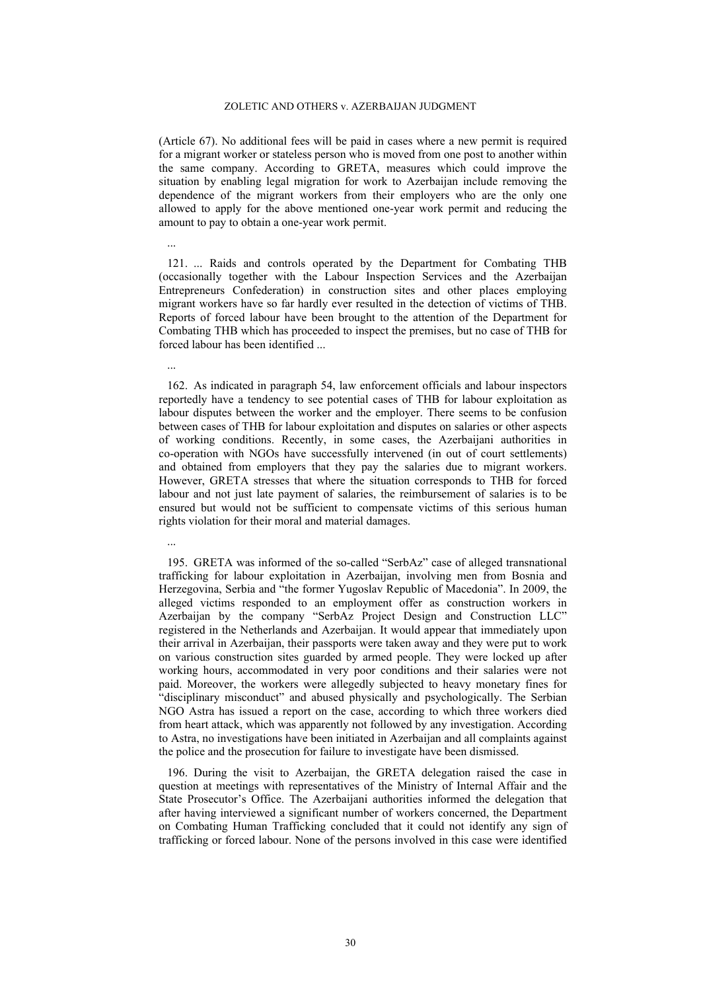(Article 67). No additional fees will be paid in cases where a new permit is required for a migrant worker or stateless person who is moved from one post to another within the same company. According to GRETA, measures which could improve the situation by enabling legal migration for work to Azerbaijan include removing the dependence of the migrant workers from their employers who are the only one allowed to apply for the above mentioned one-year work permit and reducing the amount to pay to obtain a one-year work permit.

121. ... Raids and controls operated by the Department for Combating THB (occasionally together with the Labour Inspection Services and the Azerbaijan Entrepreneurs Confederation) in construction sites and other places employing migrant workers have so far hardly ever resulted in the detection of victims of THB. Reports of forced labour have been brought to the attention of the Department for Combating THB which has proceeded to inspect the premises, but no case of THB for forced labour has been identified ...

...

...

...

162. As indicated in paragraph 54, law enforcement officials and labour inspectors reportedly have a tendency to see potential cases of THB for labour exploitation as labour disputes between the worker and the employer. There seems to be confusion between cases of THB for labour exploitation and disputes on salaries or other aspects of working conditions. Recently, in some cases, the Azerbaijani authorities in co-operation with NGOs have successfully intervened (in out of court settlements) and obtained from employers that they pay the salaries due to migrant workers. However, GRETA stresses that where the situation corresponds to THB for forced labour and not just late payment of salaries, the reimbursement of salaries is to be ensured but would not be sufficient to compensate victims of this serious human rights violation for their moral and material damages.

195. GRETA was informed of the so-called "SerbAz" case of alleged transnational trafficking for labour exploitation in Azerbaijan, involving men from Bosnia and Herzegovina, Serbia and "the former Yugoslav Republic of Macedonia". In 2009, the alleged victims responded to an employment offer as construction workers in Azerbaijan by the company "SerbAz Project Design and Construction LLC" registered in the Netherlands and Azerbaijan. It would appear that immediately upon their arrival in Azerbaijan, their passports were taken away and they were put to work on various construction sites guarded by armed people. They were locked up after working hours, accommodated in very poor conditions and their salaries were not paid. Moreover, the workers were allegedly subjected to heavy monetary fines for "disciplinary misconduct" and abused physically and psychologically. The Serbian NGO Astra has issued a report on the case, according to which three workers died from heart attack, which was apparently not followed by any investigation. According to Astra, no investigations have been initiated in Azerbaijan and all complaints against the police and the prosecution for failure to investigate have been dismissed.

196. During the visit to Azerbaijan, the GRETA delegation raised the case in question at meetings with representatives of the Ministry of Internal Affair and the State Prosecutor's Office. The Azerbaijani authorities informed the delegation that after having interviewed a significant number of workers concerned, the Department on Combating Human Trafficking concluded that it could not identify any sign of trafficking or forced labour. None of the persons involved in this case were identified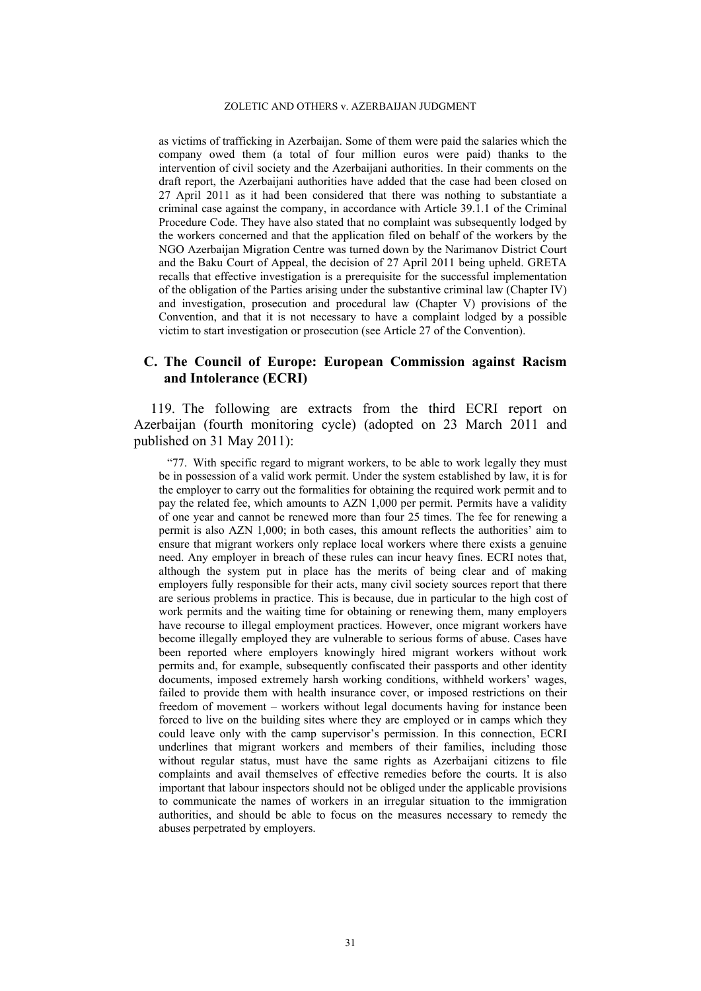as victims of trafficking in Azerbaijan. Some of them were paid the salaries which the company owed them (a total of four million euros were paid) thanks to the intervention of civil society and the Azerbaijani authorities. In their comments on the draft report, the Azerbaijani authorities have added that the case had been closed on 27 April 2011 as it had been considered that there was nothing to substantiate a criminal case against the company, in accordance with Article 39.1.1 of the Criminal Procedure Code. They have also stated that no complaint was subsequently lodged by the workers concerned and that the application filed on behalf of the workers by the NGO Azerbaijan Migration Centre was turned down by the Narimanov District Court and the Baku Court of Appeal, the decision of 27 April 2011 being upheld. GRETA recalls that effective investigation is a prerequisite for the successful implementation of the obligation of the Parties arising under the substantive criminal law (Chapter IV) and investigation, prosecution and procedural law (Chapter V) provisions of the Convention, and that it is not necessary to have a complaint lodged by a possible victim to start investigation or prosecution (see Article 27 of the Convention).

## **C. The Council of Europe: European Commission against Racism and Intolerance (ECRI)**

<span id="page-32-0"></span>119. The following are extracts from the third ECRI report on Azerbaijan (fourth monitoring cycle) (adopted on 23 March 2011 and published on 31 May 2011):

"77. With specific regard to migrant workers, to be able to work legally they must be in possession of a valid work permit. Under the system established by law, it is for the employer to carry out the formalities for obtaining the required work permit and to pay the related fee, which amounts to AZN 1,000 per permit. Permits have a validity of one year and cannot be renewed more than four 25 times. The fee for renewing a permit is also AZN 1,000; in both cases, this amount reflects the authorities' aim to ensure that migrant workers only replace local workers where there exists a genuine need. Any employer in breach of these rules can incur heavy fines. ECRI notes that, although the system put in place has the merits of being clear and of making employers fully responsible for their acts, many civil society sources report that there are serious problems in practice. This is because, due in particular to the high cost of work permits and the waiting time for obtaining or renewing them, many employers have recourse to illegal employment practices. However, once migrant workers have become illegally employed they are vulnerable to serious forms of abuse. Cases have been reported where employers knowingly hired migrant workers without work permits and, for example, subsequently confiscated their passports and other identity documents, imposed extremely harsh working conditions, withheld workers' wages, failed to provide them with health insurance cover, or imposed restrictions on their freedom of movement – workers without legal documents having for instance been forced to live on the building sites where they are employed or in camps which they could leave only with the camp supervisor's permission. In this connection, ECRI underlines that migrant workers and members of their families, including those without regular status, must have the same rights as Azerbaijani citizens to file complaints and avail themselves of effective remedies before the courts. It is also important that labour inspectors should not be obliged under the applicable provisions to communicate the names of workers in an irregular situation to the immigration authorities, and should be able to focus on the measures necessary to remedy the abuses perpetrated by employers.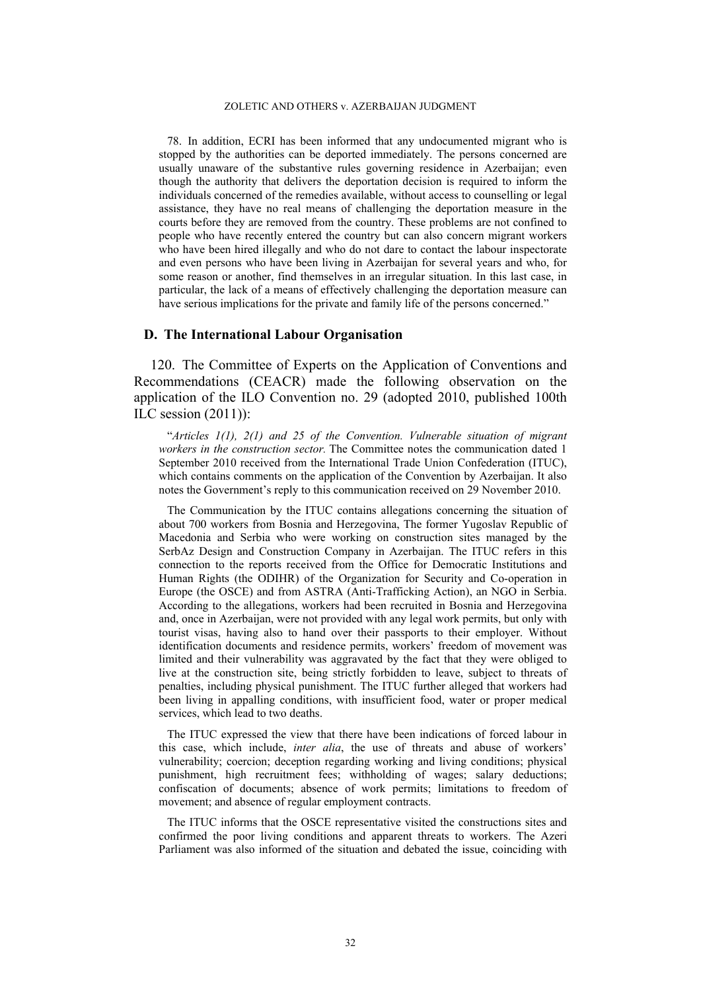78. In addition, ECRI has been informed that any undocumented migrant who is stopped by the authorities can be deported immediately. The persons concerned are usually unaware of the substantive rules governing residence in Azerbaijan; even though the authority that delivers the deportation decision is required to inform the individuals concerned of the remedies available, without access to counselling or legal assistance, they have no real means of challenging the deportation measure in the courts before they are removed from the country. These problems are not confined to people who have recently entered the country but can also concern migrant workers who have been hired illegally and who do not dare to contact the labour inspectorate and even persons who have been living in Azerbaijan for several years and who, for some reason or another, find themselves in an irregular situation. In this last case, in particular, the lack of a means of effectively challenging the deportation measure can have serious implications for the private and family life of the persons concerned."

## **D. The International Labour Organisation**

120. The Committee of Experts on the Application of Conventions and Recommendations (CEACR) made the following observation on the application of the ILO Convention no. 29 (adopted 2010, published 100th ILC session (2011)):

"*Articles 1(1), 2(1) and 25 of the Convention. Vulnerable situation of migrant workers in the construction sector.* The Committee notes the communication dated 1 September 2010 received from the International Trade Union Confederation (ITUC), which contains comments on the application of the Convention by Azerbaijan. It also notes the Government's reply to this communication received on 29 November 2010.

The Communication by the ITUC contains allegations concerning the situation of about 700 workers from Bosnia and Herzegovina, The former Yugoslav Republic of Macedonia and Serbia who were working on construction sites managed by the SerbAz Design and Construction Company in Azerbaijan. The ITUC refers in this connection to the reports received from the Office for Democratic Institutions and Human Rights (the ODIHR) of the Organization for Security and Co-operation in Europe (the OSCE) and from ASTRA (Anti-Trafficking Action), an NGO in Serbia. According to the allegations, workers had been recruited in Bosnia and Herzegovina and, once in Azerbaijan, were not provided with any legal work permits, but only with tourist visas, having also to hand over their passports to their employer. Without identification documents and residence permits, workers' freedom of movement was limited and their vulnerability was aggravated by the fact that they were obliged to live at the construction site, being strictly forbidden to leave, subject to threats of penalties, including physical punishment. The ITUC further alleged that workers had been living in appalling conditions, with insufficient food, water or proper medical services, which lead to two deaths.

The ITUC expressed the view that there have been indications of forced labour in this case, which include, *inter alia*, the use of threats and abuse of workers' vulnerability; coercion; deception regarding working and living conditions; physical punishment, high recruitment fees; withholding of wages; salary deductions; confiscation of documents; absence of work permits; limitations to freedom of movement; and absence of regular employment contracts.

The ITUC informs that the OSCE representative visited the constructions sites and confirmed the poor living conditions and apparent threats to workers. The Azeri Parliament was also informed of the situation and debated the issue, coinciding with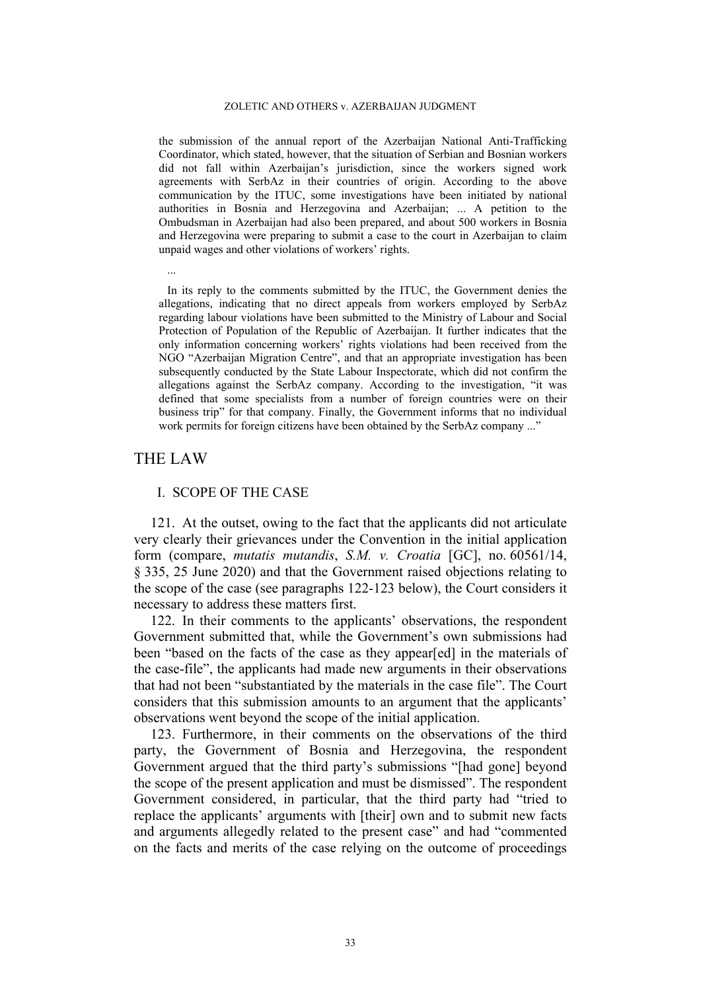the submission of the annual report of the Azerbaijan National Anti-Trafficking Coordinator, which stated, however, that the situation of Serbian and Bosnian workers did not fall within Azerbaijan's jurisdiction, since the workers signed work agreements with SerbAz in their countries of origin. According to the above communication by the ITUC, some investigations have been initiated by national authorities in Bosnia and Herzegovina and Azerbaijan; ... A petition to the Ombudsman in Azerbaijan had also been prepared, and about 500 workers in Bosnia and Herzegovina were preparing to submit a case to the court in Azerbaijan to claim unpaid wages and other violations of workers' rights.

In its reply to the comments submitted by the ITUC, the Government denies the allegations, indicating that no direct appeals from workers employed by SerbAz regarding labour violations have been submitted to the Ministry of Labour and Social Protection of Population of the Republic of Azerbaijan. It further indicates that the only information concerning workers' rights violations had been received from the NGO "Azerbaijan Migration Centre", and that an appropriate investigation has been subsequently conducted by the State Labour Inspectorate, which did not confirm the allegations against the SerbAz company. According to the investigation, "it was defined that some specialists from a number of foreign countries were on their business trip" for that company. Finally, the Government informs that no individual work permits for foreign citizens have been obtained by the SerbAz company ..."

## THE LAW

...

## I. SCOPE OF THE CASE

121. At the outset, owing to the fact that the applicants did not articulate very clearly their grievances under the Convention in the initial application form (compare, *mutatis mutandis*, *S.M. v. Croatia* [GC], no. 60561/14, § 335, 25 June 2020) and that the Government raised objections relating to the scope of the case (see paragraphs [122](#page-34-0)[-123](#page-34-1) below), the Court considers it necessary to address these matters first.

<span id="page-34-0"></span>122. In their comments to the applicants' observations, the respondent Government submitted that, while the Government's own submissions had been "based on the facts of the case as they appear[ed] in the materials of the case-file", the applicants had made new arguments in their observations that had not been "substantiated by the materials in the case file". The Court considers that this submission amounts to an argument that the applicants' observations went beyond the scope of the initial application.

<span id="page-34-1"></span>123. Furthermore, in their comments on the observations of the third party, the Government of Bosnia and Herzegovina, the respondent Government argued that the third party's submissions "[had gone] beyond the scope of the present application and must be dismissed". The respondent Government considered, in particular, that the third party had "tried to replace the applicants' arguments with [their] own and to submit new facts and arguments allegedly related to the present case" and had "commented on the facts and merits of the case relying on the outcome of proceedings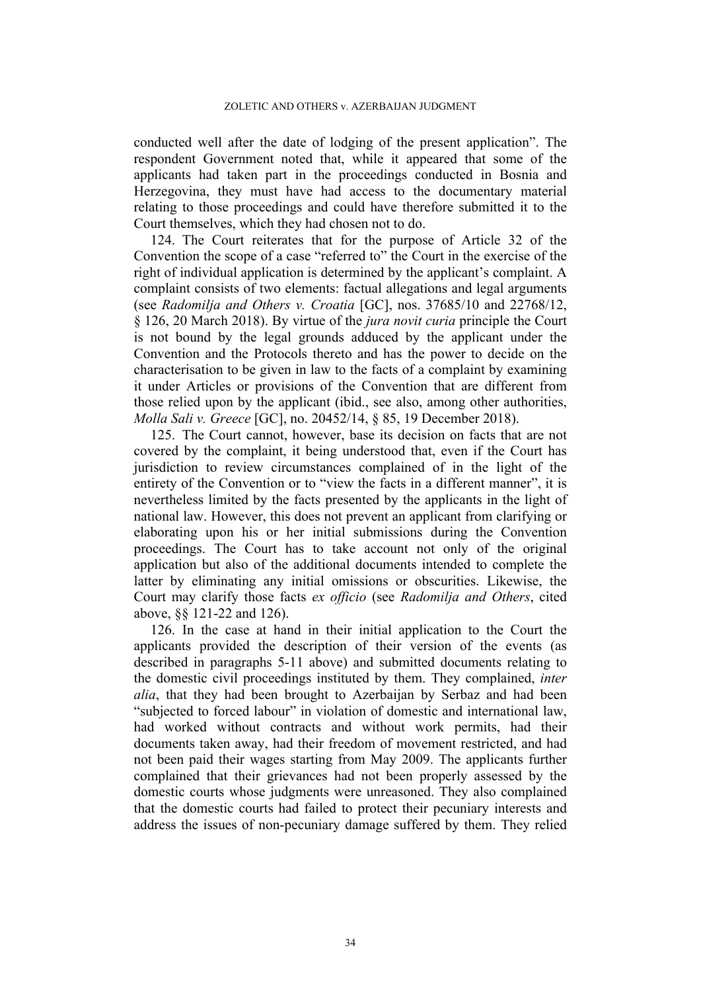conducted well after the date of lodging of the present application". The respondent Government noted that, while it appeared that some of the applicants had taken part in the proceedings conducted in Bosnia and Herzegovina, they must have had access to the documentary material relating to those proceedings and could have therefore submitted it to the Court themselves, which they had chosen not to do.

124. The Court reiterates that for the purpose of Article 32 of the Convention the scope of a case "referred to" the Court in the exercise of the right of individual application is determined by the applicant's complaint. A complaint consists of two elements: factual allegations and legal arguments (see *Radomilja and Others v. Croatia* [GC], nos. 37685/10 and 22768/12, § 126, 20 March 2018). By virtue of the *jura novit curia* principle the Court is not bound by the legal grounds adduced by the applicant under the Convention and the Protocols thereto and has the power to decide on the characterisation to be given in law to the facts of a complaint by examining it under Articles or provisions of the Convention that are different from those relied upon by the applicant (ibid., see also, among other authorities, *Molla Sali v. Greece* [GC], no. 20452/14, § 85, 19 December 2018).

<span id="page-35-0"></span>125. The Court cannot, however, base its decision on facts that are not covered by the complaint, it being understood that, even if the Court has jurisdiction to review circumstances complained of in the light of the entirety of the Convention or to "view the facts in a different manner", it is nevertheless limited by the facts presented by the applicants in the light of national law. However, this does not prevent an applicant from clarifying or elaborating upon his or her initial submissions during the Convention proceedings. The Court has to take account not only of the original application but also of the additional documents intended to complete the latter by eliminating any initial omissions or obscurities. Likewise, the Court may clarify those facts *ex officio* (see *Radomilja and Others*, cited above, §§ 121-22 and 126).

<span id="page-35-1"></span>126. In the case at hand in their initial application to the Court the applicants provided the description of their version of the events (as described in paragraphs [5-](#page-3-0)[11](#page-4-1) above) and submitted documents relating to the domestic civil proceedings instituted by them. They complained, *inter alia*, that they had been brought to Azerbaijan by Serbaz and had been "subjected to forced labour" in violation of domestic and international law, had worked without contracts and without work permits, had their documents taken away, had their freedom of movement restricted, and had not been paid their wages starting from May 2009. The applicants further complained that their grievances had not been properly assessed by the domestic courts whose judgments were unreasoned. They also complained that the domestic courts had failed to protect their pecuniary interests and address the issues of non-pecuniary damage suffered by them. They relied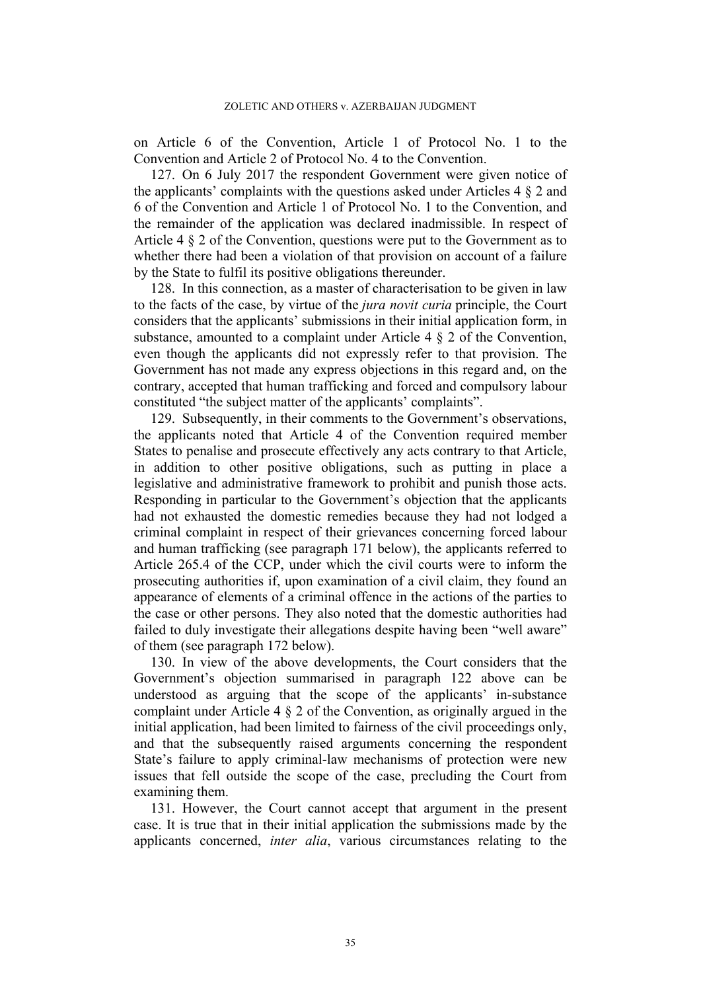on Article 6 of the Convention, Article 1 of Protocol No. 1 to the Convention and Article 2 of Protocol No. 4 to the Convention.

127. On 6 July 2017 the respondent Government were given notice of the applicants' complaints with the questions asked under Articles 4 § 2 and 6 of the Convention and Article 1 of Protocol No. 1 to the Convention, and the remainder of the application was declared inadmissible. In respect of Article 4 § 2 of the Convention, questions were put to the Government as to whether there had been a violation of that provision on account of a failure by the State to fulfil its positive obligations thereunder.

128. In this connection, as a master of characterisation to be given in law to the facts of the case, by virtue of the *jura novit curia* principle, the Court considers that the applicants' submissions in their initial application form, in substance, amounted to a complaint under Article 4 § 2 of the Convention, even though the applicants did not expressly refer to that provision. The Government has not made any express objections in this regard and, on the contrary, accepted that human trafficking and forced and compulsory labour constituted "the subject matter of the applicants' complaints".

<span id="page-36-0"></span>129. Subsequently, in their comments to the Government's observations, the applicants noted that Article 4 of the Convention required member States to penalise and prosecute effectively any acts contrary to that Article, in addition to other positive obligations, such as putting in place a legislative and administrative framework to prohibit and punish those acts. Responding in particular to the Government's objection that the applicants had not exhausted the domestic remedies because they had not lodged a criminal complaint in respect of their grievances concerning forced labour and human trafficking (see paragraph [171](#page-47-0) below), the applicants referred to Article 265.4 of the CCP, under which the civil courts were to inform the prosecuting authorities if, upon examination of a civil claim, they found an appearance of elements of a criminal offence in the actions of the parties to the case or other persons. They also noted that the domestic authorities had failed to duly investigate their allegations despite having been "well aware" of them (see paragraph [172](#page-48-0) below).

130. In view of the above developments, the Court considers that the Government's objection summarised in paragraph [122](#page-34-0) above can be understood as arguing that the scope of the applicants' in-substance complaint under Article 4 § 2 of the Convention, as originally argued in the initial application, had been limited to fairness of the civil proceedings only, and that the subsequently raised arguments concerning the respondent State's failure to apply criminal-law mechanisms of protection were new issues that fell outside the scope of the case, precluding the Court from examining them.

131. However, the Court cannot accept that argument in the present case. It is true that in their initial application the submissions made by the applicants concerned, *inter alia*, various circumstances relating to the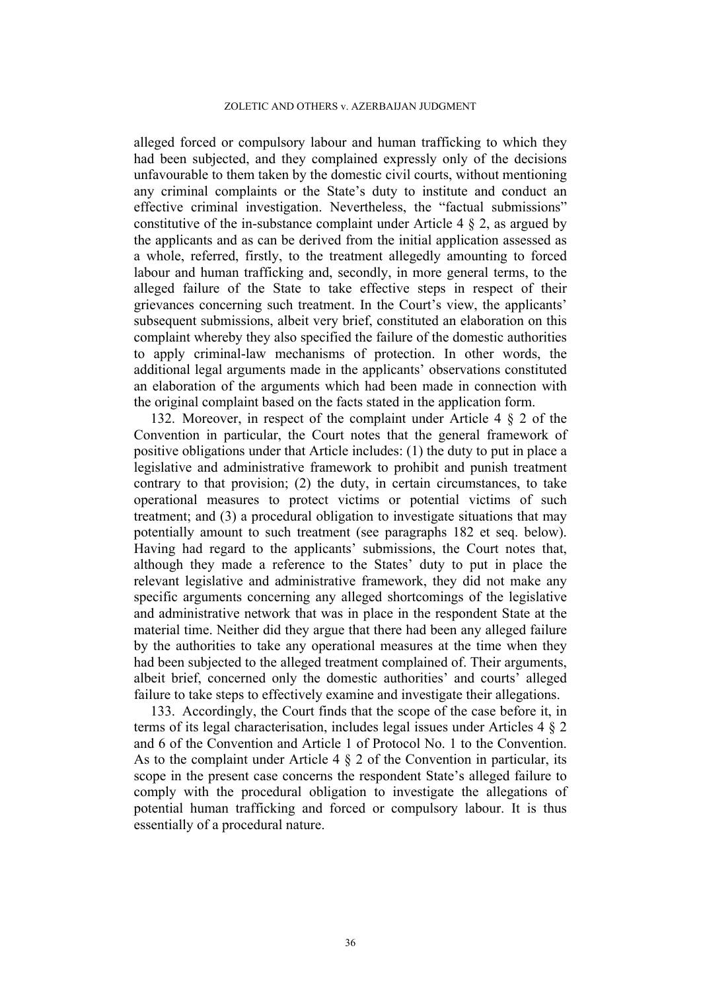alleged forced or compulsory labour and human trafficking to which they had been subjected, and they complained expressly only of the decisions unfavourable to them taken by the domestic civil courts, without mentioning any criminal complaints or the State's duty to institute and conduct an effective criminal investigation. Nevertheless, the "factual submissions" constitutive of the in-substance complaint under Article 4  $\S$  2, as argued by the applicants and as can be derived from the initial application assessed as a whole, referred, firstly, to the treatment allegedly amounting to forced labour and human trafficking and, secondly, in more general terms, to the alleged failure of the State to take effective steps in respect of their grievances concerning such treatment. In the Court's view, the applicants' subsequent submissions, albeit very brief, constituted an elaboration on this complaint whereby they also specified the failure of the domestic authorities to apply criminal-law mechanisms of protection. In other words, the additional legal arguments made in the applicants' observations constituted an elaboration of the arguments which had been made in connection with the original complaint based on the facts stated in the application form.

<span id="page-37-0"></span>132. Moreover, in respect of the complaint under Article 4 § 2 of the Convention in particular, the Court notes that the general framework of positive obligations under that Article includes: (1) the duty to put in place a legislative and administrative framework to prohibit and punish treatment contrary to that provision; (2) the duty, in certain circumstances, to take operational measures to protect victims or potential victims of such treatment; and (3) a procedural obligation to investigate situations that may potentially amount to such treatment (see paragraphs [182](#page-50-0) et seq. below). Having had regard to the applicants' submissions, the Court notes that, although they made a reference to the States' duty to put in place the relevant legislative and administrative framework, they did not make any specific arguments concerning any alleged shortcomings of the legislative and administrative network that was in place in the respondent State at the material time. Neither did they argue that there had been any alleged failure by the authorities to take any operational measures at the time when they had been subjected to the alleged treatment complained of. Their arguments, albeit brief, concerned only the domestic authorities' and courts' alleged failure to take steps to effectively examine and investigate their allegations.

133. Accordingly, the Court finds that the scope of the case before it, in terms of its legal characterisation, includes legal issues under Articles 4 § 2 and 6 of the Convention and Article 1 of Protocol No. 1 to the Convention. As to the complaint under Article  $4 \tS 2$  of the Convention in particular, its scope in the present case concerns the respondent State's alleged failure to comply with the procedural obligation to investigate the allegations of potential human trafficking and forced or compulsory labour. It is thus essentially of a procedural nature.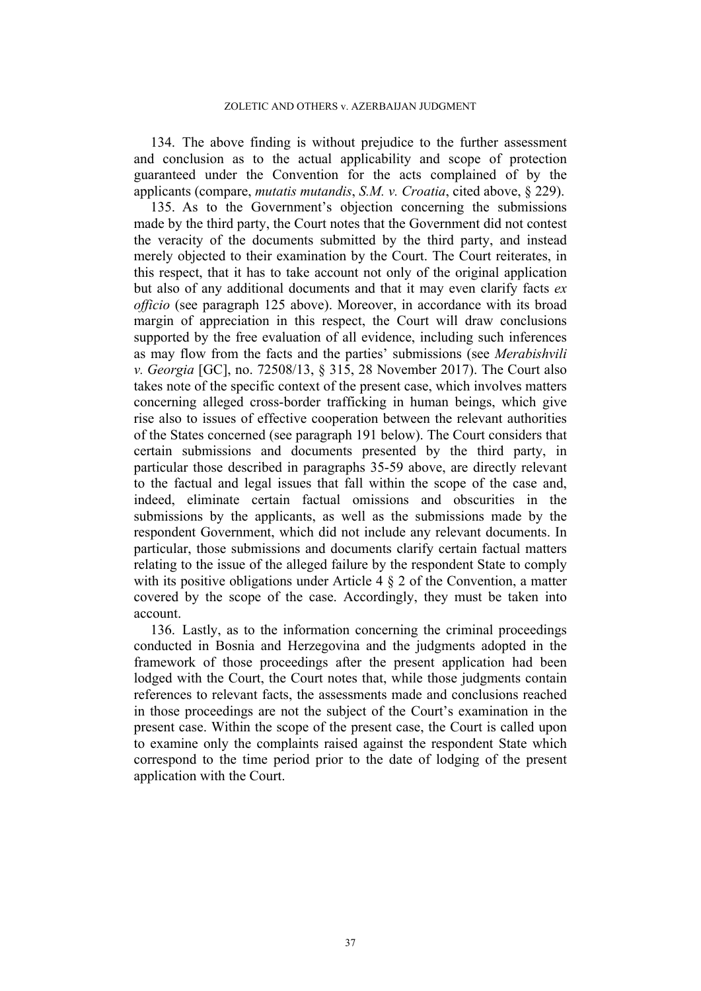<span id="page-38-0"></span>134. The above finding is without prejudice to the further assessment and conclusion as to the actual applicability and scope of protection guaranteed under the Convention for the acts complained of by the applicants (compare, *mutatis mutandis*, *S.M. v. Croatia*, cited above, § 229).

135. As to the Government's objection concerning the submissions made by the third party, the Court notes that the Government did not contest the veracity of the documents submitted by the third party, and instead merely objected to their examination by the Court. The Court reiterates, in this respect, that it has to take account not only of the original application but also of any additional documents and that it may even clarify facts *ex officio* (see paragraph [125](#page-35-0) above). Moreover, in accordance with its broad margin of appreciation in this respect, the Court will draw conclusions supported by the free evaluation of all evidence, including such inferences as may flow from the facts and the parties' submissions (see *Merabishvili v. Georgia* [GC], no. 72508/13, § 315, 28 November 2017). The Court also takes note of the specific context of the present case, which involves matters concerning alleged cross-border trafficking in human beings, which give rise also to issues of effective cooperation between the relevant authorities of the States concerned (see paragraph [191](#page-53-0) below). The Court considers that certain submissions and documents presented by the third party, in particular those described in paragraphs [35-](#page-10-2)[59](#page-15-1) above, are directly relevant to the factual and legal issues that fall within the scope of the case and, indeed, eliminate certain factual omissions and obscurities in the submissions by the applicants, as well as the submissions made by the respondent Government, which did not include any relevant documents. In particular, those submissions and documents clarify certain factual matters relating to the issue of the alleged failure by the respondent State to comply with its positive obligations under Article 4  $\S$  2 of the Convention, a matter covered by the scope of the case. Accordingly, they must be taken into account.

136. Lastly, as to the information concerning the criminal proceedings conducted in Bosnia and Herzegovina and the judgments adopted in the framework of those proceedings after the present application had been lodged with the Court, the Court notes that, while those judgments contain references to relevant facts, the assessments made and conclusions reached in those proceedings are not the subject of the Court's examination in the present case. Within the scope of the present case, the Court is called upon to examine only the complaints raised against the respondent State which correspond to the time period prior to the date of lodging of the present application with the Court.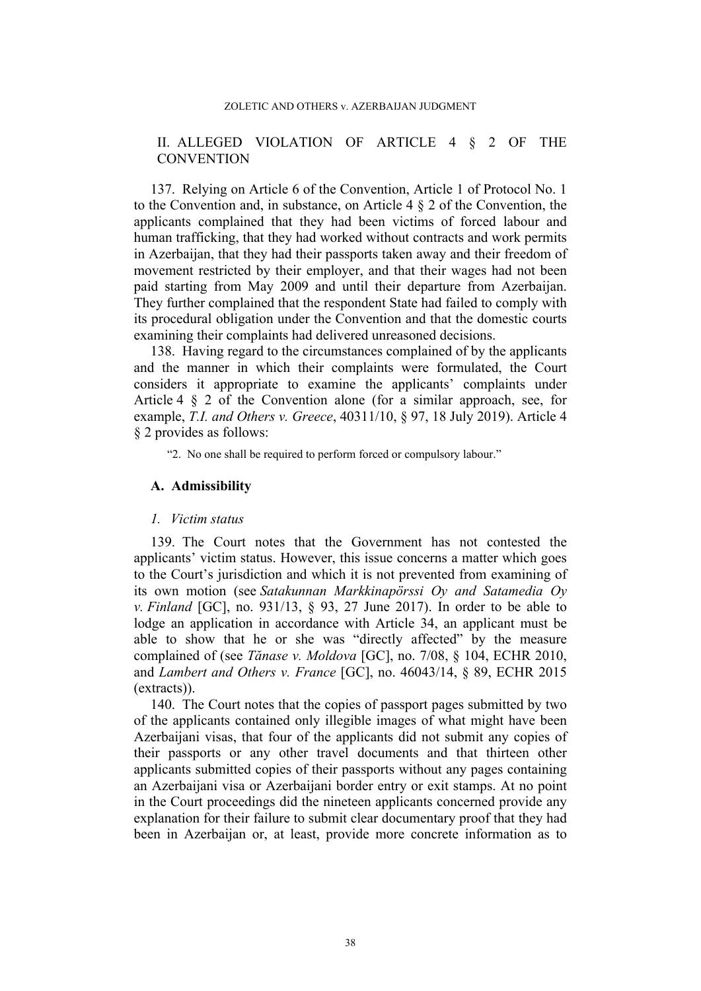#### ZOLETIC AND OTHERS v. AZERBAIJAN JUDGMENT

## II. ALLEGED VIOLATION OF ARTICLE 4 § 2 OF THE **CONVENTION**

<span id="page-39-0"></span>137. Relying on Article 6 of the Convention, Article 1 of Protocol No. 1 to the Convention and, in substance, on Article 4 § 2 of the Convention, the applicants complained that they had been victims of forced labour and human trafficking, that they had worked without contracts and work permits in Azerbaijan, that they had their passports taken away and their freedom of movement restricted by their employer, and that their wages had not been paid starting from May 2009 and until their departure from Azerbaijan. They further complained that the respondent State had failed to comply with its procedural obligation under the Convention and that the domestic courts examining their complaints had delivered unreasoned decisions.

138. Having regard to the circumstances complained of by the applicants and the manner in which their complaints were formulated, the Court considers it appropriate to examine the applicants' complaints under Article 4 § 2 of the Convention alone (for a similar approach, see, for example, *T.I. and Others v. Greece*, 40311/10, § 97, 18 July 2019). Article 4 § 2 provides as follows:

"2. No one shall be required to perform forced or compulsory labour."

### **A. Admissibility**

#### *1. Victim status*

139. The Court notes that the Government has not contested the applicants' victim status. However, this issue concerns a matter which goes to the Court's jurisdiction and which it is not prevented from examining of its own motion (see *Satakunnan Markkinapörssi Oy and Satamedia Oy v. Finland* [GC], no. 931/13, § 93, 27 June 2017). In order to be able to lodge an application in accordance with Article 34, an applicant must be able to show that he or she was "directly affected" by the measure complained of (see *Tănase v. Moldova* [GC], no. 7/08, § 104, ECHR 2010, and *Lambert and Others v. France* [GC], no. 46043/14, § 89, ECHR 2015 (extracts)).

140. The Court notes that the copies of passport pages submitted by two of the applicants contained only illegible images of what might have been Azerbaijani visas, that four of the applicants did not submit any copies of their passports or any other travel documents and that thirteen other applicants submitted copies of their passports without any pages containing an Azerbaijani visa or Azerbaijani border entry or exit stamps. At no point in the Court proceedings did the nineteen applicants concerned provide any explanation for their failure to submit clear documentary proof that they had been in Azerbaijan or, at least, provide more concrete information as to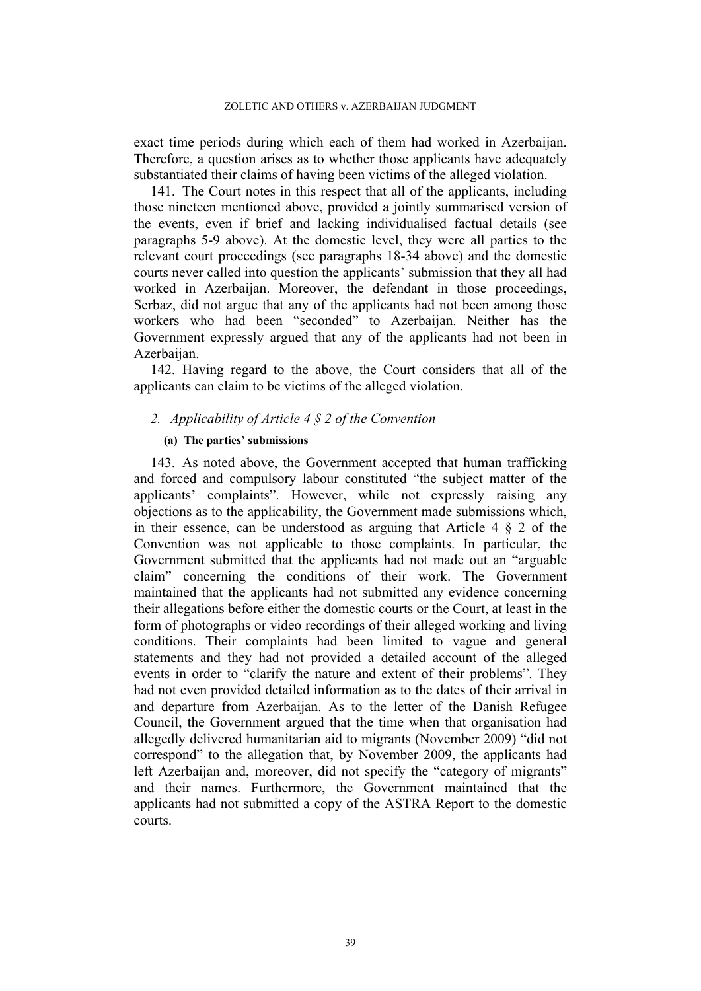exact time periods during which each of them had worked in Azerbaijan. Therefore, a question arises as to whether those applicants have adequately substantiated their claims of having been victims of the alleged violation.

141. The Court notes in this respect that all of the applicants, including those nineteen mentioned above, provided a jointly summarised version of the events, even if brief and lacking individualised factual details (see paragraphs [5-](#page-3-0)[9](#page-3-1) above). At the domestic level, they were all parties to the relevant court proceedings (see paragraphs [18](#page-5-0)[-34](#page-9-0) above) and the domestic courts never called into question the applicants' submission that they all had worked in Azerbaijan. Moreover, the defendant in those proceedings, Serbaz, did not argue that any of the applicants had not been among those workers who had been "seconded" to Azerbaijan. Neither has the Government expressly argued that any of the applicants had not been in Azerbaijan.

142. Having regard to the above, the Court considers that all of the applicants can claim to be victims of the alleged violation.

## *2. Applicability of Article 4 § 2 of the Convention*

### **(a) The parties' submissions**

143. As noted above, the Government accepted that human trafficking and forced and compulsory labour constituted "the subject matter of the applicants' complaints". However, while not expressly raising any objections as to the applicability, the Government made submissions which, in their essence, can be understood as arguing that Article  $4 \& 2$  of the Convention was not applicable to those complaints. In particular, the Government submitted that the applicants had not made out an "arguable claim" concerning the conditions of their work. The Government maintained that the applicants had not submitted any evidence concerning their allegations before either the domestic courts or the Court, at least in the form of photographs or video recordings of their alleged working and living conditions. Their complaints had been limited to vague and general statements and they had not provided a detailed account of the alleged events in order to "clarify the nature and extent of their problems". They had not even provided detailed information as to the dates of their arrival in and departure from Azerbaijan. As to the letter of the Danish Refugee Council, the Government argued that the time when that organisation had allegedly delivered humanitarian aid to migrants (November 2009) "did not correspond" to the allegation that, by November 2009, the applicants had left Azerbaijan and, moreover, did not specify the "category of migrants" and their names. Furthermore, the Government maintained that the applicants had not submitted a copy of the ASTRA Report to the domestic courts.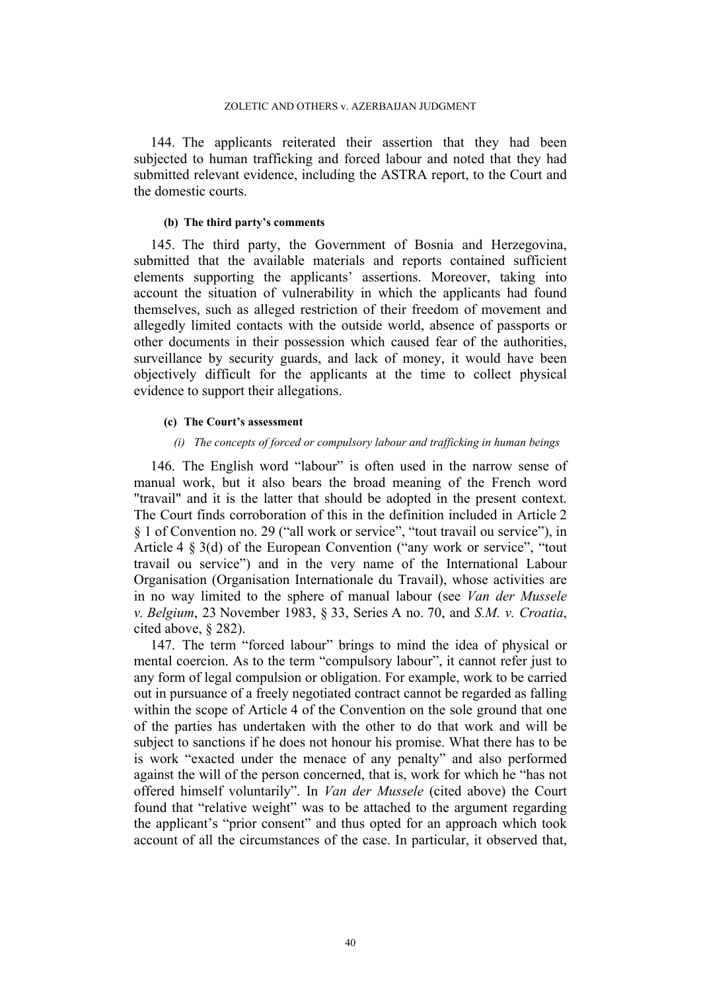144. The applicants reiterated their assertion that they had been subjected to human trafficking and forced labour and noted that they had submitted relevant evidence, including the ASTRA report, to the Court and the domestic courts.

### **(b) The third party's comments**

145. The third party, the Government of Bosnia and Herzegovina, submitted that the available materials and reports contained sufficient elements supporting the applicants' assertions. Moreover, taking into account the situation of vulnerability in which the applicants had found themselves, such as alleged restriction of their freedom of movement and allegedly limited contacts with the outside world, absence of passports or other documents in their possession which caused fear of the authorities, surveillance by security guards, and lack of money, it would have been objectively difficult for the applicants at the time to collect physical evidence to support their allegations.

### **(c) The Court's assessment**

### *(i) The concepts of forced or compulsory labour and trafficking in human beings*

146. The English word "labour" is often used in the narrow sense of manual work, but it also bears the broad meaning of the French word "travail" and it is the latter that should be adopted in the present context. The Court finds corroboration of this in the definition included in Article 2 § 1 of Convention no. 29 ("all work or service", "tout travail ou service"), in Article 4 § 3(d) of the European Convention ("any work or service", "tout travail ou service") and in the very name of the International Labour Organisation (Organisation Internationale du Travail), whose activities are in no way limited to the sphere of manual labour (see *Van der Mussele v. Belgium*, 23 November 1983, § 33, Series A no. 70, and *S.M. v. Croatia*, cited above, § 282).

147. The term "forced labour" brings to mind the idea of physical or mental coercion. As to the term "compulsory labour", it cannot refer just to any form of legal compulsion or obligation. For example, work to be carried out in pursuance of a freely negotiated contract cannot be regarded as falling within the scope of Article 4 of the Convention on the sole ground that one of the parties has undertaken with the other to do that work and will be subject to sanctions if he does not honour his promise. What there has to be is work "exacted under the menace of any penalty" and also performed against the will of the person concerned, that is, work for which he "has not offered himself voluntarily". In *Van der Mussele* (cited above) the Court found that "relative weight" was to be attached to the argument regarding the applicant's "prior consent" and thus opted for an approach which took account of all the circumstances of the case. In particular, it observed that,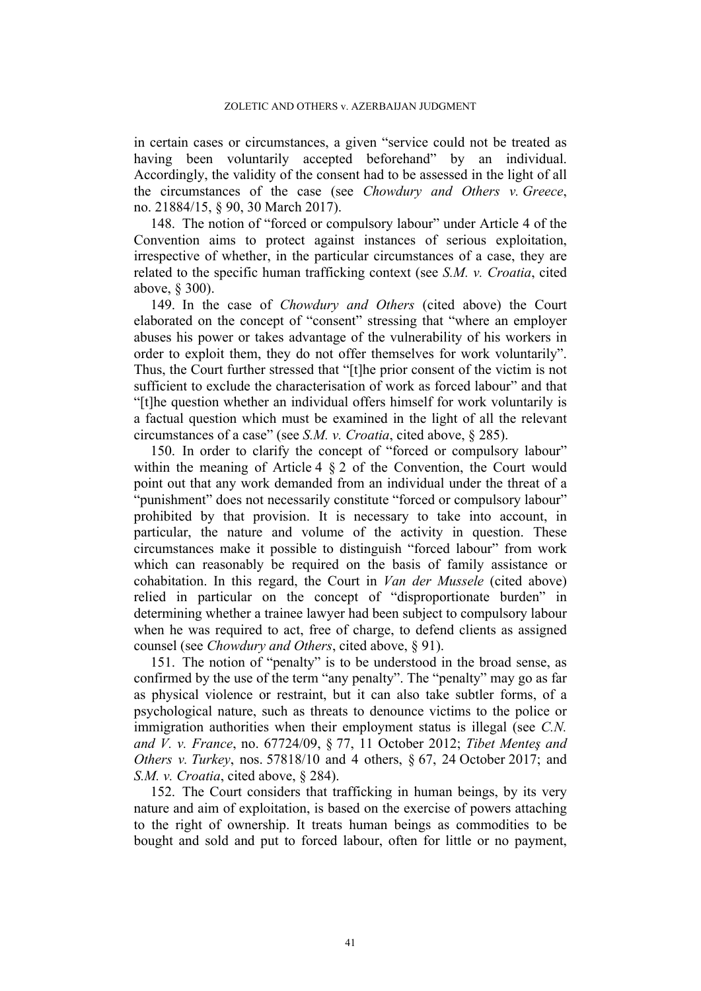in certain cases or circumstances, a given "service could not be treated as having been voluntarily accepted beforehand" by an individual. Accordingly, the validity of the consent had to be assessed in the light of all the circumstances of the case (see *Chowdury and Others v. Greece*, no. 21884/15, § 90, 30 March 2017).

148. The notion of "forced or compulsory labour" under Article 4 of the Convention aims to protect against instances of serious exploitation, irrespective of whether, in the particular circumstances of a case, they are related to the specific human trafficking context (see *S.M. v. Croatia*, cited above, § 300).

149. In the case of *Chowdury and Others* (cited above) the Court elaborated on the concept of "consent" stressing that "where an employer abuses his power or takes advantage of the vulnerability of his workers in order to exploit them, they do not offer themselves for work voluntarily". Thus, the Court further stressed that "[t]he prior consent of the victim is not sufficient to exclude the characterisation of work as forced labour" and that "[t]he question whether an individual offers himself for work voluntarily is a factual question which must be examined in the light of all the relevant circumstances of a case" (see *S.M. v. Croatia*, cited above, § 285).

150. In order to clarify the concept of "forced or compulsory labour" within the meaning of Article 4  $\S 2$  of the Convention, the Court would point out that any work demanded from an individual under the threat of a "punishment" does not necessarily constitute "forced or compulsory labour" prohibited by that provision. It is necessary to take into account, in particular, the nature and volume of the activity in question. These circumstances make it possible to distinguish "forced labour" from work which can reasonably be required on the basis of family assistance or cohabitation. In this regard, the Court in *Van der Mussele* (cited above) relied in particular on the concept of "disproportionate burden" in determining whether a trainee lawyer had been subject to compulsory labour when he was required to act, free of charge, to defend clients as assigned counsel (see *Chowdury and Others*, cited above, § 91).

151. The notion of "penalty" is to be understood in the broad sense, as confirmed by the use of the term "any penalty". The "penalty" may go as far as physical violence or restraint, but it can also take subtler forms, of a psychological nature, such as threats to denounce victims to the police or immigration authorities when their employment status is illegal (see *C.N. and V. v. France*, no. 67724/09, § 77, 11 October 2012; *Tibet Menteş and Others v. Turkey*, nos. 57818/10 and 4 others, § 67, 24 October 2017; and *S.M. v. Croatia*, cited above, § 284).

152. The Court considers that trafficking in human beings, by its very nature and aim of exploitation, is based on the exercise of powers attaching to the right of ownership. It treats human beings as commodities to be bought and sold and put to forced labour, often for little or no payment,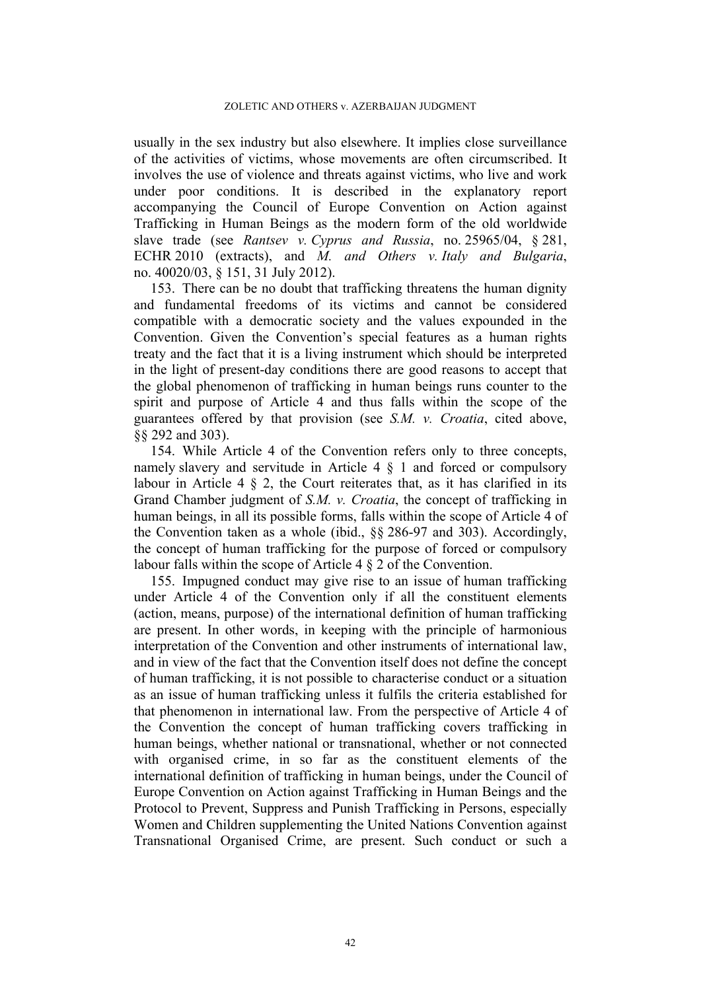usually in the sex industry but also elsewhere. It implies close surveillance of the activities of victims, whose movements are often circumscribed. It involves the use of violence and threats against victims, who live and work under poor conditions. It is described in the explanatory report accompanying the Council of Europe Convention on Action against Trafficking in Human Beings as the modern form of the old worldwide slave trade (see *Rantsev v. Cyprus and Russia*, no. 25965/04, § 281, ECHR 2010 (extracts), and *M. and Others v. Italy and Bulgaria*, no. 40020/03, § 151, 31 July 2012).

153. There can be no doubt that trafficking threatens the human dignity and fundamental freedoms of its victims and cannot be considered compatible with a democratic society and the values expounded in the Convention. Given the Convention's special features as a human rights treaty and the fact that it is a living instrument which should be interpreted in the light of present-day conditions there are good reasons to accept that the global phenomenon of trafficking in human beings runs counter to the spirit and purpose of Article 4 and thus falls within the scope of the guarantees offered by that provision (see *S.M. v. Croatia*, cited above, §§ 292 and 303).

154. While Article 4 of the Convention refers only to three concepts, namely slavery and servitude in Article 4 § 1 and forced or compulsory labour in Article 4 § 2, the Court reiterates that, as it has clarified in its Grand Chamber judgment of *S.M. v. Croatia*, the concept of trafficking in human beings, in all its possible forms, falls within the scope of Article 4 of the Convention taken as a whole (ibid., §§ 286-97 and 303). Accordingly, the concept of human trafficking for the purpose of forced or compulsory labour falls within the scope of Article 4 § 2 of the Convention.

<span id="page-43-0"></span>155. Impugned conduct may give rise to an issue of human trafficking under Article 4 of the Convention only if all the constituent elements (action, means, purpose) of the international definition of human trafficking are present. In other words, in keeping with the principle of harmonious interpretation of the Convention and other instruments of international law, and in view of the fact that the Convention itself does not define the concept of human trafficking, it is not possible to characterise conduct or a situation as an issue of human trafficking unless it fulfils the criteria established for that phenomenon in international law. From the perspective of Article 4 of the Convention the concept of human trafficking covers trafficking in human beings, whether national or transnational, whether or not connected with organised crime, in so far as the constituent elements of the international definition of trafficking in human beings, under the Council of Europe Convention on Action against Trafficking in Human Beings and the Protocol to Prevent, Suppress and Punish Trafficking in Persons, especially Women and Children supplementing the United Nations Convention against Transnational Organised Crime, are present. Such conduct or such a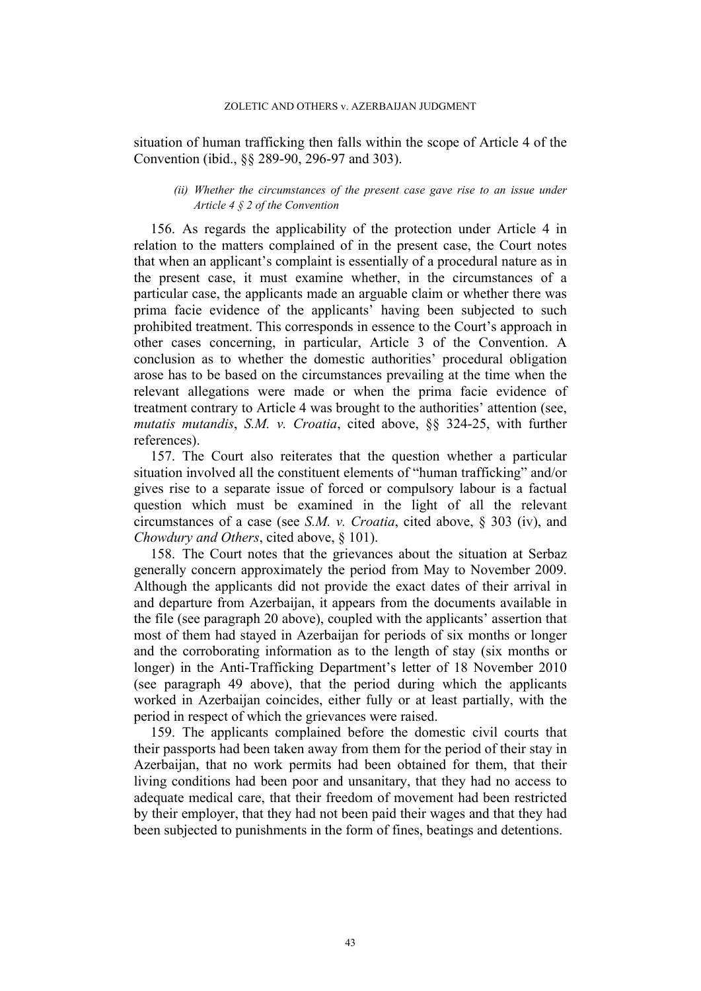situation of human trafficking then falls within the scope of Article 4 of the Convention (ibid., §§ 289-90, 296-97 and 303).

### *(ii) Whether the circumstances of the present case gave rise to an issue under Article 4 § 2 of the Convention*

156. As regards the applicability of the protection under Article 4 in relation to the matters complained of in the present case, the Court notes that when an applicant's complaint is essentially of a procedural nature as in the present case, it must examine whether, in the circumstances of a particular case, the applicants made an arguable claim or whether there was prima facie evidence of the applicants' having been subjected to such prohibited treatment. This corresponds in essence to the Court's approach in other cases concerning, in particular, Article 3 of the Convention. A conclusion as to whether the domestic authorities' procedural obligation arose has to be based on the circumstances prevailing at the time when the relevant allegations were made or when the prima facie evidence of treatment contrary to Article 4 was brought to the authorities' attention (see, *mutatis mutandis*, *S.M. v. Croatia*, cited above, §§ 324-25, with further references).

157. The Court also reiterates that the question whether a particular situation involved all the constituent elements of "human trafficking" and/or gives rise to a separate issue of forced or compulsory labour is a factual question which must be examined in the light of all the relevant circumstances of a case (see *S.M. v. Croatia*, cited above, § 303 (iv), and *Chowdury and Others*, cited above, § 101).

158. The Court notes that the grievances about the situation at Serbaz generally concern approximately the period from May to November 2009. Although the applicants did not provide the exact dates of their arrival in and departure from Azerbaijan, it appears from the documents available in the file (see paragraph [20](#page-5-2) above), coupled with the applicants' assertion that most of them had stayed in Azerbaijan for periods of six months or longer and the corroborating information as to the length of stay (six months or longer) in the Anti-Trafficking Department's letter of 18 November 2010 (see paragraph [49](#page-13-1) above), that the period during which the applicants worked in Azerbaijan coincides, either fully or at least partially, with the period in respect of which the grievances were raised.

159. The applicants complained before the domestic civil courts that their passports had been taken away from them for the period of their stay in Azerbaijan, that no work permits had been obtained for them, that their living conditions had been poor and unsanitary, that they had no access to adequate medical care, that their freedom of movement had been restricted by their employer, that they had not been paid their wages and that they had been subjected to punishments in the form of fines, beatings and detentions.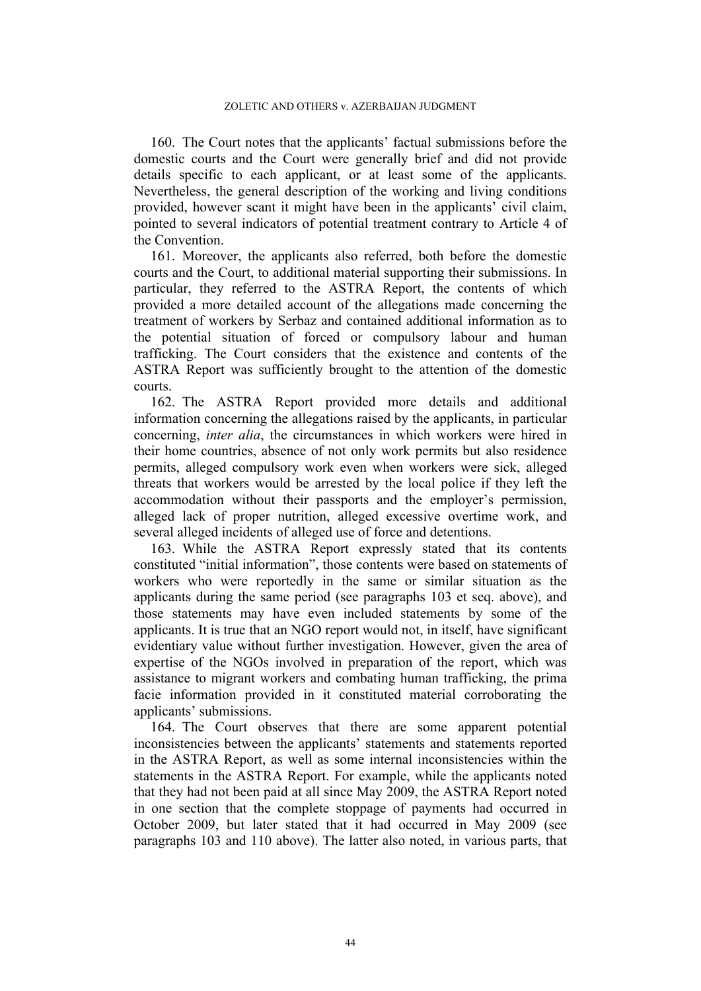160. The Court notes that the applicants' factual submissions before the domestic courts and the Court were generally brief and did not provide details specific to each applicant, or at least some of the applicants. Nevertheless, the general description of the working and living conditions provided, however scant it might have been in the applicants' civil claim, pointed to several indicators of potential treatment contrary to Article 4 of the Convention.

161. Moreover, the applicants also referred, both before the domestic courts and the Court, to additional material supporting their submissions. In particular, they referred to the ASTRA Report, the contents of which provided a more detailed account of the allegations made concerning the treatment of workers by Serbaz and contained additional information as to the potential situation of forced or compulsory labour and human trafficking. The Court considers that the existence and contents of the ASTRA Report was sufficiently brought to the attention of the domestic courts.

162. The ASTRA Report provided more details and additional information concerning the allegations raised by the applicants, in particular concerning, *inter alia*, the circumstances in which workers were hired in their home countries, absence of not only work permits but also residence permits, alleged compulsory work even when workers were sick, alleged threats that workers would be arrested by the local police if they left the accommodation without their passports and the employer's permission, alleged lack of proper nutrition, alleged excessive overtime work, and several alleged incidents of alleged use of force and detentions.

163. While the ASTRA Report expressly stated that its contents constituted "initial information", those contents were based on statements of workers who were reportedly in the same or similar situation as the applicants during the same period (see paragraphs [103](#page-27-1) et seq. above), and those statements may have even included statements by some of the applicants. It is true that an NGO report would not, in itself, have significant evidentiary value without further investigation. However, given the area of expertise of the NGOs involved in preparation of the report, which was assistance to migrant workers and combating human trafficking, the prima facie information provided in it constituted material corroborating the applicants' submissions.

164. The Court observes that there are some apparent potential inconsistencies between the applicants' statements and statements reported in the ASTRA Report, as well as some internal inconsistencies within the statements in the ASTRA Report. For example, while the applicants noted that they had not been paid at all since May 2009, the ASTRA Report noted in one section that the complete stoppage of payments had occurred in October 2009, but later stated that it had occurred in May 2009 (see paragraphs [103](#page-27-1) and [110](#page-28-1) above). The latter also noted, in various parts, that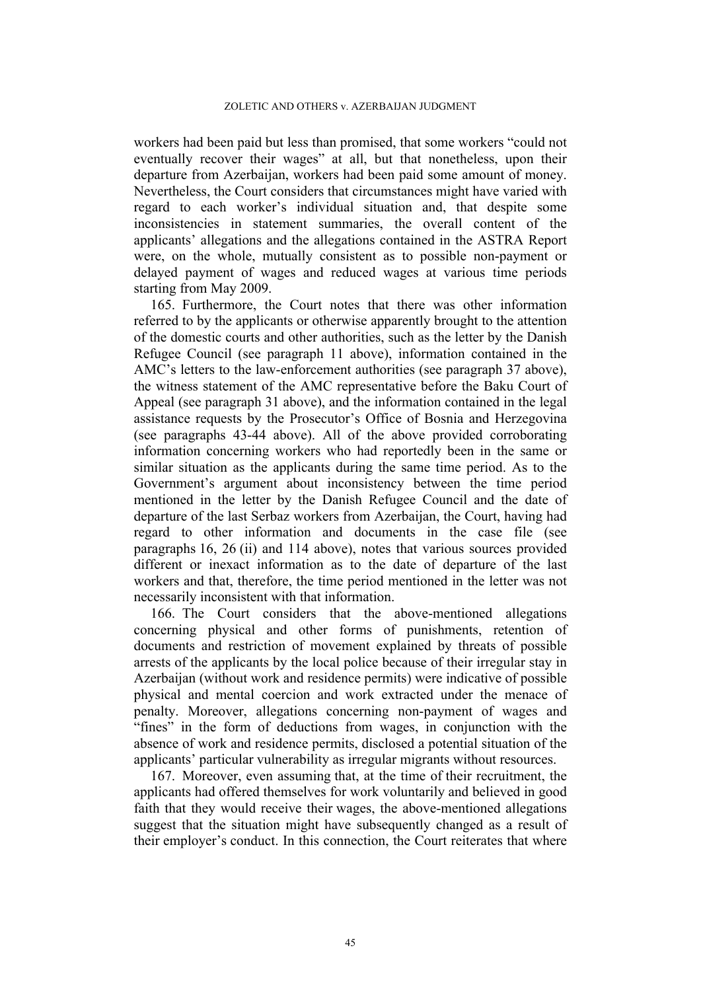workers had been paid but less than promised, that some workers "could not eventually recover their wages" at all, but that nonetheless, upon their departure from Azerbaijan, workers had been paid some amount of money. Nevertheless, the Court considers that circumstances might have varied with regard to each worker's individual situation and, that despite some inconsistencies in statement summaries, the overall content of the applicants' allegations and the allegations contained in the ASTRA Report were, on the whole, mutually consistent as to possible non-payment or delayed payment of wages and reduced wages at various time periods starting from May 2009.

165. Furthermore, the Court notes that there was other information referred to by the applicants or otherwise apparently brought to the attention of the domestic courts and other authorities, such as the letter by the Danish Refugee Council (see paragraph [11](#page-4-1) above), information contained in the AMC's letters to the law-enforcement authorities (see paragraph [37](#page-10-3) above), the witness statement of the AMC representative before the Baku Court of Appeal (see paragraph [31](#page-9-1) above), and the information contained in the legal assistance requests by the Prosecutor's Office of Bosnia and Herzegovina (see paragraphs [43](#page-11-1)[-44](#page-12-0) above). All of the above provided corroborating information concerning workers who had reportedly been in the same or similar situation as the applicants during the same time period. As to the Government's argument about inconsistency between the time period mentioned in the letter by the Danish Refugee Council and the date of departure of the last Serbaz workers from Azerbaijan, the Court, having had regard to other information and documents in the case file (see paragraphs [16](#page-4-2), [26](#page-7-1) (ii) and [114](#page-29-1) above), notes that various sources provided different or inexact information as to the date of departure of the last workers and that, therefore, the time period mentioned in the letter was not necessarily inconsistent with that information.

166. The Court considers that the above-mentioned allegations concerning physical and other forms of punishments, retention of documents and restriction of movement explained by threats of possible arrests of the applicants by the local police because of their irregular stay in Azerbaijan (without work and residence permits) were indicative of possible physical and mental coercion and work extracted under the menace of penalty. Moreover, allegations concerning non-payment of wages and "fines" in the form of deductions from wages, in conjunction with the absence of work and residence permits, disclosed a potential situation of the applicants' particular vulnerability as irregular migrants without resources.

<span id="page-46-0"></span>167. Moreover, even assuming that, at the time of their recruitment, the applicants had offered themselves for work voluntarily and believed in good faith that they would receive their wages, the above-mentioned allegations suggest that the situation might have subsequently changed as a result of their employer's conduct. In this connection, the Court reiterates that where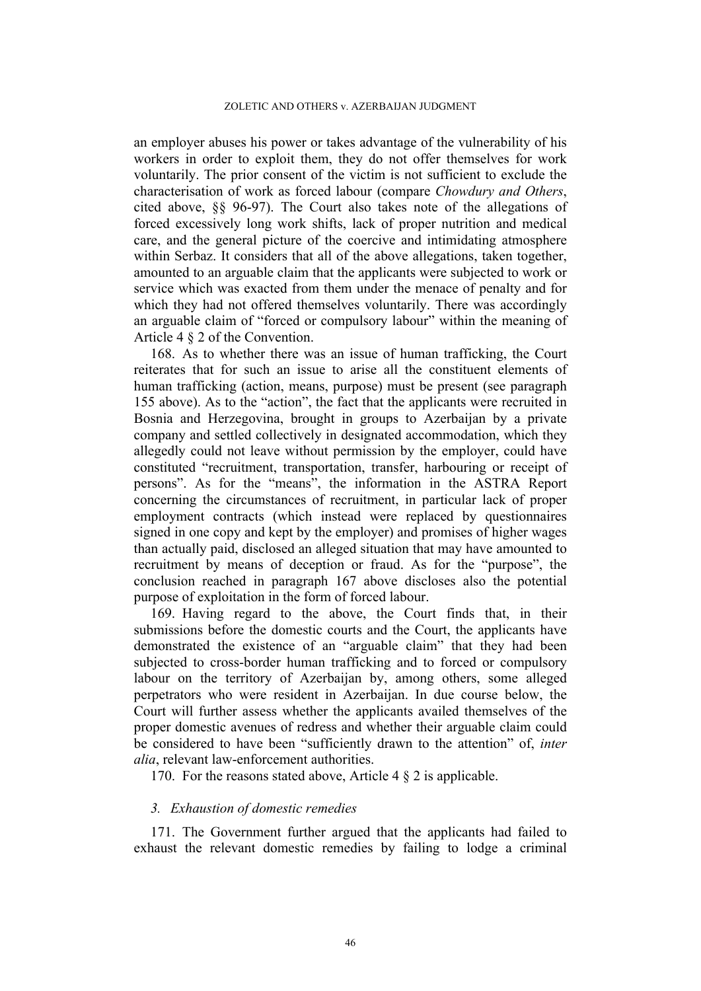#### ZOLETIC AND OTHERS v. AZERBAIJAN JUDGMENT

an employer abuses his power or takes advantage of the vulnerability of his workers in order to exploit them, they do not offer themselves for work voluntarily. The prior consent of the victim is not sufficient to exclude the characterisation of work as forced labour (compare *Chowdury and Others*, cited above, §§ 96-97). The Court also takes note of the allegations of forced excessively long work shifts, lack of proper nutrition and medical care, and the general picture of the coercive and intimidating atmosphere within Serbaz. It considers that all of the above allegations, taken together, amounted to an arguable claim that the applicants were subjected to work or service which was exacted from them under the menace of penalty and for which they had not offered themselves voluntarily. There was accordingly an arguable claim of "forced or compulsory labour" within the meaning of Article 4 § 2 of the Convention.

168. As to whether there was an issue of human trafficking, the Court reiterates that for such an issue to arise all the constituent elements of human trafficking (action, means, purpose) must be present (see paragraph [155](#page-43-0) above). As to the "action", the fact that the applicants were recruited in Bosnia and Herzegovina, brought in groups to Azerbaijan by a private company and settled collectively in designated accommodation, which they allegedly could not leave without permission by the employer, could have constituted "recruitment, transportation, transfer, harbouring or receipt of persons". As for the "means", the information in the ASTRA Report concerning the circumstances of recruitment, in particular lack of proper employment contracts (which instead were replaced by questionnaires signed in one copy and kept by the employer) and promises of higher wages than actually paid, disclosed an alleged situation that may have amounted to recruitment by means of deception or fraud. As for the "purpose", the conclusion reached in paragraph [167](#page-46-0) above discloses also the potential purpose of exploitation in the form of forced labour.

<span id="page-47-1"></span>169. Having regard to the above, the Court finds that, in their submissions before the domestic courts and the Court, the applicants have demonstrated the existence of an "arguable claim" that they had been subjected to cross-border human trafficking and to forced or compulsory labour on the territory of Azerbaijan by, among others, some alleged perpetrators who were resident in Azerbaijan. In due course below, the Court will further assess whether the applicants availed themselves of the proper domestic avenues of redress and whether their arguable claim could be considered to have been "sufficiently drawn to the attention" of, *inter alia*, relevant law-enforcement authorities.

170. For the reasons stated above, Article 4 § 2 is applicable.

## *3. Exhaustion of domestic remedies*

<span id="page-47-0"></span>171. The Government further argued that the applicants had failed to exhaust the relevant domestic remedies by failing to lodge a criminal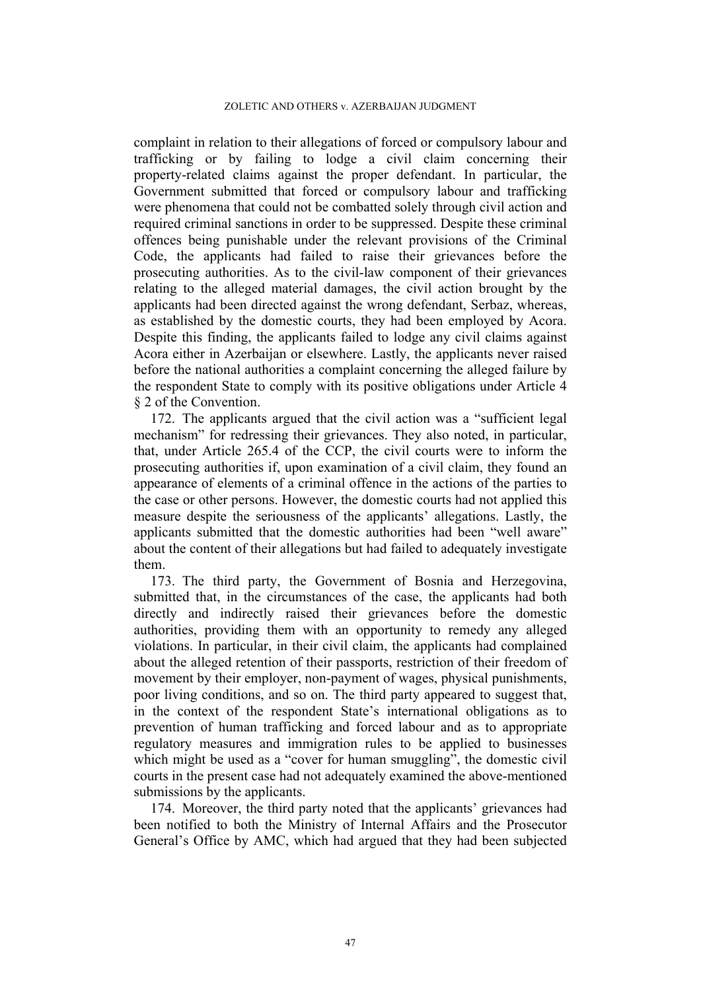#### ZOLETIC AND OTHERS v. AZERBAIJAN JUDGMENT

complaint in relation to their allegations of forced or compulsory labour and trafficking or by failing to lodge a civil claim concerning their property-related claims against the proper defendant. In particular, the Government submitted that forced or compulsory labour and trafficking were phenomena that could not be combatted solely through civil action and required criminal sanctions in order to be suppressed. Despite these criminal offences being punishable under the relevant provisions of the Criminal Code, the applicants had failed to raise their grievances before the prosecuting authorities. As to the civil-law component of their grievances relating to the alleged material damages, the civil action brought by the applicants had been directed against the wrong defendant, Serbaz, whereas, as established by the domestic courts, they had been employed by Acora. Despite this finding, the applicants failed to lodge any civil claims against Acora either in Azerbaijan or elsewhere. Lastly, the applicants never raised before the national authorities a complaint concerning the alleged failure by the respondent State to comply with its positive obligations under Article 4 § 2 of the Convention.

<span id="page-48-0"></span>172. The applicants argued that the civil action was a "sufficient legal mechanism" for redressing their grievances. They also noted, in particular, that, under Article 265.4 of the CCP, the civil courts were to inform the prosecuting authorities if, upon examination of a civil claim, they found an appearance of elements of a criminal offence in the actions of the parties to the case or other persons. However, the domestic courts had not applied this measure despite the seriousness of the applicants' allegations. Lastly, the applicants submitted that the domestic authorities had been "well aware" about the content of their allegations but had failed to adequately investigate them.

173. The third party, the Government of Bosnia and Herzegovina, submitted that, in the circumstances of the case, the applicants had both directly and indirectly raised their grievances before the domestic authorities, providing them with an opportunity to remedy any alleged violations. In particular, in their civil claim, the applicants had complained about the alleged retention of their passports, restriction of their freedom of movement by their employer, non-payment of wages, physical punishments, poor living conditions, and so on. The third party appeared to suggest that, in the context of the respondent State's international obligations as to prevention of human trafficking and forced labour and as to appropriate regulatory measures and immigration rules to be applied to businesses which might be used as a "cover for human smuggling", the domestic civil courts in the present case had not adequately examined the above-mentioned submissions by the applicants.

174. Moreover, the third party noted that the applicants' grievances had been notified to both the Ministry of Internal Affairs and the Prosecutor General's Office by AMC, which had argued that they had been subjected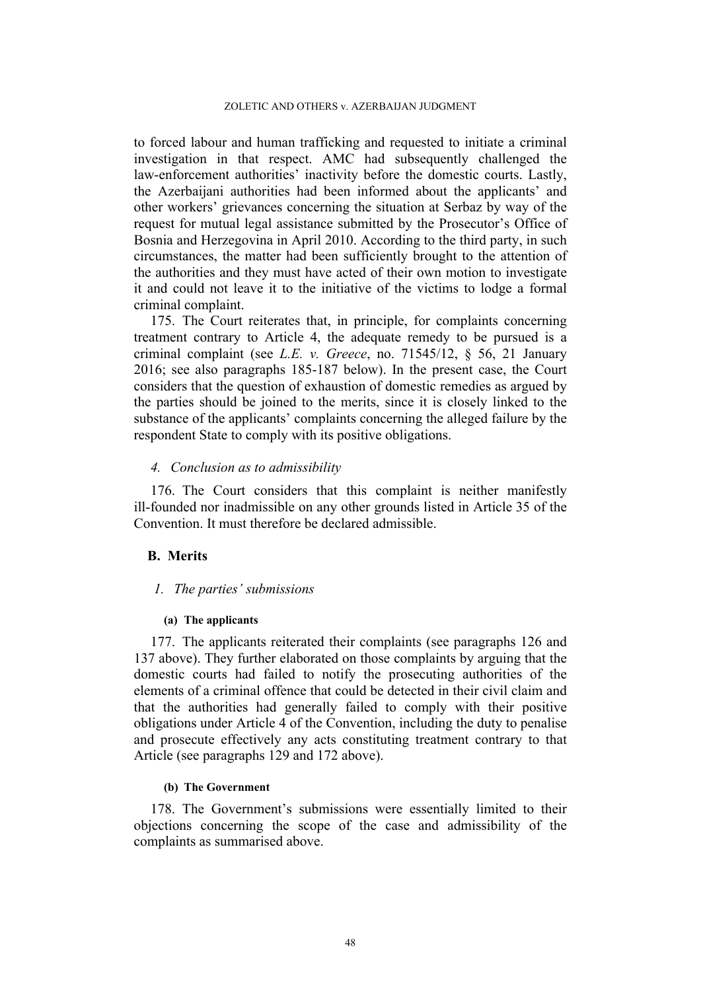to forced labour and human trafficking and requested to initiate a criminal investigation in that respect. AMC had subsequently challenged the law-enforcement authorities' inactivity before the domestic courts. Lastly, the Azerbaijani authorities had been informed about the applicants' and other workers' grievances concerning the situation at Serbaz by way of the request for mutual legal assistance submitted by the Prosecutor's Office of Bosnia and Herzegovina in April 2010. According to the third party, in such circumstances, the matter had been sufficiently brought to the attention of the authorities and they must have acted of their own motion to investigate it and could not leave it to the initiative of the victims to lodge a formal criminal complaint.

175. The Court reiterates that, in principle, for complaints concerning treatment contrary to Article 4, the adequate remedy to be pursued is a criminal complaint (see *L.E. v. Greece*, no. 71545/12, § 56, 21 January 2016; see also paragraphs [185](#page-51-0)[-187](#page-52-0) below). In the present case, the Court considers that the question of exhaustion of domestic remedies as argued by the parties should be joined to the merits, since it is closely linked to the substance of the applicants' complaints concerning the alleged failure by the respondent State to comply with its positive obligations.

## *4. Conclusion as to admissibility*

176. The Court considers that this complaint is neither manifestly ill-founded nor inadmissible on any other grounds listed in Article 35 of the Convention. It must therefore be declared admissible.

## **B. Merits**

## *1. The parties' submissions*

## **(a) The applicants**

177. The applicants reiterated their complaints (see paragraphs [126](#page-35-1) and [137](#page-39-0) above). They further elaborated on those complaints by arguing that the domestic courts had failed to notify the prosecuting authorities of the elements of a criminal offence that could be detected in their civil claim and that the authorities had generally failed to comply with their positive obligations under Article 4 of the Convention, including the duty to penalise and prosecute effectively any acts constituting treatment contrary to that Article (see paragraphs [129](#page-36-0) and [172](#page-48-0) above).

## **(b) The Government**

178. The Government's submissions were essentially limited to their objections concerning the scope of the case and admissibility of the complaints as summarised above.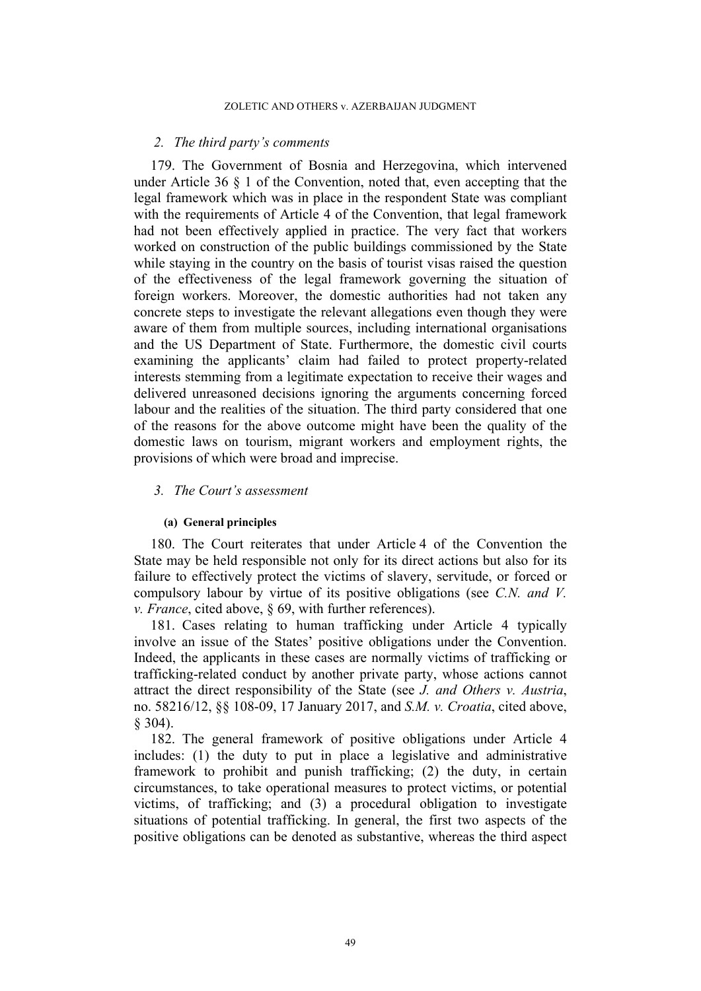### *2. The third party's comments*

179. The Government of Bosnia and Herzegovina, which intervened under Article 36 § 1 of the Convention, noted that, even accepting that the legal framework which was in place in the respondent State was compliant with the requirements of Article 4 of the Convention, that legal framework had not been effectively applied in practice. The very fact that workers worked on construction of the public buildings commissioned by the State while staying in the country on the basis of tourist visas raised the question of the effectiveness of the legal framework governing the situation of foreign workers. Moreover, the domestic authorities had not taken any concrete steps to investigate the relevant allegations even though they were aware of them from multiple sources, including international organisations and the US Department of State. Furthermore, the domestic civil courts examining the applicants' claim had failed to protect property-related interests stemming from a legitimate expectation to receive their wages and delivered unreasoned decisions ignoring the arguments concerning forced labour and the realities of the situation. The third party considered that one of the reasons for the above outcome might have been the quality of the domestic laws on tourism, migrant workers and employment rights, the provisions of which were broad and imprecise.

## *3. The Court's assessment*

### **(a) General principles**

180. The Court reiterates that under Article 4 of the Convention the State may be held responsible not only for its direct actions but also for its failure to effectively protect the victims of slavery, servitude, or forced or compulsory labour by virtue of its positive obligations (see *C.N. and V. v. France*, cited above, § 69, with further references).

181. Cases relating to human trafficking under Article 4 typically involve an issue of the States' positive obligations under the Convention. Indeed, the applicants in these cases are normally victims of trafficking or trafficking-related conduct by another private party, whose actions cannot attract the direct responsibility of the State (see *J. and Others v. Austria*, no. 58216/12, §§ 108-09, 17 January 2017, and *S.M. v. Croatia*, cited above, § 304).

<span id="page-50-0"></span>182. The general framework of positive obligations under Article 4 includes: (1) the duty to put in place a legislative and administrative framework to prohibit and punish trafficking; (2) the duty, in certain circumstances, to take operational measures to protect victims, or potential victims, of trafficking; and (3) a procedural obligation to investigate situations of potential trafficking. In general, the first two aspects of the positive obligations can be denoted as substantive, whereas the third aspect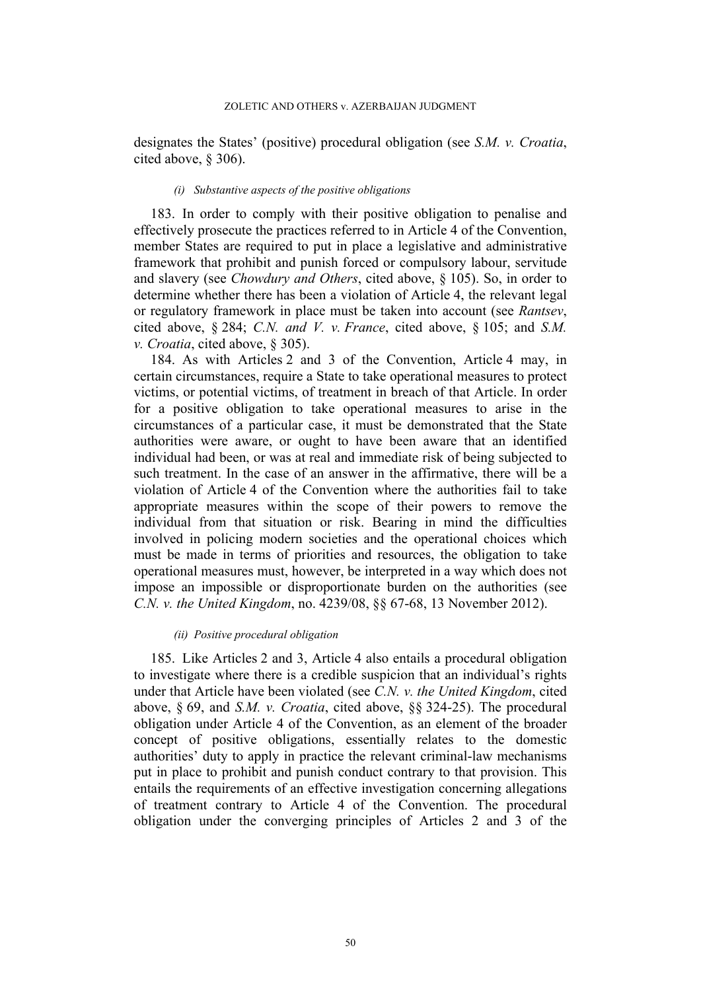designates the States' (positive) procedural obligation (see *S.M. v. Croatia*, cited above, § 306).

## *(i) Substantive aspects of the positive obligations*

183. In order to comply with their positive obligation to penalise and effectively prosecute the practices referred to in Article 4 of the Convention, member States are required to put in place a legislative and administrative framework that prohibit and punish forced or compulsory labour, servitude and slavery (see *Chowdury and Others*, cited above, § 105). So, in order to determine whether there has been a violation of Article 4, the relevant legal or regulatory framework in place must be taken into account (see *Rantsev*, cited above, § 284; *C.N. and V. v. France*, cited above, § 105; and *S.M. v. Croatia*, cited above, § 305).

184. As with Articles 2 and 3 of the Convention, Article 4 may, in certain circumstances, require a State to take operational measures to protect victims, or potential victims, of treatment in breach of that Article. In order for a positive obligation to take operational measures to arise in the circumstances of a particular case, it must be demonstrated that the State authorities were aware, or ought to have been aware that an identified individual had been, or was at real and immediate risk of being subjected to such treatment. In the case of an answer in the affirmative, there will be a violation of Article 4 of the Convention where the authorities fail to take appropriate measures within the scope of their powers to remove the individual from that situation or risk. Bearing in mind the difficulties involved in policing modern societies and the operational choices which must be made in terms of priorities and resources, the obligation to take operational measures must, however, be interpreted in a way which does not impose an impossible or disproportionate burden on the authorities (see *C.N. v. the United Kingdom*, no. 4239/08, §§ 67-68, 13 November 2012).

### *(ii) Positive procedural obligation*

<span id="page-51-0"></span>185. Like Articles 2 and 3, Article 4 also entails a procedural obligation to investigate where there is a credible suspicion that an individual's rights under that Article have been violated (see *C.N. v. the United Kingdom*, cited above, § 69, and *S.M. v. Croatia*, cited above, §§ 324-25). The procedural obligation under Article 4 of the Convention, as an element of the broader concept of positive obligations, essentially relates to the domestic authorities' duty to apply in practice the relevant criminal-law mechanisms put in place to prohibit and punish conduct contrary to that provision. This entails the requirements of an effective investigation concerning allegations of treatment contrary to Article 4 of the Convention. The procedural obligation under the converging principles of Articles 2 and 3 of the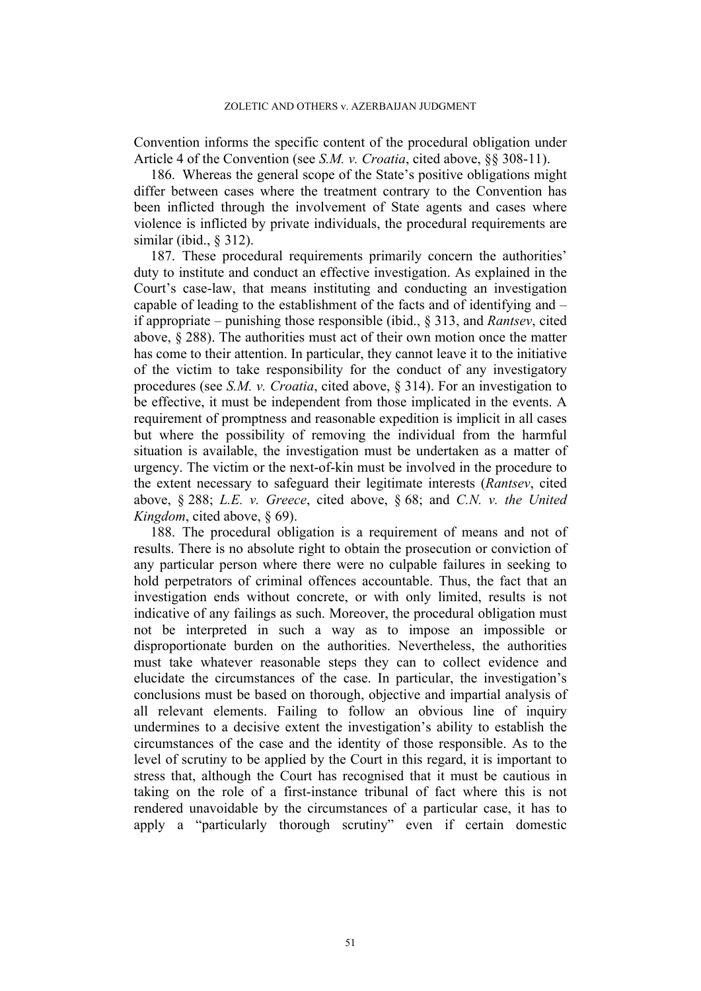Convention informs the specific content of the procedural obligation under Article 4 of the Convention (see *S.M. v. Croatia*, cited above, §§ 308-11).

186. Whereas the general scope of the State's positive obligations might differ between cases where the treatment contrary to the Convention has been inflicted through the involvement of State agents and cases where violence is inflicted by private individuals, the procedural requirements are similar (ibid., § 312).

<span id="page-52-0"></span>187. These procedural requirements primarily concern the authorities' duty to institute and conduct an effective investigation. As explained in the Court's case-law, that means instituting and conducting an investigation capable of leading to the establishment of the facts and of identifying and – if appropriate – punishing those responsible (ibid., § 313, and *Rantsev*, cited above, § 288). The authorities must act of their own motion once the matter has come to their attention. In particular, they cannot leave it to the initiative of the victim to take responsibility for the conduct of any investigatory procedures (see *S.M. v. Croatia*, cited above, § 314). For an investigation to be effective, it must be independent from those implicated in the events. A requirement of promptness and reasonable expedition is implicit in all cases but where the possibility of removing the individual from the harmful situation is available, the investigation must be undertaken as a matter of urgency. The victim or the next-of-kin must be involved in the procedure to the extent necessary to safeguard their legitimate interests (*Rantsev*, cited above, § 288; *L.E. v. Greece*, cited above, § 68; and *C.N. v. the United Kingdom*, cited above, § 69).

188. The procedural obligation is a requirement of means and not of results. There is no absolute right to obtain the prosecution or conviction of any particular person where there were no culpable failures in seeking to hold perpetrators of criminal offences accountable. Thus, the fact that an investigation ends without concrete, or with only limited, results is not indicative of any failings as such. Moreover, the procedural obligation must not be interpreted in such a way as to impose an impossible or disproportionate burden on the authorities. Nevertheless, the authorities must take whatever reasonable steps they can to collect evidence and elucidate the circumstances of the case. In particular, the investigation's conclusions must be based on thorough, objective and impartial analysis of all relevant elements. Failing to follow an obvious line of inquiry undermines to a decisive extent the investigation's ability to establish the circumstances of the case and the identity of those responsible. As to the level of scrutiny to be applied by the Court in this regard, it is important to stress that, although the Court has recognised that it must be cautious in taking on the role of a first-instance tribunal of fact where this is not rendered unavoidable by the circumstances of a particular case, it has to apply a "particularly thorough scrutiny" even if certain domestic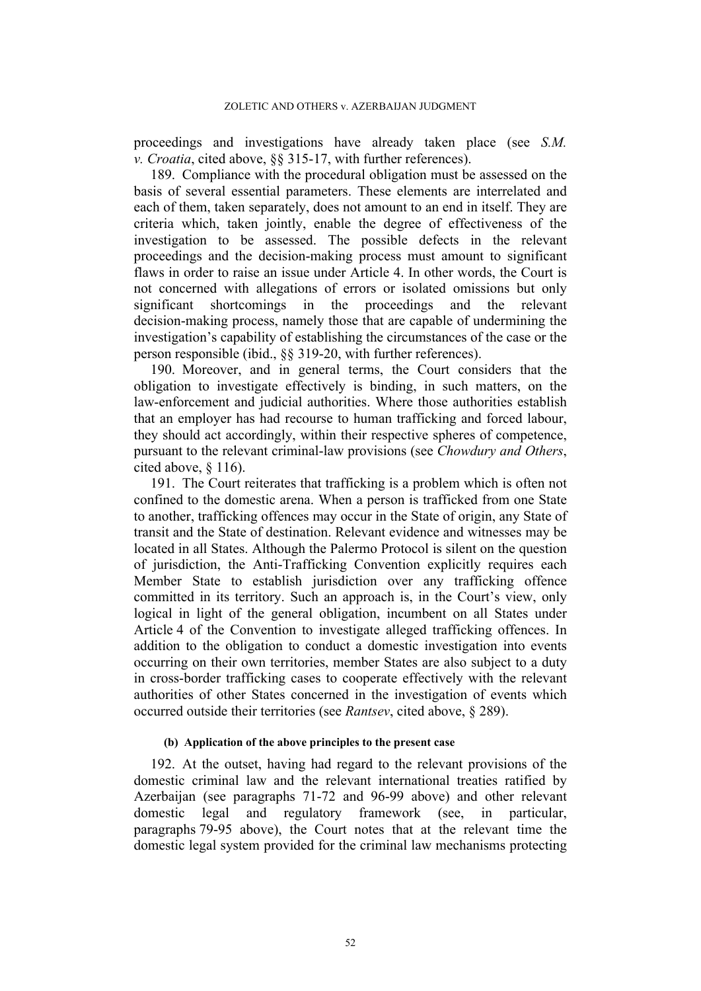proceedings and investigations have already taken place (see *S.M. v. Croatia*, cited above, §§ 315-17, with further references).

189. Compliance with the procedural obligation must be assessed on the basis of several essential parameters. These elements are interrelated and each of them, taken separately, does not amount to an end in itself. They are criteria which, taken jointly, enable the degree of effectiveness of the investigation to be assessed. The possible defects in the relevant proceedings and the decision-making process must amount to significant flaws in order to raise an issue under Article 4. In other words, the Court is not concerned with allegations of errors or isolated omissions but only significant shortcomings in the proceedings and the relevant decision-making process, namely those that are capable of undermining the investigation's capability of establishing the circumstances of the case or the person responsible (ibid., §§ 319-20, with further references).

190. Moreover, and in general terms, the Court considers that the obligation to investigate effectively is binding, in such matters, on the law-enforcement and judicial authorities. Where those authorities establish that an employer has had recourse to human trafficking and forced labour, they should act accordingly, within their respective spheres of competence, pursuant to the relevant criminal-law provisions (see *Chowdury and Others*, cited above, § 116).

<span id="page-53-0"></span>191. The Court reiterates that trafficking is a problem which is often not confined to the domestic arena. When a person is trafficked from one State to another, trafficking offences may occur in the State of origin, any State of transit and the State of destination. Relevant evidence and witnesses may be located in all States. Although the Palermo Protocol is silent on the question of jurisdiction, the Anti-Trafficking Convention explicitly requires each Member State to establish jurisdiction over any trafficking offence committed in its territory. Such an approach is, in the Court's view, only logical in light of the general obligation, incumbent on all States under Article 4 of the Convention to investigate alleged trafficking offences. In addition to the obligation to conduct a domestic investigation into events occurring on their own territories, member States are also subject to a duty in cross-border trafficking cases to cooperate effectively with the relevant authorities of other States concerned in the investigation of events which occurred outside their territories (see *Rantsev*, cited above, § 289).

### **(b) Application of the above principles to the present case**

192. At the outset, having had regard to the relevant provisions of the domestic criminal law and the relevant international treaties ratified by Azerbaijan (see paragraphs [71](#page-18-0)[-72](#page-19-0) and [96](#page-23-0)[-99](#page-24-0) above) and other relevant domestic legal and regulatory framework (see, in particular, paragraphs [79](#page-20-0)[-95](#page-23-1) above), the Court notes that at the relevant time the domestic legal system provided for the criminal law mechanisms protecting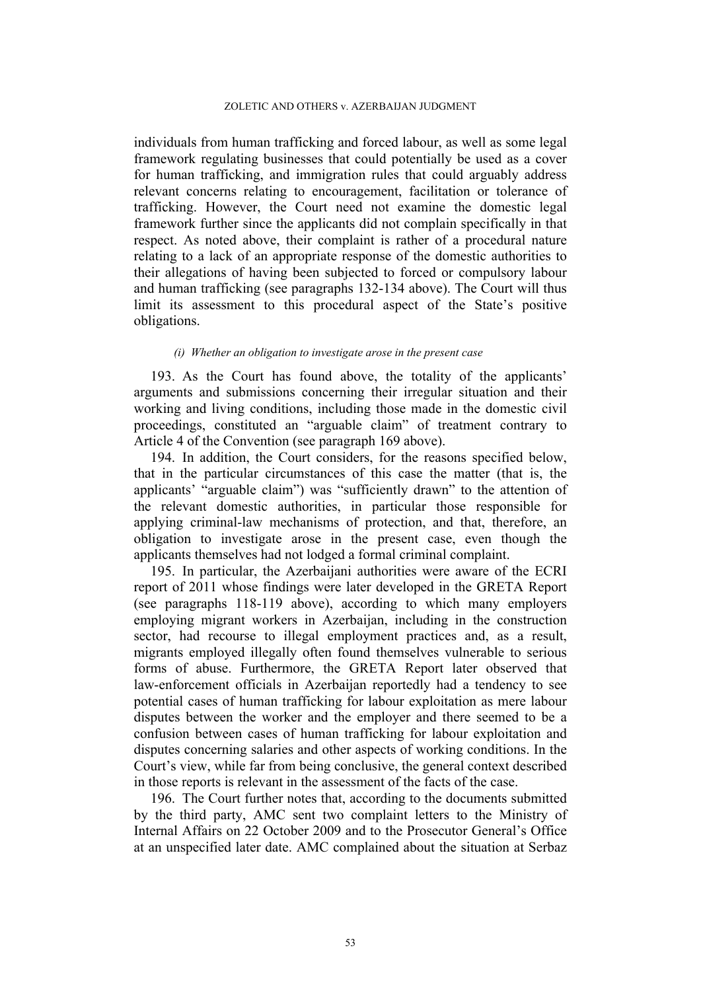individuals from human trafficking and forced labour, as well as some legal framework regulating businesses that could potentially be used as a cover for human trafficking, and immigration rules that could arguably address relevant concerns relating to encouragement, facilitation or tolerance of trafficking. However, the Court need not examine the domestic legal framework further since the applicants did not complain specifically in that respect. As noted above, their complaint is rather of a procedural nature relating to a lack of an appropriate response of the domestic authorities to their allegations of having been subjected to forced or compulsory labour and human trafficking (see paragraphs [132-](#page-37-0)[134](#page-38-0) above). The Court will thus limit its assessment to this procedural aspect of the State's positive obligations.

#### *(i) Whether an obligation to investigate arose in the present case*

193. As the Court has found above, the totality of the applicants' arguments and submissions concerning their irregular situation and their working and living conditions, including those made in the domestic civil proceedings, constituted an "arguable claim" of treatment contrary to Article 4 of the Convention (see paragraph [169](#page-47-1) above).

194. In addition, the Court considers, for the reasons specified below, that in the particular circumstances of this case the matter (that is, the applicants' "arguable claim") was "sufficiently drawn" to the attention of the relevant domestic authorities, in particular those responsible for applying criminal-law mechanisms of protection, and that, therefore, an obligation to investigate arose in the present case, even though the applicants themselves had not lodged a formal criminal complaint.

195. In particular, the Azerbaijani authorities were aware of the ECRI report of 2011 whose findings were later developed in the GRETA Report (see paragraphs [118](#page-29-2)[-119](#page-32-0) above), according to which many employers employing migrant workers in Azerbaijan, including in the construction sector, had recourse to illegal employment practices and, as a result, migrants employed illegally often found themselves vulnerable to serious forms of abuse. Furthermore, the GRETA Report later observed that law-enforcement officials in Azerbaijan reportedly had a tendency to see potential cases of human trafficking for labour exploitation as mere labour disputes between the worker and the employer and there seemed to be a confusion between cases of human trafficking for labour exploitation and disputes concerning salaries and other aspects of working conditions. In the Court's view, while far from being conclusive, the general context described in those reports is relevant in the assessment of the facts of the case.

196. The Court further notes that, according to the documents submitted by the third party, AMC sent two complaint letters to the Ministry of Internal Affairs on 22 October 2009 and to the Prosecutor General's Office at an unspecified later date. AMC complained about the situation at Serbaz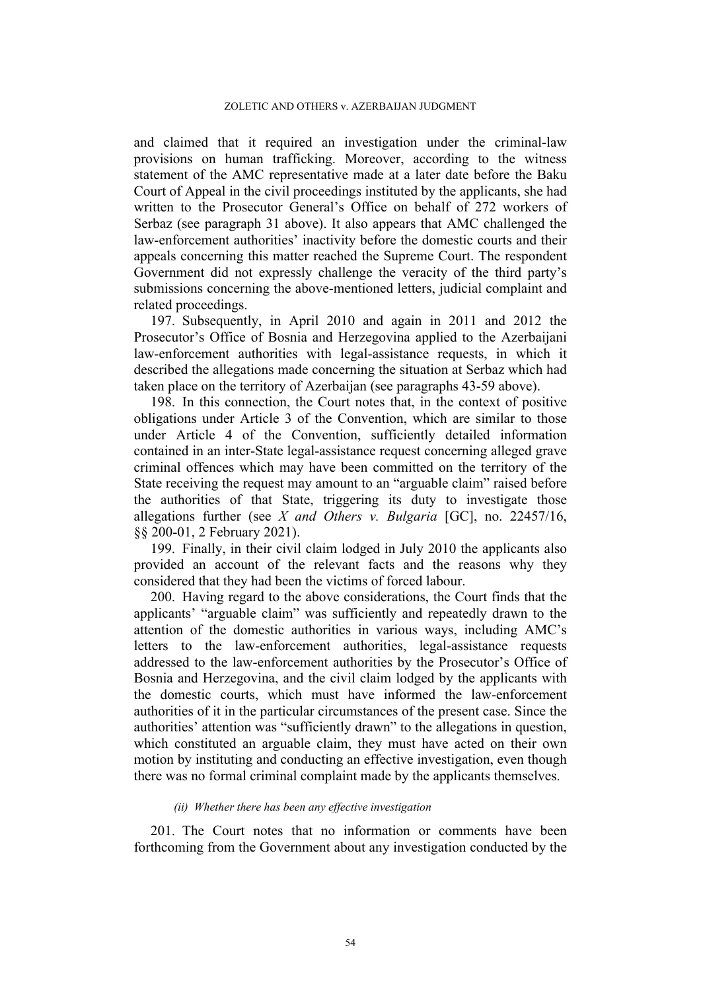and claimed that it required an investigation under the criminal-law provisions on human trafficking. Moreover, according to the witness statement of the AMC representative made at a later date before the Baku Court of Appeal in the civil proceedings instituted by the applicants, she had written to the Prosecutor General's Office on behalf of 272 workers of Serbaz (see paragraph [31](#page-9-1) above). It also appears that AMC challenged the law-enforcement authorities' inactivity before the domestic courts and their appeals concerning this matter reached the Supreme Court. The respondent Government did not expressly challenge the veracity of the third party's submissions concerning the above-mentioned letters, judicial complaint and related proceedings.

197. Subsequently, in April 2010 and again in 2011 and 2012 the Prosecutor's Office of Bosnia and Herzegovina applied to the Azerbaijani law-enforcement authorities with legal-assistance requests, in which it described the allegations made concerning the situation at Serbaz which had taken place on the territory of Azerbaijan (see paragraphs [43-](#page-11-1)[59](#page-15-1) above).

198. In this connection, the Court notes that, in the context of positive obligations under Article 3 of the Convention, which are similar to those under Article 4 of the Convention, sufficiently detailed information contained in an inter-State legal-assistance request concerning alleged grave criminal offences which may have been committed on the territory of the State receiving the request may amount to an "arguable claim" raised before the authorities of that State, triggering its duty to investigate those allegations further (see *X and Others v. Bulgaria* [GC], no. 22457/16, §§ 200-01, 2 February 2021).

199. Finally, in their civil claim lodged in July 2010 the applicants also provided an account of the relevant facts and the reasons why they considered that they had been the victims of forced labour.

200. Having regard to the above considerations, the Court finds that the applicants' "arguable claim" was sufficiently and repeatedly drawn to the attention of the domestic authorities in various ways, including AMC's letters to the law-enforcement authorities, legal-assistance requests addressed to the law-enforcement authorities by the Prosecutor's Office of Bosnia and Herzegovina, and the civil claim lodged by the applicants with the domestic courts, which must have informed the law-enforcement authorities of it in the particular circumstances of the present case. Since the authorities' attention was "sufficiently drawn" to the allegations in question, which constituted an arguable claim, they must have acted on their own motion by instituting and conducting an effective investigation, even though there was no formal criminal complaint made by the applicants themselves.

## *(ii) Whether there has been any effective investigation*

201. The Court notes that no information or comments have been forthcoming from the Government about any investigation conducted by the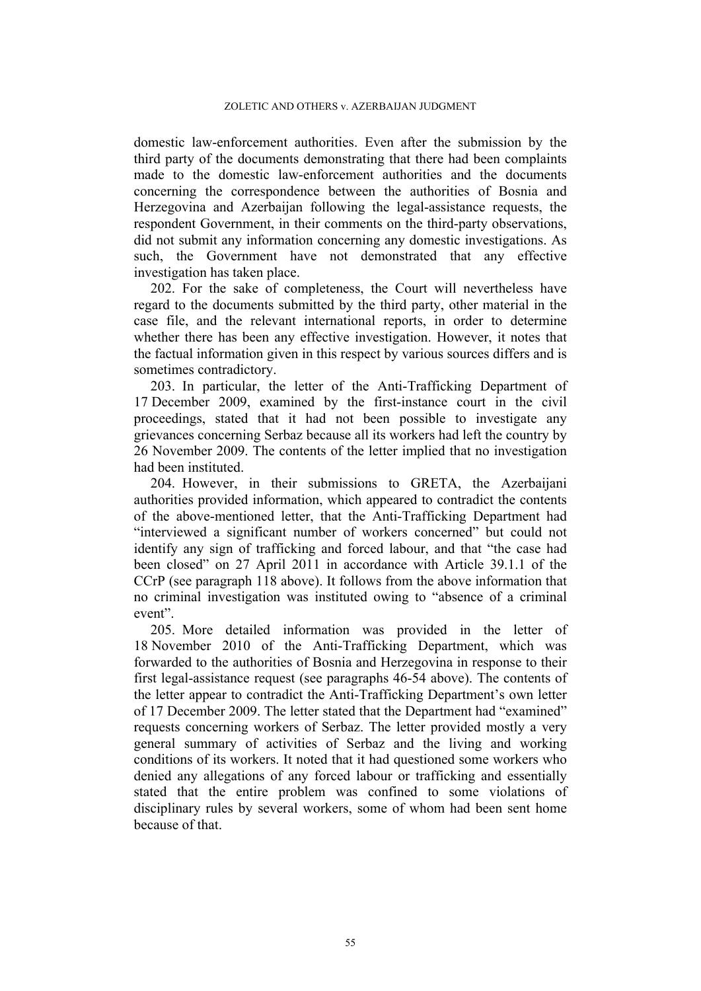domestic law-enforcement authorities. Even after the submission by the third party of the documents demonstrating that there had been complaints made to the domestic law-enforcement authorities and the documents concerning the correspondence between the authorities of Bosnia and Herzegovina and Azerbaijan following the legal-assistance requests, the respondent Government, in their comments on the third-party observations, did not submit any information concerning any domestic investigations. As such, the Government have not demonstrated that any effective investigation has taken place.

202. For the sake of completeness, the Court will nevertheless have regard to the documents submitted by the third party, other material in the case file, and the relevant international reports, in order to determine whether there has been any effective investigation. However, it notes that the factual information given in this respect by various sources differs and is sometimes contradictory.

203. In particular, the letter of the Anti-Trafficking Department of 17 December 2009, examined by the first-instance court in the civil proceedings, stated that it had not been possible to investigate any grievances concerning Serbaz because all its workers had left the country by 26 November 2009. The contents of the letter implied that no investigation had been instituted.

204. However, in their submissions to GRETA, the Azerbaijani authorities provided information, which appeared to contradict the contents of the above-mentioned letter, that the Anti-Trafficking Department had "interviewed a significant number of workers concerned" but could not identify any sign of trafficking and forced labour, and that "the case had been closed" on 27 April 2011 in accordance with Article 39.1.1 of the CCrP (see paragraph [118](#page-29-2) above). It follows from the above information that no criminal investigation was instituted owing to "absence of a criminal event".

205. More detailed information was provided in the letter of 18 November 2010 of the Anti-Trafficking Department, which was forwarded to the authorities of Bosnia and Herzegovina in response to their first legal-assistance request (see paragraphs [46](#page-12-1)[-54](#page-14-1) above). The contents of the letter appear to contradict the Anti-Trafficking Department's own letter of 17 December 2009. The letter stated that the Department had "examined" requests concerning workers of Serbaz. The letter provided mostly a very general summary of activities of Serbaz and the living and working conditions of its workers. It noted that it had questioned some workers who denied any allegations of any forced labour or trafficking and essentially stated that the entire problem was confined to some violations of disciplinary rules by several workers, some of whom had been sent home because of that.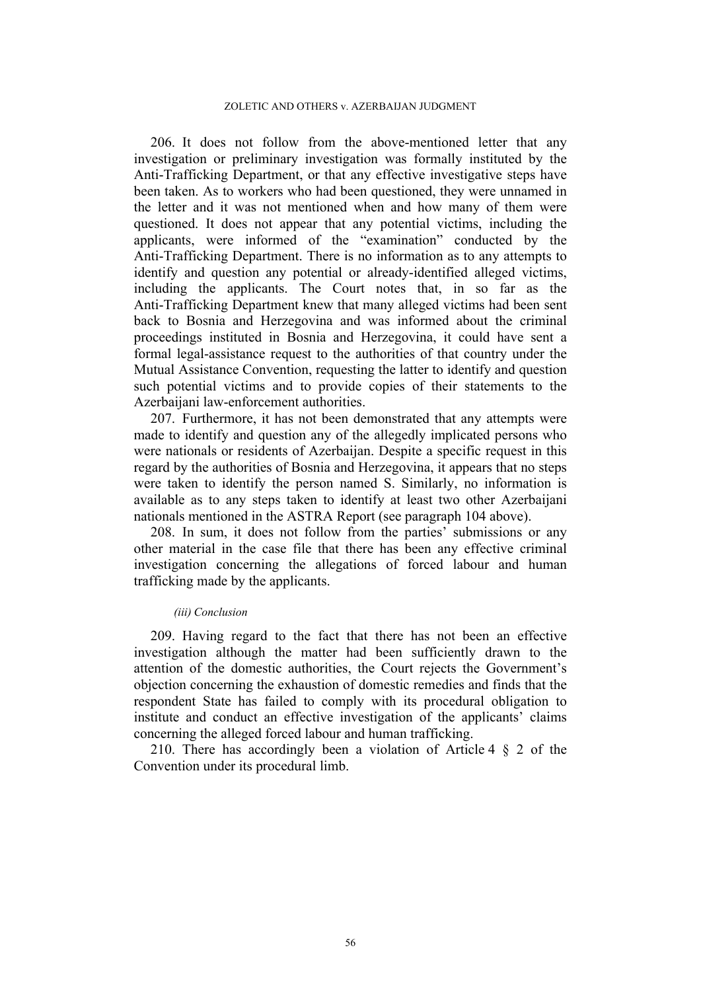206. It does not follow from the above-mentioned letter that any investigation or preliminary investigation was formally instituted by the Anti-Trafficking Department, or that any effective investigative steps have been taken. As to workers who had been questioned, they were unnamed in the letter and it was not mentioned when and how many of them were questioned. It does not appear that any potential victims, including the applicants, were informed of the "examination" conducted by the Anti-Trafficking Department. There is no information as to any attempts to identify and question any potential or already-identified alleged victims, including the applicants. The Court notes that, in so far as the Anti-Trafficking Department knew that many alleged victims had been sent back to Bosnia and Herzegovina and was informed about the criminal proceedings instituted in Bosnia and Herzegovina, it could have sent a formal legal-assistance request to the authorities of that country under the Mutual Assistance Convention, requesting the latter to identify and question such potential victims and to provide copies of their statements to the Azerbaijani law-enforcement authorities.

207. Furthermore, it has not been demonstrated that any attempts were made to identify and question any of the allegedly implicated persons who were nationals or residents of Azerbaijan. Despite a specific request in this regard by the authorities of Bosnia and Herzegovina, it appears that no steps were taken to identify the person named S. Similarly, no information is available as to any steps taken to identify at least two other Azerbaijani nationals mentioned in the ASTRA Report (see paragraph [104](#page-27-2) above).

208. In sum, it does not follow from the parties' submissions or any other material in the case file that there has been any effective criminal investigation concerning the allegations of forced labour and human trafficking made by the applicants.

### *(iii) Conclusion*

209. Having regard to the fact that there has not been an effective investigation although the matter had been sufficiently drawn to the attention of the domestic authorities, the Court rejects the Government's objection concerning the exhaustion of domestic remedies and finds that the respondent State has failed to comply with its procedural obligation to institute and conduct an effective investigation of the applicants' claims concerning the alleged forced labour and human trafficking.

210. There has accordingly been a violation of Article 4 § 2 of the Convention under its procedural limb.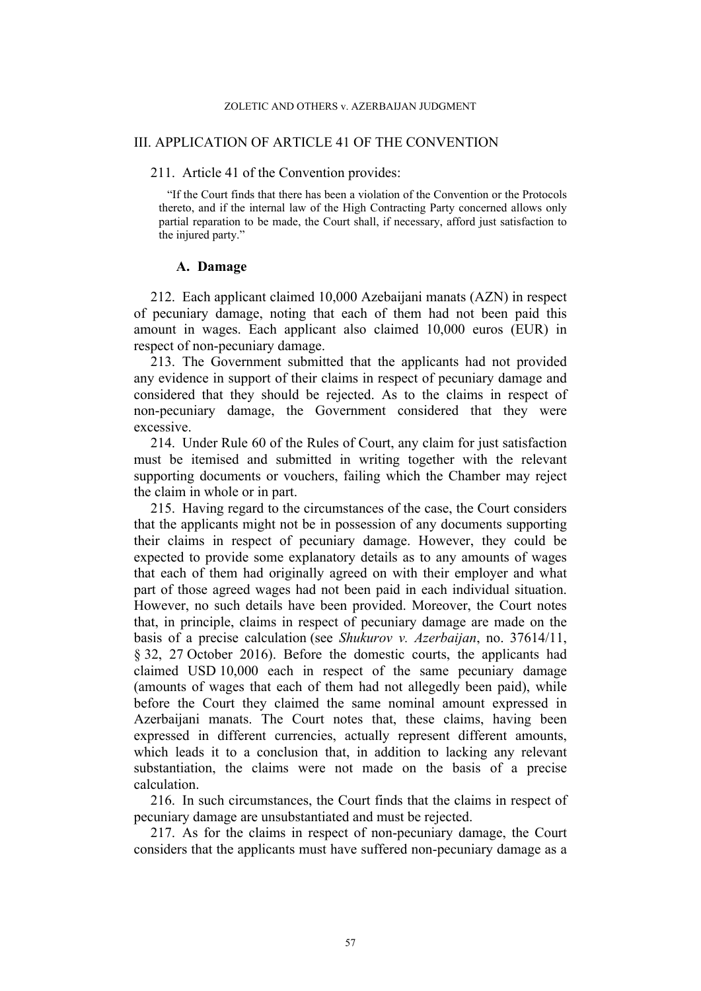### III. APPLICATION OF ARTICLE 41 OF THE CONVENTION

### 211. Article 41 of the Convention provides:

"If the Court finds that there has been a violation of the Convention or the Protocols thereto, and if the internal law of the High Contracting Party concerned allows only partial reparation to be made, the Court shall, if necessary, afford just satisfaction to the injured party."

## **A. Damage**

212. Each applicant claimed 10,000 Azebaijani manats (AZN) in respect of pecuniary damage, noting that each of them had not been paid this amount in wages. Each applicant also claimed 10,000 euros (EUR) in respect of non-pecuniary damage.

213. The Government submitted that the applicants had not provided any evidence in support of their claims in respect of pecuniary damage and considered that they should be rejected. As to the claims in respect of non-pecuniary damage, the Government considered that they were excessive.

214. Under Rule 60 of the Rules of Court, any claim for just satisfaction must be itemised and submitted in writing together with the relevant supporting documents or vouchers, failing which the Chamber may reject the claim in whole or in part.

215. Having regard to the circumstances of the case, the Court considers that the applicants might not be in possession of any documents supporting their claims in respect of pecuniary damage. However, they could be expected to provide some explanatory details as to any amounts of wages that each of them had originally agreed on with their employer and what part of those agreed wages had not been paid in each individual situation. However, no such details have been provided. Moreover, the Court notes that, in principle, claims in respect of pecuniary damage are made on the basis of a precise calculation (see *Shukurov v. Azerbaijan*, no. 37614/11, § 32, 27 October 2016). Before the domestic courts, the applicants had claimed USD 10,000 each in respect of the same pecuniary damage (amounts of wages that each of them had not allegedly been paid), while before the Court they claimed the same nominal amount expressed in Azerbaijani manats. The Court notes that, these claims, having been expressed in different currencies, actually represent different amounts, which leads it to a conclusion that, in addition to lacking any relevant substantiation, the claims were not made on the basis of a precise calculation.

216. In such circumstances, the Court finds that the claims in respect of pecuniary damage are unsubstantiated and must be rejected.

217. As for the claims in respect of non-pecuniary damage, the Court considers that the applicants must have suffered non-pecuniary damage as a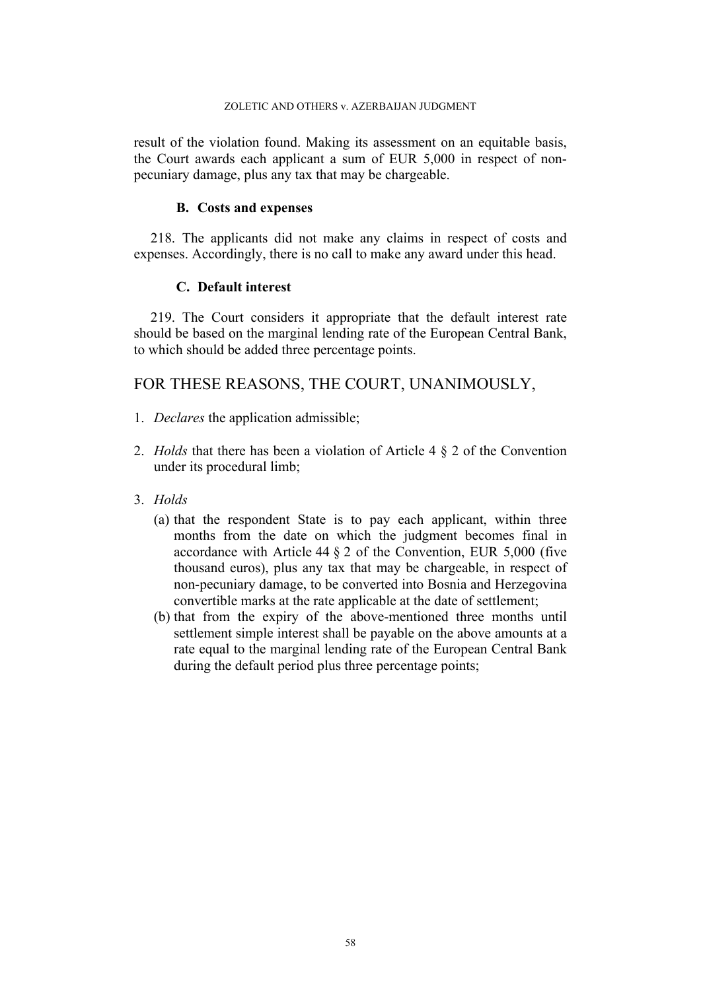### ZOLETIC AND OTHERS v. AZERBAIJAN JUDGMENT

result of the violation found. Making its assessment on an equitable basis, the Court awards each applicant a sum of EUR 5,000 in respect of nonpecuniary damage, plus any tax that may be chargeable.

## **B. Costs and expenses**

218. The applicants did not make any claims in respect of costs and expenses. Accordingly, there is no call to make any award under this head.

## **C. Default interest**

219. The Court considers it appropriate that the default interest rate should be based on the marginal lending rate of the European Central Bank, to which should be added three percentage points.

# FOR THESE REASONS, THE COURT, UNANIMOUSLY,

- 1. *Declares* the application admissible;
- 2. *Holds* that there has been a violation of Article 4 § 2 of the Convention under its procedural limb;
- 3. *Holds*
	- (a) that the respondent State is to pay each applicant, within three months from the date on which the judgment becomes final in accordance with Article 44 § 2 of the Convention, EUR 5,000 (five thousand euros), plus any tax that may be chargeable, in respect of non-pecuniary damage, to be converted into Bosnia and Herzegovina convertible marks at the rate applicable at the date of settlement;
	- (b) that from the expiry of the above-mentioned three months until settlement simple interest shall be payable on the above amounts at a rate equal to the marginal lending rate of the European Central Bank during the default period plus three percentage points;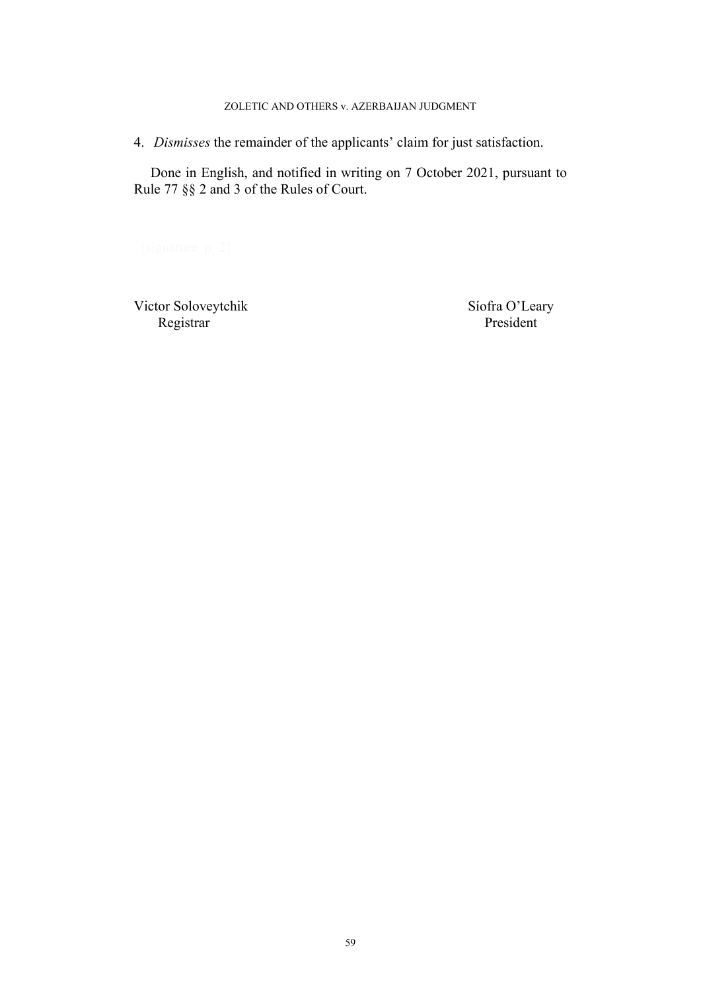### ZOLETIC AND OTHERS v. AZERBAIJAN JUDGMENT

4. *Dismisses* the remainder of the applicants' claim for just satisfaction.

Done in English, and notified in writing on 7 October 2021, pursuant to Rule 77 §§ 2 and 3 of the Rules of Court.

Victor Soloveytchik Síofra O'Leary Registrar President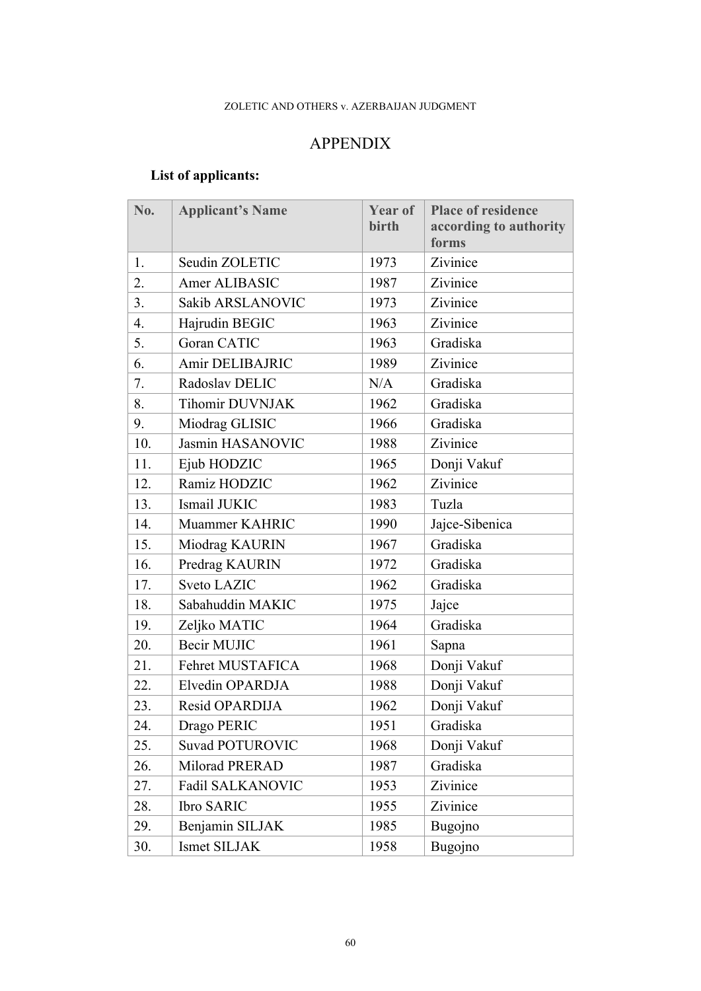# APPENDIX

# **List of applicants:**

| No. | <b>Applicant's Name</b> | Year of<br>birth | <b>Place of residence</b><br>according to authority<br>forms |
|-----|-------------------------|------------------|--------------------------------------------------------------|
| 1.  | Seudin ZOLETIC          | 1973             | Zivinice                                                     |
| 2.  | Amer ALIBASIC           | 1987             | Zivinice                                                     |
| 3.  | Sakib ARSLANOVIC        | 1973             | Zivinice                                                     |
| 4.  | Hajrudin BEGIC          | 1963             | Zivinice                                                     |
| 5.  | <b>Goran CATIC</b>      | 1963             | Gradiska                                                     |
| 6.  | Amir DELIBAJRIC         | 1989             | Zivinice                                                     |
| 7.  | Radoslav DELIC          | N/A              | Gradiska                                                     |
| 8.  | <b>Tihomir DUVNJAK</b>  | 1962             | Gradiska                                                     |
| 9.  | Miodrag GLISIC          | 1966             | Gradiska                                                     |
| 10. | Jasmin HASANOVIC        | 1988             | Zivinice                                                     |
| 11. | Ejub HODZIC             | 1965             | Donji Vakuf                                                  |
| 12. | Ramiz HODZIC            | 1962             | Zivinice                                                     |
| 13. | Ismail JUKIC            | 1983             | Tuzla                                                        |
| 14. | Muammer KAHRIC          | 1990             | Jajce-Sibenica                                               |
| 15. | Miodrag KAURIN          | 1967             | Gradiska                                                     |
| 16. | Predrag KAURIN          | 1972             | Gradiska                                                     |
| 17. | <b>Sveto LAZIC</b>      | 1962             | Gradiska                                                     |
| 18. | Sabahuddin MAKIC        | 1975             | Jajce                                                        |
| 19. | Zeljko MATIC            | 1964             | Gradiska                                                     |
| 20. | Becir MUJIC             | 1961             | Sapna                                                        |
| 21. | Fehret MUSTAFICA        | 1968             | Donji Vakuf                                                  |
| 22. | Elvedin OPARDJA         | 1988             | Donji Vakuf                                                  |
| 23. | Resid OPARDIJA          | 1962             | Donji Vakuf                                                  |
| 24. | Drago PERIC             | 1951             | Gradiska                                                     |
| 25. | <b>Suvad POTUROVIC</b>  | 1968             | Donji Vakuf                                                  |
| 26. | Milorad PRERAD          | 1987             | Gradiska                                                     |
| 27. | Fadil SALKANOVIC        | 1953             | Zivinice                                                     |
| 28. | <b>Ibro SARIC</b>       | 1955             | Zivinice                                                     |
| 29. | Benjamin SILJAK         | 1985             | Bugojno                                                      |
| 30. | Ismet SILJAK            | 1958             | Bugojno                                                      |